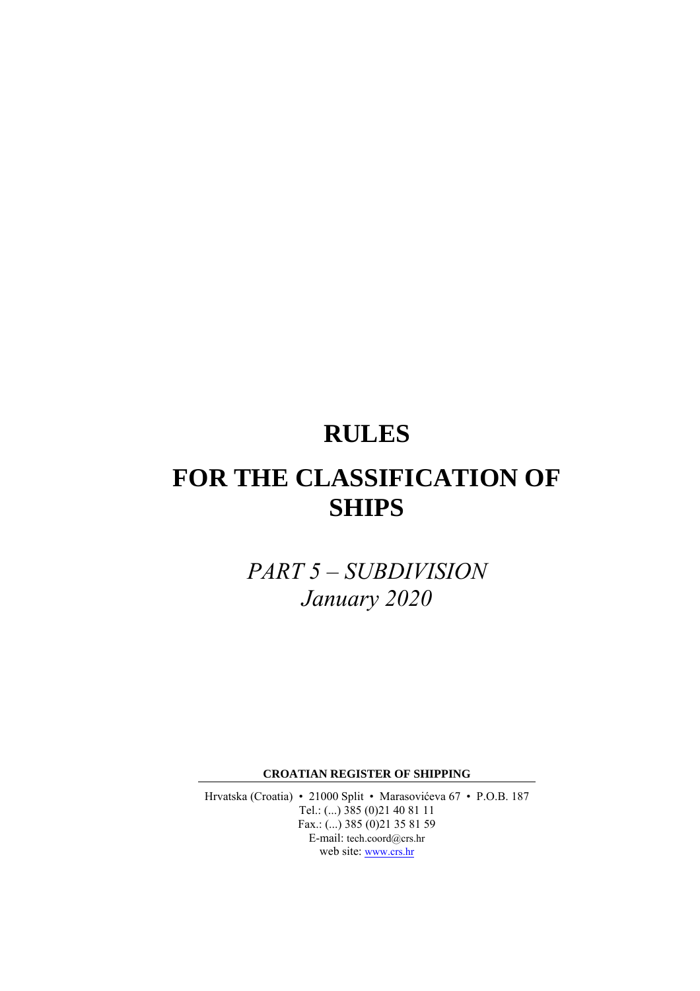# **RULES**

# **FOR THE CLASSIFICATION OF SHIPS**

*PART 5 – SUBDIVISION January 2020* 

**CROATIAN REGISTER OF SHIPPING** 

Hrvatska (Croatia) • 21000 Split • Marasovićeva 67 • P.O.B. 187 Tel.: (...) 385 (0)21 40 81 11 Fax.: (...) 385 (0)21 35 81 59 E-mail: tech.coord@crs.hr web site: www.crs.hr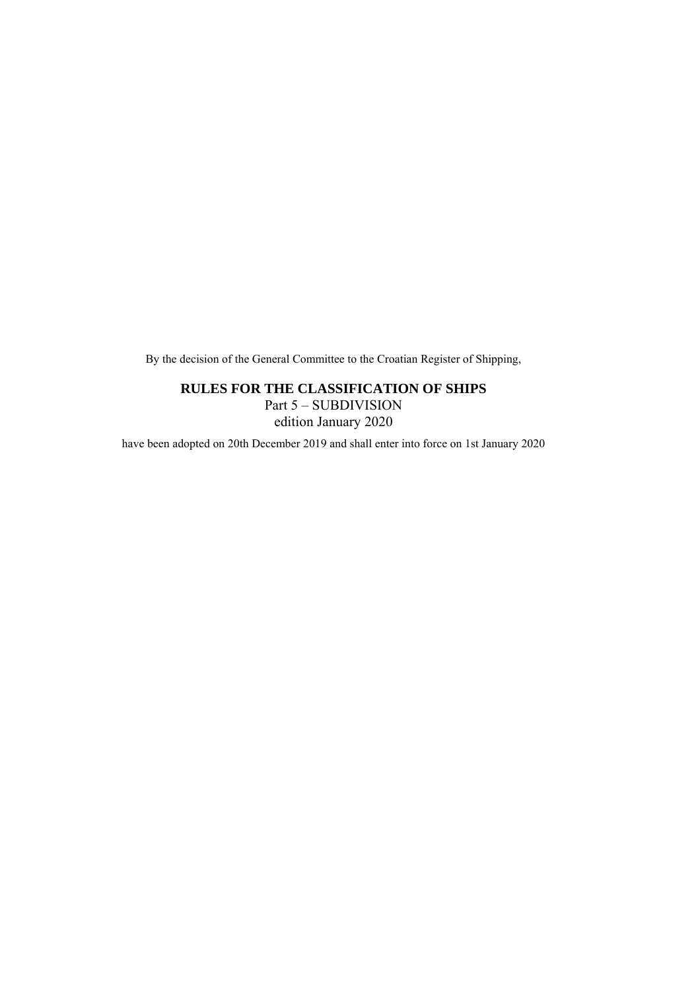By the decision of the General Committee to the Croatian Register of Shipping,

## **RULES FOR THE CLASSIFICATION OF SHIPS**

Part 5 – SUBDIVISION edition January 2020

have been adopted on 20th December 2019 and shall enter into force on 1st January 2020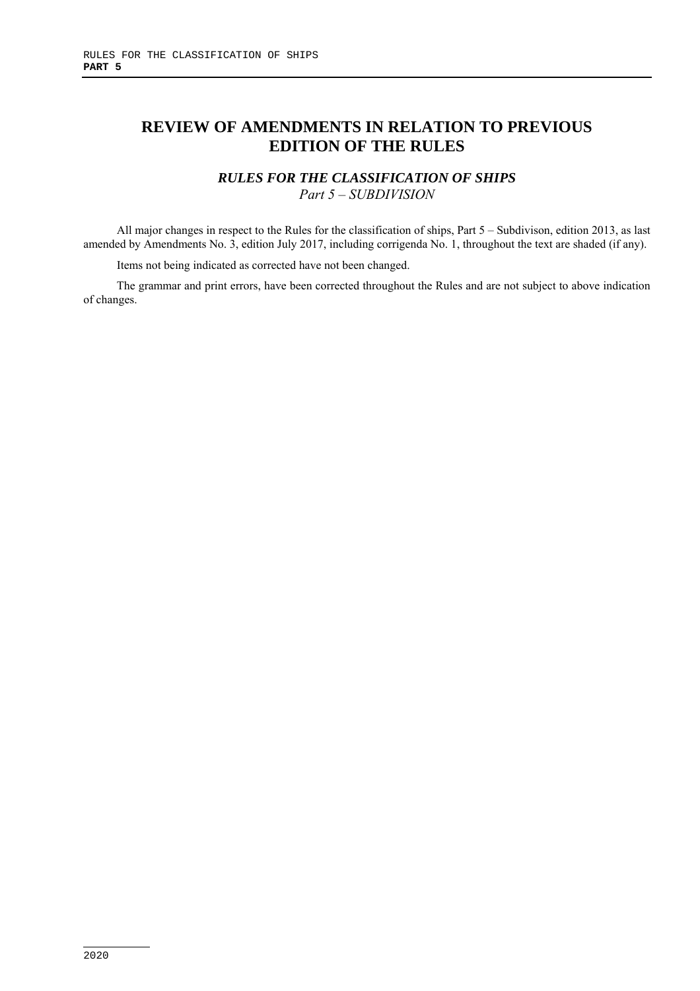## **REVIEW OF AMENDMENTS IN RELATION TO PREVIOUS EDITION OF THE RULES**

## *RULES FOR THE CLASSIFICATION OF SHIPS Part 5 – SUBDIVISION*

All major changes in respect to the Rules for the classification of ships, Part 5 – Subdivison, edition 2013, as last amended by Amendments No. 3, edition July 2017, including corrigenda No. 1, throughout the text are shaded (if any).

Items not being indicated as corrected have not been changed.

The grammar and print errors, have been corrected throughout the Rules and are not subject to above indication of changes.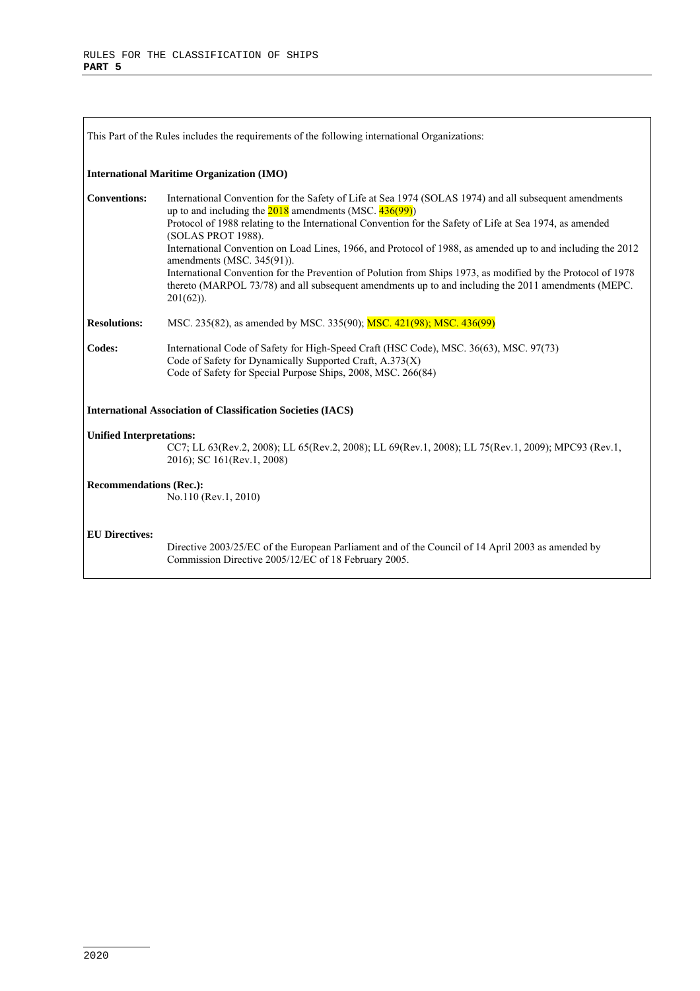| This Part of the Rules includes the requirements of the following international Organizations:                                                                      |                                                                                                                                                                                                                                                                                                                                                                                                                                                                                                                                                                                                                                                                                             |  |
|---------------------------------------------------------------------------------------------------------------------------------------------------------------------|---------------------------------------------------------------------------------------------------------------------------------------------------------------------------------------------------------------------------------------------------------------------------------------------------------------------------------------------------------------------------------------------------------------------------------------------------------------------------------------------------------------------------------------------------------------------------------------------------------------------------------------------------------------------------------------------|--|
|                                                                                                                                                                     | <b>International Maritime Organization (IMO)</b>                                                                                                                                                                                                                                                                                                                                                                                                                                                                                                                                                                                                                                            |  |
| <b>Conventions:</b>                                                                                                                                                 | International Convention for the Safety of Life at Sea 1974 (SOLAS 1974) and all subsequent amendments<br>up to and including the $2018$ amendments (MSC. $436(99)$ )<br>Protocol of 1988 relating to the International Convention for the Safety of Life at Sea 1974, as amended<br>(SOLAS PROT 1988).<br>International Convention on Load Lines, 1966, and Protocol of 1988, as amended up to and including the 2012<br>amendments (MSC. 345(91)).<br>International Convention for the Prevention of Polution from Ships 1973, as modified by the Protocol of 1978<br>thereto (MARPOL 73/78) and all subsequent amendments up to and including the 2011 amendments (MEPC.<br>$201(62)$ ). |  |
| <b>Resolutions:</b>                                                                                                                                                 | MSC. 235(82), as amended by MSC. 335(90); MSC. 421(98); MSC. 436(99)                                                                                                                                                                                                                                                                                                                                                                                                                                                                                                                                                                                                                        |  |
| Codes:                                                                                                                                                              | International Code of Safety for High-Speed Craft (HSC Code), MSC. 36(63), MSC. 97(73)<br>Code of Safety for Dynamically Supported Craft, A.373(X)<br>Code of Safety for Special Purpose Ships, 2008, MSC. 266(84)                                                                                                                                                                                                                                                                                                                                                                                                                                                                          |  |
|                                                                                                                                                                     | <b>International Association of Classification Societies (IACS)</b>                                                                                                                                                                                                                                                                                                                                                                                                                                                                                                                                                                                                                         |  |
| <b>Unified Interpretations:</b><br>CC7; LL 63(Rev.2, 2008); LL 65(Rev.2, 2008); LL 69(Rev.1, 2008); LL 75(Rev.1, 2009); MPC93 (Rev.1,<br>2016); SC 161(Rev.1, 2008) |                                                                                                                                                                                                                                                                                                                                                                                                                                                                                                                                                                                                                                                                                             |  |
| <b>Recommendations (Rec.):</b><br>No.110 (Rev.1, 2010)                                                                                                              |                                                                                                                                                                                                                                                                                                                                                                                                                                                                                                                                                                                                                                                                                             |  |
| <b>EU Directives:</b>                                                                                                                                               | Directive 2003/25/EC of the European Parliament and of the Council of 14 April 2003 as amended by<br>Commission Directive 2005/12/EC of 18 February 2005.                                                                                                                                                                                                                                                                                                                                                                                                                                                                                                                                   |  |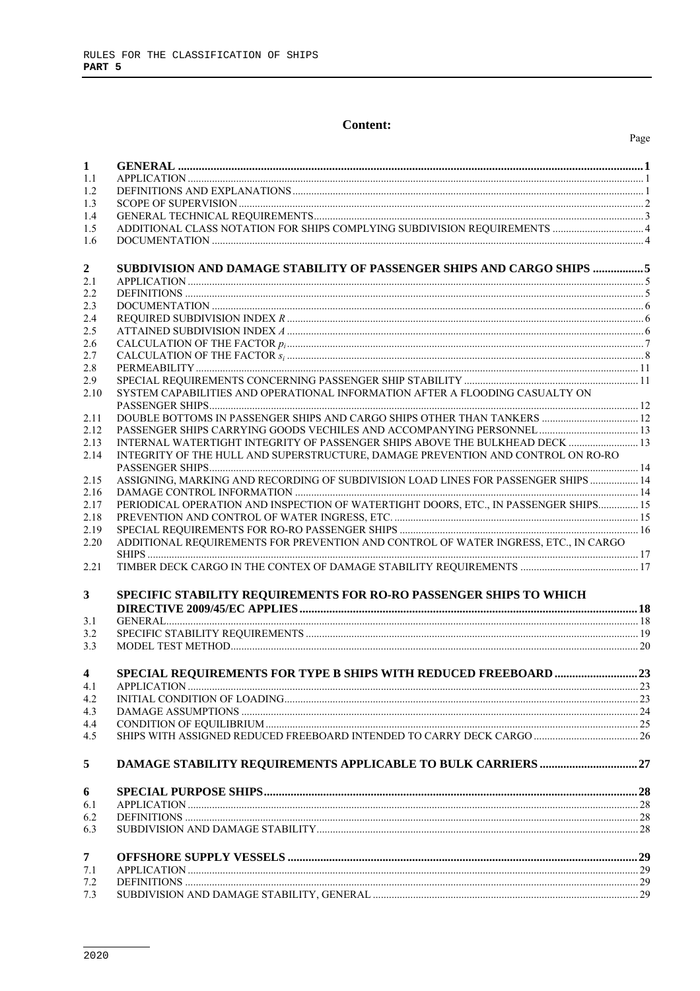## **Content:**

Page

| 1                       |                                                                                      |  |
|-------------------------|--------------------------------------------------------------------------------------|--|
| 1.1<br>1.2              |                                                                                      |  |
| 1.3                     |                                                                                      |  |
| 1.4                     |                                                                                      |  |
| 1.5                     |                                                                                      |  |
| 1.6                     |                                                                                      |  |
| $\boldsymbol{2}$        | SUBDIVISION AND DAMAGE STABILITY OF PASSENGER SHIPS AND CARGO SHIPS 5                |  |
| 2.1                     |                                                                                      |  |
| 2.2                     |                                                                                      |  |
| 2.3                     |                                                                                      |  |
| 2.4                     |                                                                                      |  |
| 2.5                     |                                                                                      |  |
| 2.6<br>2.7              |                                                                                      |  |
| 2.8                     |                                                                                      |  |
| 2.9                     |                                                                                      |  |
| 2.10                    | SYSTEM CAPABILITIES AND OPERATIONAL INFORMATION AFTER A FLOODING CASUALTY ON         |  |
| 2.11                    |                                                                                      |  |
| 2.12                    | PASSENGER SHIPS CARRYING GOODS VECHILES AND ACCOMPANYING PERSONNEL  13               |  |
| 2.13                    | INTERNAL WATERTIGHT INTEGRITY OF PASSENGER SHIPS ABOVE THE BULKHEAD DECK  13         |  |
| 2.14                    | INTEGRITY OF THE HULL AND SUPERSTRUCTURE, DAMAGE PREVENTION AND CONTROL ON RO-RO     |  |
| 2.15                    | ASSIGNING, MARKING AND RECORDING OF SUBDIVISION LOAD LINES FOR PASSENGER SHIPS  14   |  |
| 2.16                    |                                                                                      |  |
| 2.17                    | PERIODICAL OPERATION AND INSPECTION OF WATERTIGHT DOORS, ETC., IN PASSENGER SHIPS 15 |  |
| 2.18<br>2.19            |                                                                                      |  |
| 2.20                    | ADDITIONAL REQUIREMENTS FOR PREVENTION AND CONTROL OF WATER INGRESS, ETC., IN CARGO  |  |
|                         |                                                                                      |  |
| 2.21                    |                                                                                      |  |
| 3                       | SPECIFIC STABILITY REQUIREMENTS FOR RO-RO PASSENGER SHIPS TO WHICH                   |  |
|                         |                                                                                      |  |
| 3.1                     |                                                                                      |  |
| 3.2<br>3.3              |                                                                                      |  |
|                         |                                                                                      |  |
| 4                       |                                                                                      |  |
| 4.1                     |                                                                                      |  |
| 4.2                     |                                                                                      |  |
| 4.3                     |                                                                                      |  |
| 4.4                     |                                                                                      |  |
| 4.5                     | SHIPS WITH ASSIGNED REDUCED FREEBOARD INTENDED TO CARRY DECK CARGO  26               |  |
| 5                       |                                                                                      |  |
| 6                       |                                                                                      |  |
| 6.1                     |                                                                                      |  |
| 6.2                     |                                                                                      |  |
| 6.3                     |                                                                                      |  |
| $\overline{\mathbf{7}}$ |                                                                                      |  |
| 7.1                     |                                                                                      |  |
| 7.2                     |                                                                                      |  |
| 7.3                     |                                                                                      |  |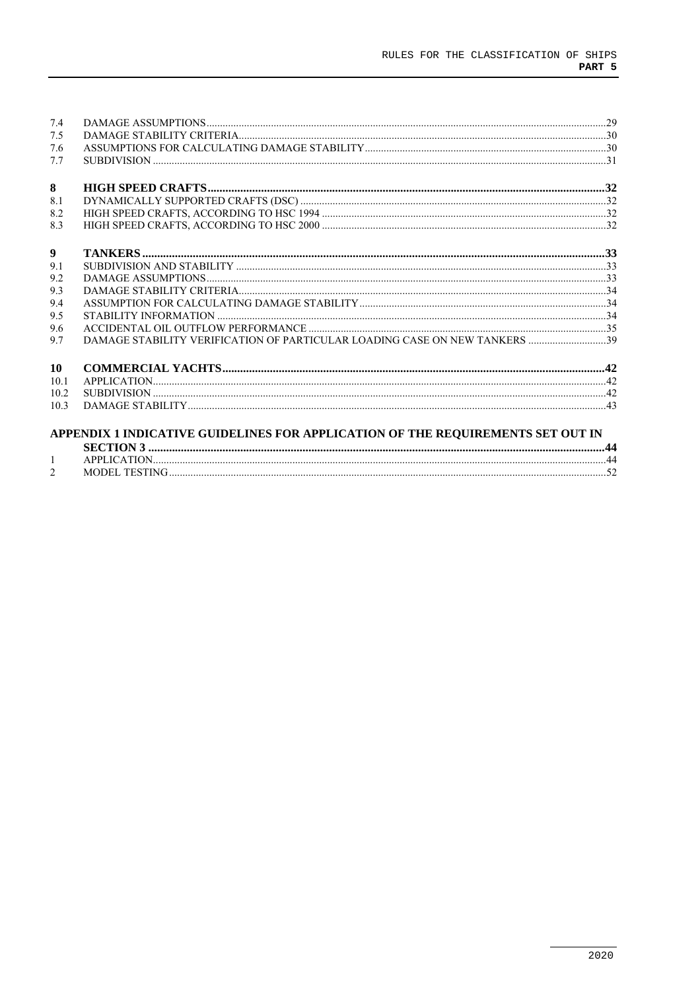| 7.4              |                                                                            |  |
|------------------|----------------------------------------------------------------------------|--|
| 7.5              |                                                                            |  |
| 7.6              |                                                                            |  |
| 7.7              |                                                                            |  |
| 8                |                                                                            |  |
| 8.1              |                                                                            |  |
| 8.2              |                                                                            |  |
| 8.3              |                                                                            |  |
| $\boldsymbol{9}$ |                                                                            |  |
| 9.1              |                                                                            |  |
| 9.2              |                                                                            |  |
| 9.3              |                                                                            |  |
| 9.4              |                                                                            |  |
| 9.5              |                                                                            |  |
| 9.6              |                                                                            |  |
| 9.7              | DAMAGE STABILITY VERIFICATION OF PARTICULAR LOADING CASE ON NEW TANKERS 39 |  |
| 10               |                                                                            |  |
| 10.1             |                                                                            |  |
| 10.2             |                                                                            |  |
| 10.3             |                                                                            |  |

|   | SEGIRJN.             |  |
|---|----------------------|--|
|   | APPLICATION          |  |
| - | <b>MODEL TESTING</b> |  |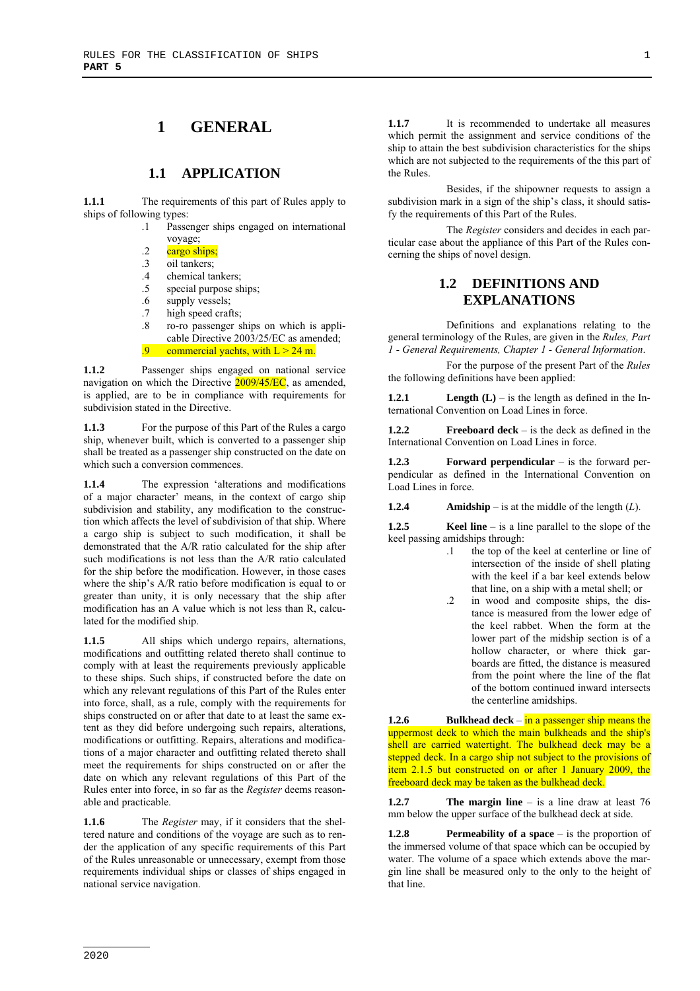## **1 GENERAL**

### **1.1 APPLICATION**

**1.1.1** The requirements of this part of Rules apply to ships of following types:

- .1 Passenger ships engaged on international voyage;
- .2 cargo ships;
- .3 oil tankers;
- .4 chemical tankers;
- .5 special purpose ships;
- .6 supply vessels;
- .7 high speed crafts;
- .8 ro-ro passenger ships on which is applicable Directive 2003/25/EC as amended; .9 commercial yachts, with  $L > 24$  m.

**1.1.2** Passenger ships engaged on national service navigation on which the Directive 2009/45/EC, as amended, is applied, are to be in compliance with requirements for subdivision stated in the Directive.

**1.1.3** For the purpose of this Part of the Rules a cargo ship, whenever built, which is converted to a passenger ship shall be treated as a passenger ship constructed on the date on which such a conversion commences.

**1.1.4** The expression 'alterations and modifications of a major character' means, in the context of cargo ship subdivision and stability, any modification to the construction which affects the level of subdivision of that ship. Where a cargo ship is subject to such modification, it shall be demonstrated that the A/R ratio calculated for the ship after such modifications is not less than the A/R ratio calculated for the ship before the modification. However, in those cases where the ship's A/R ratio before modification is equal to or greater than unity, it is only necessary that the ship after modification has an A value which is not less than R, calculated for the modified ship.

**1.1.5** All ships which undergo repairs, alternations, modifications and outfitting related thereto shall continue to comply with at least the requirements previously applicable to these ships. Such ships, if constructed before the date on which any relevant regulations of this Part of the Rules enter into force, shall, as a rule, comply with the requirements for ships constructed on or after that date to at least the same extent as they did before undergoing such repairs, alterations, modifications or outfitting. Repairs, alterations and modifications of a major character and outfitting related thereto shall meet the requirements for ships constructed on or after the date on which any relevant regulations of this Part of the Rules enter into force, in so far as the *Register* deems reasonable and practicable.

**1.1.6** The *Register* may, if it considers that the sheltered nature and conditions of the voyage are such as to render the application of any specific requirements of this Part of the Rules unreasonable or unnecessary, exempt from those requirements individual ships or classes of ships engaged in national service navigation.

1.1.7 It is recommended to undertake all measures which permit the assignment and service conditions of the ship to attain the best subdivision characteristics for the ships which are not subjected to the requirements of the this part of the Rules.

Besides, if the shipowner requests to assign a subdivision mark in a sign of the ship's class, it should satisfy the requirements of this Part of the Rules.

The *Register* considers and decides in each particular case about the appliance of this Part of the Rules concerning the ships of novel design.

### **1.2 DEFINITIONS AND EXPLANATIONS**

Definitions and explanations relating to the general terminology of the Rules, are given in the *Rules, Part 1 - General Requirements, Chapter 1 - General Information*.

For the purpose of the present Part of the *Rules* the following definitions have been applied:

**1.2.1 Length (L)** – is the length as defined in the International Convention on Load Lines in force.

**1.2.2 Freeboard deck** – is the deck as defined in the International Convention on Load Lines in force.

**Forward perpendicular** – is the forward perpendicular as defined in the International Convention on Load Lines in force.

**1.2.4 Amidship** – is at the middle of the length (*L*).

**1.2.5 Keel line** – is a line parallel to the slope of the keel passing amidships through:

- .1 the top of the keel at centerline or line of intersection of the inside of shell plating with the keel if a bar keel extends below that line, on a ship with a metal shell; or
	- in wood and composite ships, the distance is measured from the lower edge of the keel rabbet. When the form at the lower part of the midship section is of a hollow character, or where thick garboards are fitted, the distance is measured from the point where the line of the flat of the bottom continued inward intersects the centerline amidships.

**1.2.6 Bulkhead deck** – in a passenger ship means the uppermost deck to which the main bulkheads and the ship's shell are carried watertight. The bulkhead deck may be a stepped deck. In a cargo ship not subject to the provisions of item 2.1.5 but constructed on or after 1 January 2009, the freeboard deck may be taken as the bulkhead deck.

**1.2.7 The margin line** – is a line draw at least 76 mm below the upper surface of the bulkhead deck at side.

**1.2.8 Permeability of a space** – is the proportion of the immersed volume of that space which can be occupied by water. The volume of a space which extends above the margin line shall be measured only to the only to the height of that line.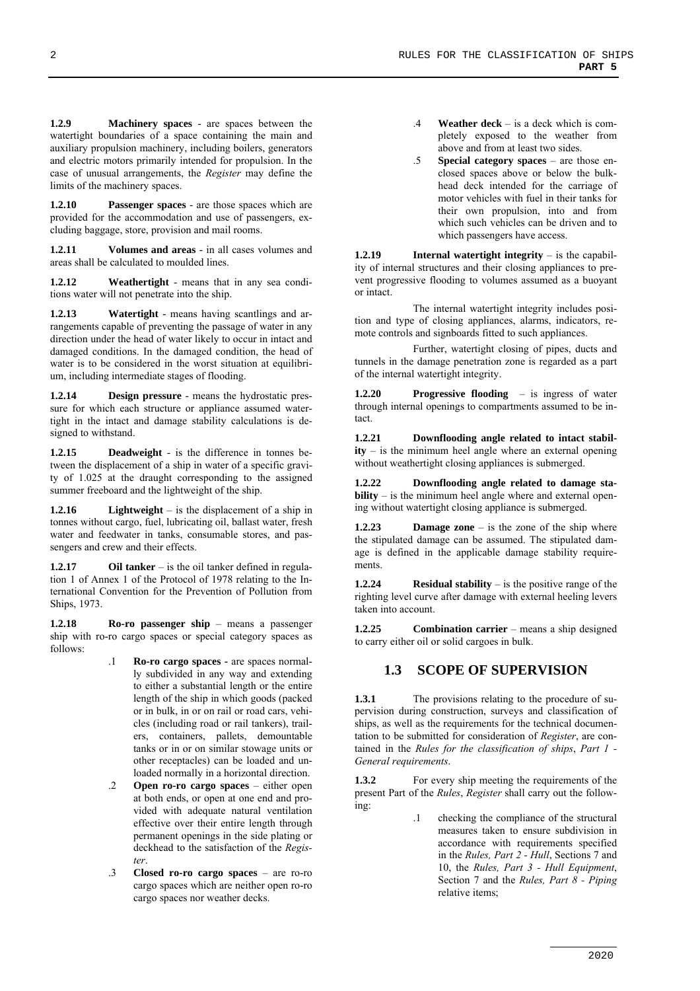**1.2.9 Machinery spaces** - are spaces between the watertight boundaries of a space containing the main and auxiliary propulsion machinery, including boilers, generators and electric motors primarily intended for propulsion. In the case of unusual arrangements, the *Register* may define the limits of the machinery spaces.

**1.2.10 Passenger spaces** - are those spaces which are provided for the accommodation and use of passengers, excluding baggage, store, provision and mail rooms.

**1.2.11 Volumes and areas** - in all cases volumes and areas shall be calculated to moulded lines.

**1.2.12 Weathertight** - means that in any sea conditions water will not penetrate into the ship.

**Watertight** - means having scantlings and arrangements capable of preventing the passage of water in any direction under the head of water likely to occur in intact and damaged conditions. In the damaged condition, the head of water is to be considered in the worst situation at equilibrium, including intermediate stages of flooding.

**1.2.14 Design pressure** - means the hydrostatic pressure for which each structure or appliance assumed watertight in the intact and damage stability calculations is designed to withstand.

**1.2.15 Deadweight** - is the difference in tonnes between the displacement of a ship in water of a specific gravity of 1.025 at the draught corresponding to the assigned summer freeboard and the lightweight of the ship.

**1.2.16 Lightweight** – is the displacement of a ship in tonnes without cargo, fuel, lubricating oil, ballast water, fresh water and feedwater in tanks, consumable stores, and passengers and crew and their effects.

**1.2.17 Oil tanker** – is the oil tanker defined in regulation 1 of Annex 1 of the Protocol of 1978 relating to the International Convention for the Prevention of Pollution from Ships, 1973.

**1.2.18 Ro-ro passenger ship** – means a passenger ship with ro-ro cargo spaces or special category spaces as follows:

- .1 **Ro-ro cargo spaces** are spaces normally subdivided in any way and extending to either a substantial length or the entire length of the ship in which goods (packed or in bulk, in or on rail or road cars, vehicles (including road or rail tankers), trailers, containers, pallets, demountable tanks or in or on similar stowage units or other receptacles) can be loaded and unloaded normally in a horizontal direction.
- .2 **Open ro-ro cargo spaces** either open at both ends, or open at one end and provided with adequate natural ventilation effective over their entire length through permanent openings in the side plating or deckhead to the satisfaction of the *Register*.
- .3 **Closed ro-ro cargo spaces** are ro-ro cargo spaces which are neither open ro-ro cargo spaces nor weather decks.
- .4 **Weather deck** is a deck which is completely exposed to the weather from above and from at least two sides.
- .5 **Special category spaces** are those enclosed spaces above or below the bulkhead deck intended for the carriage of motor vehicles with fuel in their tanks for their own propulsion, into and from which such vehicles can be driven and to which passengers have access.

**1.2.19 Internal watertight integrity** – is the capability of internal structures and their closing appliances to prevent progressive flooding to volumes assumed as a buoyant or intact.

The internal watertight integrity includes position and type of closing appliances, alarms, indicators, remote controls and signboards fitted to such appliances.

Further, watertight closing of pipes, ducts and tunnels in the damage penetration zone is regarded as a part of the internal watertight integrity.

**1.2.20 Progressive flooding** – is ingress of water through internal openings to compartments assumed to be intact.

**1.2.21 Downflooding angle related to intact stability** – is the minimum heel angle where an external opening without weathertight closing appliances is submerged.

**1.2.22 Downflooding angle related to damage stability** – is the minimum heel angle where and external opening without watertight closing appliance is submerged.

**1.2.23 Damage zone** – is the zone of the ship where the stipulated damage can be assumed. The stipulated damage is defined in the applicable damage stability requirements.

**1.2.24 Residual stability** – is the positive range of the righting level curve after damage with external heeling levers taken into account.

**1.2.25 Combination carrier** – means a ship designed to carry either oil or solid cargoes in bulk.

## **1.3 SCOPE OF SUPERVISION**

**1.3.1** The provisions relating to the procedure of supervision during construction, surveys and classification of ships, as well as the requirements for the technical documentation to be submitted for consideration of *Register*, are contained in the *Rules for the classification of ships*, *Part 1 - General requirements*.

**1.3.2** For every ship meeting the requirements of the present Part of the *Rules*, *Register* shall carry out the following:

> .1 checking the compliance of the structural measures taken to ensure subdivision in accordance with requirements specified in the *Rules, Part 2 - Hull*, Sections 7 and 10, the *Rules, Part 3 - Hull Equipment*, Section 7 and the *Rules, Part 8 - Piping*  relative items;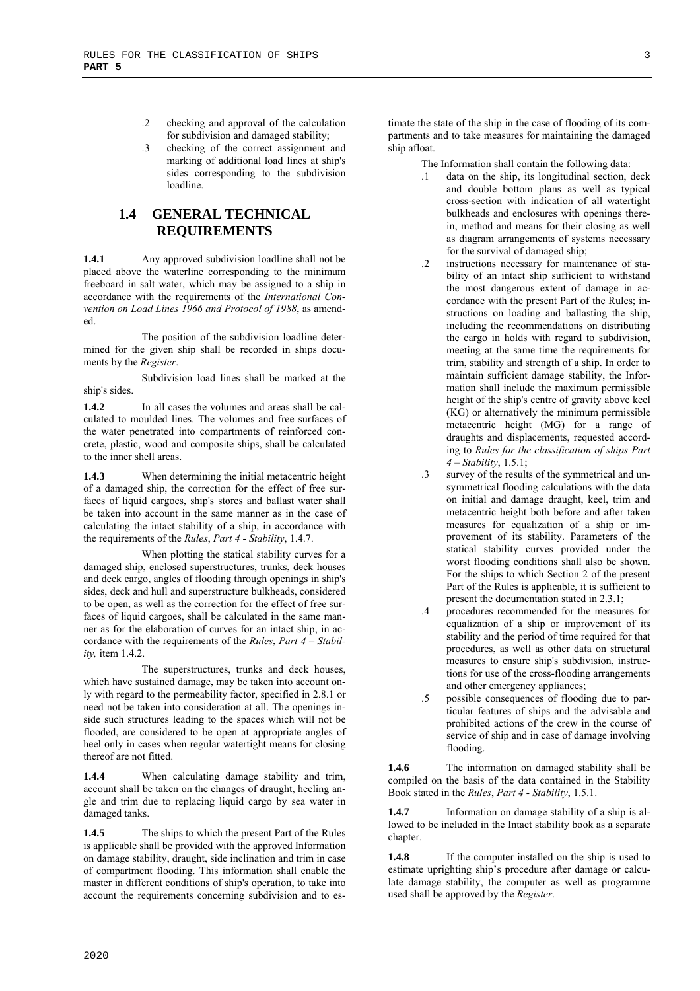- .2 checking and approval of the calculation for subdivision and damaged stability;
- .3 checking of the correct assignment and marking of additional load lines at ship's sides corresponding to the subdivision loadline.

## **1.4 GENERAL TECHNICAL REQUIREMENTS**

**1.4.1** Any approved subdivision loadline shall not be placed above the waterline corresponding to the minimum freeboard in salt water, which may be assigned to a ship in accordance with the requirements of the *International Convention on Load Lines 1966 and Protocol of 1988*, as amended.

The position of the subdivision loadline determined for the given ship shall be recorded in ships documents by the *Register*.

Subdivision load lines shall be marked at the ship's sides.

**1.4.2** In all cases the volumes and areas shall be calculated to moulded lines. The volumes and free surfaces of the water penetrated into compartments of reinforced concrete, plastic, wood and composite ships, shall be calculated to the inner shell areas.

**1.4.3** When determining the initial metacentric height of a damaged ship, the correction for the effect of free surfaces of liquid cargoes, ship's stores and ballast water shall be taken into account in the same manner as in the case of calculating the intact stability of a ship, in accordance with the requirements of the *Rules*, *Part 4 - Stability*, 1.4.7.

When plotting the statical stability curves for a damaged ship, enclosed superstructures, trunks, deck houses and deck cargo, angles of flooding through openings in ship's sides, deck and hull and superstructure bulkheads, considered to be open, as well as the correction for the effect of free surfaces of liquid cargoes, shall be calculated in the same manner as for the elaboration of curves for an intact ship, in accordance with the requirements of the *Rules*, *Part 4 – Stability,* item 1.4.2.

The superstructures, trunks and deck houses, which have sustained damage, may be taken into account only with regard to the permeability factor, specified in 2.8.1 or need not be taken into consideration at all. The openings inside such structures leading to the spaces which will not be flooded, are considered to be open at appropriate angles of heel only in cases when regular watertight means for closing thereof are not fitted.

**1.4.4** When calculating damage stability and trim, account shall be taken on the changes of draught, heeling angle and trim due to replacing liquid cargo by sea water in damaged tanks.

**1.4.5** The ships to which the present Part of the Rules is applicable shall be provided with the approved Information on damage stability, draught, side inclination and trim in case of compartment flooding. This information shall enable the master in different conditions of ship's operation, to take into account the requirements concerning subdivision and to estimate the state of the ship in the case of flooding of its compartments and to take measures for maintaining the damaged ship afloat.

The Information shall contain the following data:

- .1 data on the ship, its longitudinal section, deck and double bottom plans as well as typical cross-section with indication of all watertight bulkheads and enclosures with openings therein, method and means for their closing as well as diagram arrangements of systems necessary for the survival of damaged ship;
- .2 instructions necessary for maintenance of stability of an intact ship sufficient to withstand the most dangerous extent of damage in accordance with the present Part of the Rules; instructions on loading and ballasting the ship, including the recommendations on distributing the cargo in holds with regard to subdivision, meeting at the same time the requirements for trim, stability and strength of a ship. In order to maintain sufficient damage stability, the Information shall include the maximum permissible height of the ship's centre of gravity above keel (KG) or alternatively the minimum permissible metacentric height (MG) for a range of draughts and displacements, requested according to *Rules for the classification of ships Part 4 – Stability*, 1.5.1;
- .3 survey of the results of the symmetrical and unsymmetrical flooding calculations with the data on initial and damage draught, keel, trim and metacentric height both before and after taken measures for equalization of a ship or improvement of its stability. Parameters of the statical stability curves provided under the worst flooding conditions shall also be shown. For the ships to which Section 2 of the present Part of the Rules is applicable, it is sufficient to present the documentation stated in 2.3.1;
- .4 procedures recommended for the measures for equalization of a ship or improvement of its stability and the period of time required for that procedures, as well as other data on structural measures to ensure ship's subdivision, instructions for use of the cross-flooding arrangements and other emergency appliances;
- .5 possible consequences of flooding due to particular features of ships and the advisable and prohibited actions of the crew in the course of service of ship and in case of damage involving flooding.

**1.4.6** The information on damaged stability shall be compiled on the basis of the data contained in the Stability Book stated in the *Rules*, *Part 4 - Stability*, 1.5.1.

**1.4.7** Information on damage stability of a ship is allowed to be included in the Intact stability book as a separate chapter.

**1.4.8** If the computer installed on the ship is used to estimate uprighting ship's procedure after damage or calculate damage stability, the computer as well as programme used shall be approved by the *Register*.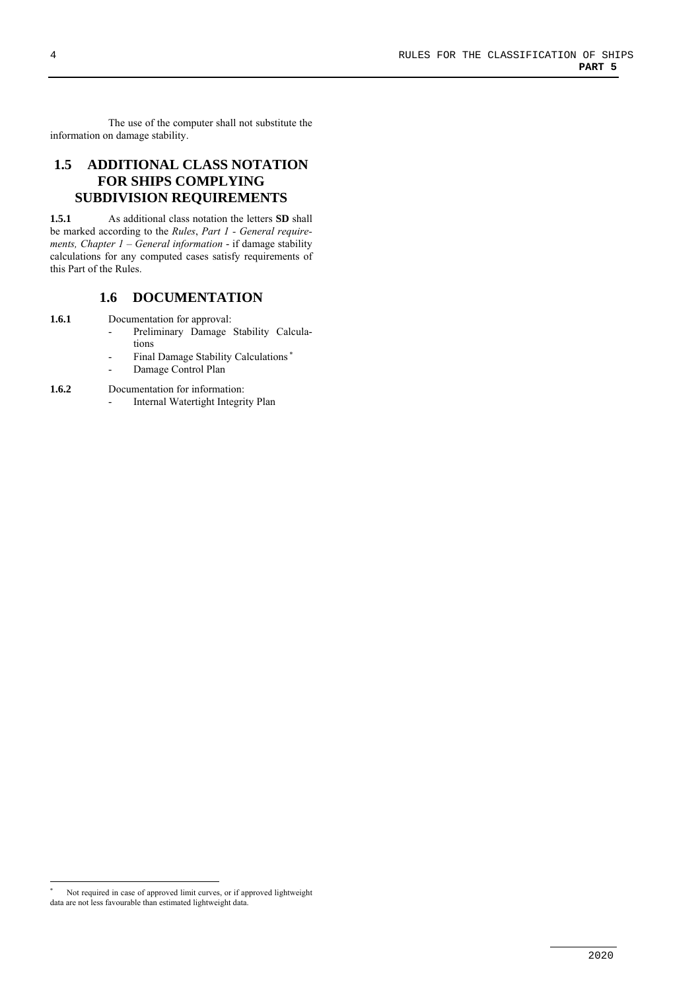The use of the computer shall not substitute the information on damage stability.

## **1.5 ADDITIONAL CLASS NOTATION FOR SHIPS COMPLYING SUBDIVISION REQUIREMENTS**

**1.5.1** As additional class notation the letters **SD** shall be marked according to the *Rules*, *Part 1 - General requirements, Chapter 1 – General information* - if damage stability calculations for any computed cases satisfy requirements of this Part of the Rules.

#### **1.6 DOCUMENTATION**

**1.6.1** Documentation for approval:

- Preliminary Damage Stability Calculations
- Final Damage Stability Calculations<sup>\*</sup>
- Damage Control Plan
- **1.6.2** Documentation for information:
	- Internal Watertight Integrity Plan

Not required in case of approved limit curves, or if approved lightweight

data are not less favourable than estimated lightweight data.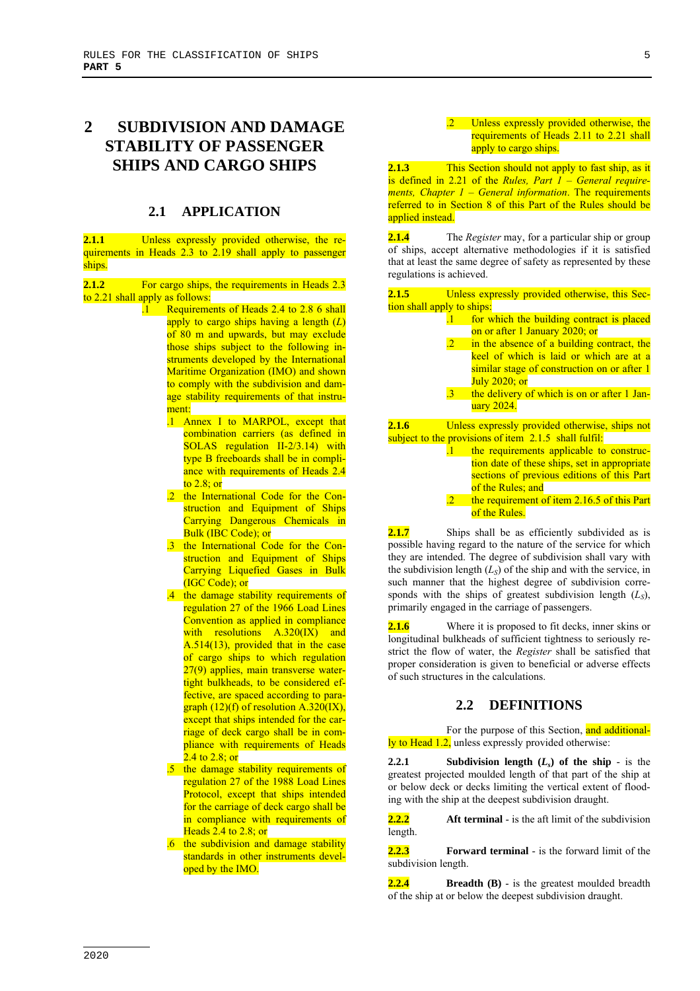## **2 SUBDIVISION AND DAMAGE STABILITY OF PASSENGER SHIPS AND CARGO SHIPS**

### **2.1 APPLICATION**

**2.1.1** Unless expressly provided otherwise, the requirements in Heads 2.3 to 2.19 shall apply to passenger ships.

**2.1.2** For cargo ships, the requirements in Heads 2.3 to 2.21 shall apply as follows:

- .1 Requirements of Heads 2.4 to 2.8 6 shall apply to cargo ships having a length (*L*) of 80 m and upwards, but may exclude those ships subject to the following instruments developed by the International Maritime Organization (IMO) and shown to comply with the subdivision and damage stability requirements of that instrument:
	- .1 Annex I to MARPOL, except that combination carriers (as defined in SOLAS regulation II-2/3.14) with type B freeboards shall be in compliance with requirements of Heads 2.4 to  $2.8;$  or
	- .2 the International Code for the Construction and Equipment of Ships Carrying Dangerous Chemicals in Bulk (IBC Code); or
	- .3 the International Code for the Construction and Equipment of Ships Carrying Liquefied Gases in Bulk (IGC Code); or
	- .4 the damage stability requirements of regulation 27 of the 1966 Load Lines Convention as applied in compliance with resolutions A.320(IX) and A.514(13), provided that in the case of cargo ships to which regulation 27(9) applies, main transverse watertight bulkheads, to be considered effective, are spaced according to paragraph  $(12)(f)$  of resolution  $\overline{A.320(IX)}$ , except that ships intended for the carriage of deck cargo shall be in compliance with requirements of Heads  $2.4$  to  $2.8$ ; or
	- .5 the damage stability requirements of regulation 27 of the 1988 Load Lines Protocol, except that ships intended for the carriage of deck cargo shall be in compliance with requirements of Heads 2.4 to 2.8; or
	- .6 the subdivision and damage stability standards in other instruments developed by the IMO.

#### .2 Unless expressly provided otherwise, the requirements of Heads 2.11 to 2.21 shall apply to cargo ships.

**2.1.3** This Section should not apply to fast ship, as it is defined in 2.21 of the *Rules, Part 1 – General requirements, Chapter 1 – General information*. The requirements referred to in Section 8 of this Part of the Rules should be applied instead.

**2.1.4** The *Register* may, for a particular ship or group of ships, accept alternative methodologies if it is satisfied that at least the same degree of safety as represented by these regulations is achieved.

| 2.1.5                      |                 | Unless expressly provided otherwise, this Sec-          |
|----------------------------|-----------------|---------------------------------------------------------|
| tion shall apply to ships: |                 |                                                         |
|                            | $\mathbf{I}$    | for which the building contract is placed               |
|                            |                 | on or after 1 January 2020; or                          |
|                            | $\overline{.2}$ | in the absence of a building contract, the              |
|                            |                 | keel of which is laid or which are at a                 |
|                            |                 | similar stage of construction on or after 1             |
|                            |                 | July 2020; or                                           |
|                            | $\mathbf{3}$    | the delivery of which is on or after 1 Jan-             |
|                            |                 | uary 2024.                                              |
|                            |                 |                                                         |
| 2.1.6                      |                 | Unless expressly provided otherwise, ships not          |
|                            |                 | subject to the provisions of item $2.1.5$ shall fulfil. |
|                            | . .             | the requirements applicable to construc-                |
|                            |                 | tion date of these ships, set in appropriate            |
|                            |                 | sections of previous editions of this Part              |
|                            |                 | of the Rules; and                                       |

the requirement of item 2.16.5 of this Part of the Rules.

**2.1.7** Ships shall be as efficiently subdivided as is possible having regard to the nature of the service for which they are intended. The degree of subdivision shall vary with the subdivision length  $(L<sub>S</sub>)$  of the ship and with the service, in such manner that the highest degree of subdivision corresponds with the ships of greatest subdivision length  $(L<sub>S</sub>)$ , primarily engaged in the carriage of passengers.

**2.1.6** Where it is proposed to fit decks, inner skins or longitudinal bulkheads of sufficient tightness to seriously restrict the flow of water, the *Register* shall be satisfied that proper consideration is given to beneficial or adverse effects of such structures in the calculations.

#### **2.2 DEFINITIONS**

For the purpose of this Section, and additionally to Head 1.2, unless expressly provided otherwise:

**2.2.1 Subdivision length (***Ls***) of the ship** - is the greatest projected moulded length of that part of the ship at or below deck or decks limiting the vertical extent of flooding with the ship at the deepest subdivision draught.

**2.2.2** Aft terminal - is the aft limit of the subdivision length.

**2.2.3** Forward terminal - is the forward limit of the subdivision length.

**2.2.4 Breadth (B)** - is the greatest moulded breadth of the ship at or below the deepest subdivision draught.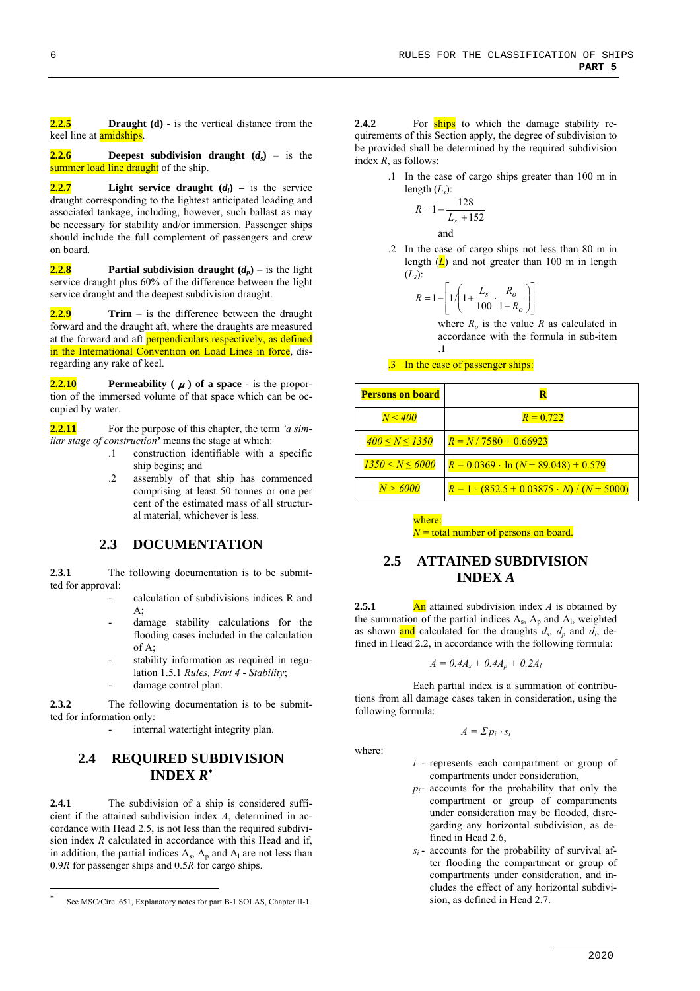**2.2.5 Draught (d)** - is the vertical distance from the keel line at **amidships**.

**2.2.6** Deepest subdivision draught  $(d<sub>s</sub>)$  – is the summer load line draught of the ship.

**2.2.7** Light service draught  $(d_i)$  – is the service draught corresponding to the lightest anticipated loading and associated tankage, including, however, such ballast as may be necessary for stability and/or immersion. Passenger ships should include the full complement of passengers and crew on board.

**2.2.8** Partial subdivision draught  $(d_p)$  – is the light service draught plus 60% of the difference between the light service draught and the deepest subdivision draught.

**2.2.9 Trim** – is the difference between the draught forward and the draught aft, where the draughts are measured at the forward and aft **perpendiculars respectively**, as defined in the International Convention on Load Lines in force, disregarding any rake of keel.

**2.2.10** Permeability ( $\mu$ ) of a space - is the proportion of the immersed volume of that space which can be occupied by water.

**2.2.11** For the purpose of this chapter, the term *'a similar stage of construction'* means the stage at which:

- .1 construction identifiable with a specific ship begins; and
- .2 assembly of that ship has commenced comprising at least 50 tonnes or one per cent of the estimated mass of all structural material, whichever is less.

#### **2.3 DOCUMENTATION**

**2.3.1** The following documentation is to be submitted for approval:

- calculation of subdivisions indices R and A;
- damage stability calculations for the flooding cases included in the calculation of A;
- stability information as required in regulation 1.5.1 *Rules, Part 4 - Stability*; damage control plan.

**2.3.2** The following documentation is to be submitted for information only:

internal watertight integrity plan.

## **2.4 REQUIRED SUBDIVISION INDEX** *R*

**2.4.1** The subdivision of a ship is considered sufficient if the attained subdivision index *A*, determined in accordance with Head 2.5, is not less than the required subdivision index *R* calculated in accordance with this Head and if, in addition, the partial indices  $A_s$ ,  $A_p$  and  $A_l$  are not less than 0.9*R* for passenger ships and 0.5*R* for cargo ships.

 $\overline{a}$ 

**2.4.2** For ships to which the damage stability requirements of this Section apply, the degree of subdivision to be provided shall be determined by the required subdivision index *R*, as follows:

> .1 In the case of cargo ships greater than 100 m in length  $(L_s)$ :

$$
R = 1 - \frac{128}{L_s + 152}
$$
  
and

.2 In the case of cargo ships not less than 80 m in length  $(L)$  and not greater than 100 m in length (*Ls*):

$$
R = 1 - \left[ 1 / \left( 1 + \frac{L_s}{100} \cdot \frac{R_o}{1 - R_o} \right) \right]
$$

where  $R_o$  is the value  $R$  as calculated in accordance with the formula in sub-item .1

.3 In the case of passenger ships:

| <b>Persons on board</b> |                                                  |
|-------------------------|--------------------------------------------------|
| N < 400                 | $R = 0.722$                                      |
| $400 \le N \le 1350$    | $R = N/7580 + 0.66923$                           |
| $1350 \le N \le 6000$   | $R = 0.0369 \cdot \ln (N + 89.048) + 0.579$      |
| N > 6000                | $R = 1 - (852.5 + 0.03875 \cdot N) / (N + 5000)$ |

where:

 $N =$  total number of persons on board.

### **2.5 ATTAINED SUBDIVISION INDEX** *A*

**2.5.1** An attained subdivision index *A* is obtained by the summation of the partial indices  $A_s$ ,  $A_p$  and  $A_l$ , weighted as shown and calculated for the draughts  $d_s$ ,  $d_p$  and  $d_l$ , defined in Head 2.2, in accordance with the following formula:

$$
A = 0.4A_s + 0.4A_p + 0.2A_l
$$

Each partial index is a summation of contributions from all damage cases taken in consideration, using the following formula:

$$
A=\Sigma p_i\cdot s_i
$$

where:

- *i* represents each compartment or group of compartments under consideration,
- $p_i$  accounts for the probability that only the compartment or group of compartments under consideration may be flooded, disregarding any horizontal subdivision, as defined in Head 2.6,
- $s_i$  accounts for the probability of survival after flooding the compartment or group of compartments under consideration, and includes the effect of any horizontal subdivision, as defined in Head 2.7.

See MSC/Circ. 651, Explanatory notes for part B-1 SOLAS, Chapter II-1.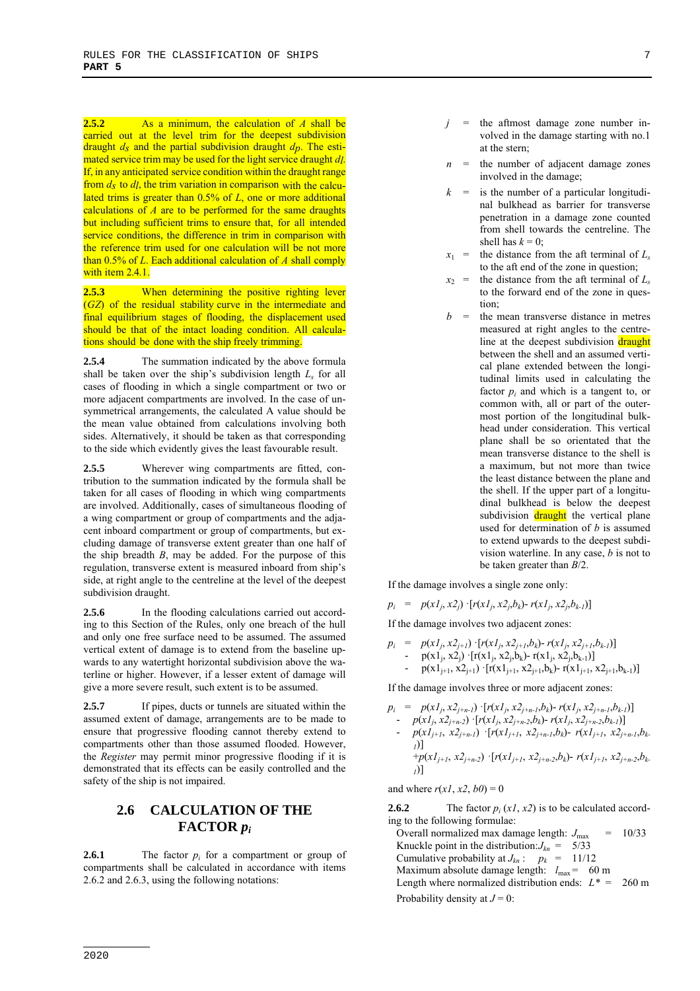**2.5.2** As a minimum, the calculation of *A* shall be carried out at the level trim for the deepest subdivision draught *ds* and the partial subdivision draught *dp*. The estimated service trim may be used for the light service draught *dl*. If, in any anticipated service condition within the draught range from *ds* to *dl*, the trim variation in comparison with the calculated trims is greater than 0.5% of *L*, one or more additional calculations of *A* are to be performed for the same draughts but including sufficient trims to ensure that, for all intended service conditions, the difference in trim in comparison with the reference trim used for one calculation will be not more than 0.5% of *L*. Each additional calculation of *A* shall comply with item 2.4.1.

**2.5.3** When determining the positive righting lever (*GZ*) of the residual stability curve in the intermediate and final equilibrium stages of flooding, the displacement used should be that of the intact loading condition. All calculations should be done with the ship freely trimming.

**2.5.4** The summation indicated by the above formula shall be taken over the ship's subdivision length  $L<sub>s</sub>$  for all cases of flooding in which a single compartment or two or more adjacent compartments are involved. In the case of unsymmetrical arrangements, the calculated A value should be the mean value obtained from calculations involving both sides. Alternatively, it should be taken as that corresponding to the side which evidently gives the least favourable result.

**2.5.5** Wherever wing compartments are fitted, contribution to the summation indicated by the formula shall be taken for all cases of flooding in which wing compartments are involved. Additionally, cases of simultaneous flooding of a wing compartment or group of compartments and the adjacent inboard compartment or group of compartments, but excluding damage of transverse extent greater than one half of the ship breadth *B*, may be added. For the purpose of this regulation, transverse extent is measured inboard from ship's side, at right angle to the centreline at the level of the deepest subdivision draught.

2.5.6 In the flooding calculations carried out according to this Section of the Rules, only one breach of the hull and only one free surface need to be assumed. The assumed vertical extent of damage is to extend from the baseline upwards to any watertight horizontal subdivision above the waterline or higher. However, if a lesser extent of damage will give a more severe result, such extent is to be assumed.

**2.5.7** If pipes, ducts or tunnels are situated within the assumed extent of damage, arrangements are to be made to ensure that progressive flooding cannot thereby extend to compartments other than those assumed flooded. However, the *Register* may permit minor progressive flooding if it is demonstrated that its effects can be easily controlled and the safety of the ship is not impaired.

## **2.6 CALCULATION OF THE FACTOR** *pi*

**2.6.1** The factor  $p_i$  for a compartment or group of compartments shall be calculated in accordance with items 2.6.2 and 2.6.3, using the following notations:

- the aftmost damage zone number involved in the damage starting with no.1 at the stern;
- $n =$  the number of adjacent damage zones involved in the damage;
- $k =$  is the number of a particular longitudinal bulkhead as barrier for transverse penetration in a damage zone counted from shell towards the centreline. The shell has  $k = 0$ ;
- $x_1$  = the distance from the aft terminal of  $L<sub>s</sub>$ to the aft end of the zone in question;
- $x_2$  = the distance from the aft terminal of  $L_s$ to the forward end of the zone in question;
- $b =$  the mean transverse distance in metres measured at right angles to the centreline at the deepest subdivision draught between the shell and an assumed vertical plane extended between the longitudinal limits used in calculating the factor  $p_i$  and which is a tangent to, or common with, all or part of the outermost portion of the longitudinal bulkhead under consideration. This vertical plane shall be so orientated that the mean transverse distance to the shell is a maximum, but not more than twice the least distance between the plane and the shell. If the upper part of a longitudinal bulkhead is below the deepest subdivision draught the vertical plane used for determination of *b* is assumed to extend upwards to the deepest subdivision waterline. In any case, *b* is not to be taken greater than *B*/2.

If the damage involves a single zone only:

$$
p_i = p(xl_j, x2_j) \cdot [r(xl_j, x2_j, b_k) - r(xl_j, x2_j, b_{k-l})]
$$

If the damage involves two adjacent zones:

 $p_i = p(x_1, x_2, \ldots)$   $[r(x_1, x_2, \ldots, x_{i+1}, b_k) - r(x_1, x_2, \ldots, x_{i+1}, b_{k-1})]$ -  $p(x1_j, x2_j)$   $[r(x1_j, x2_j, b_k) - r(x1_j, x2_j, b_{k-1})]$ 

 $p(x1_{j+1}, x2_{j+1}) \cdot [r(x1_{j+1}, x2_{j+1},b_k) - r(x1_{j+1}, x2_{j+1},b_{k-1})]$ 

If the damage involves three or more adjacent zones:

$$
p_i = p(xI_j, x2_{j+n-1}) \cdot [r(xI_j, x2_{j+n-1}, b_k) - r(xI_j, x2_{j+n-1}, b_{k-1})]
$$
  
\n-  $p(xI_j, x2_{j+n-2}) \cdot [r(xI_j, x2_{j+n-2}, b_k) - r(xI_j, x2_{j+n-2}, b_{k-1})]$   
\n-  $p(xI_{j+1}, x2_{j+n-1}) \cdot [r(xI_{j+1}, x2_{j+n-1}, b_k) - r(xI_{j+1}, x2_{j+n-1}, b_k - n(xI_{j+1}, x2_{j+n-2}, b_{k-1})]$   
\n+  $p(xI_{j+1}, x2_{j+n-2}) \cdot [r(xI_{j+1}, x2_{j+n-2}, b_k) - r(xI_{j+1}, x2_{j+n-2}, b_k - n(xI_{j+1}, x2_{j+n-2}, b_{k-1})]$ 

and where  $r(x1, x2, b0) = 0$ 

**2.6.2** The factor  $p_i(x, x^2)$  is to be calculated according to the following formulae:

Overall normalized max damage length:  $J_{\text{max}}$  = 10/33 Knuckle point in the distribution:  $J_{kn} = 5/33$ 

Cumulative probability at  $J_{kn}$ :  $p_k = 11/12$ 

Maximum absolute damage length:  $l_{\text{max}} = 60 \text{ m}$ 

Length where normalized distribution ends:  $L^* = 260$  m Probability density at  $J = 0$ :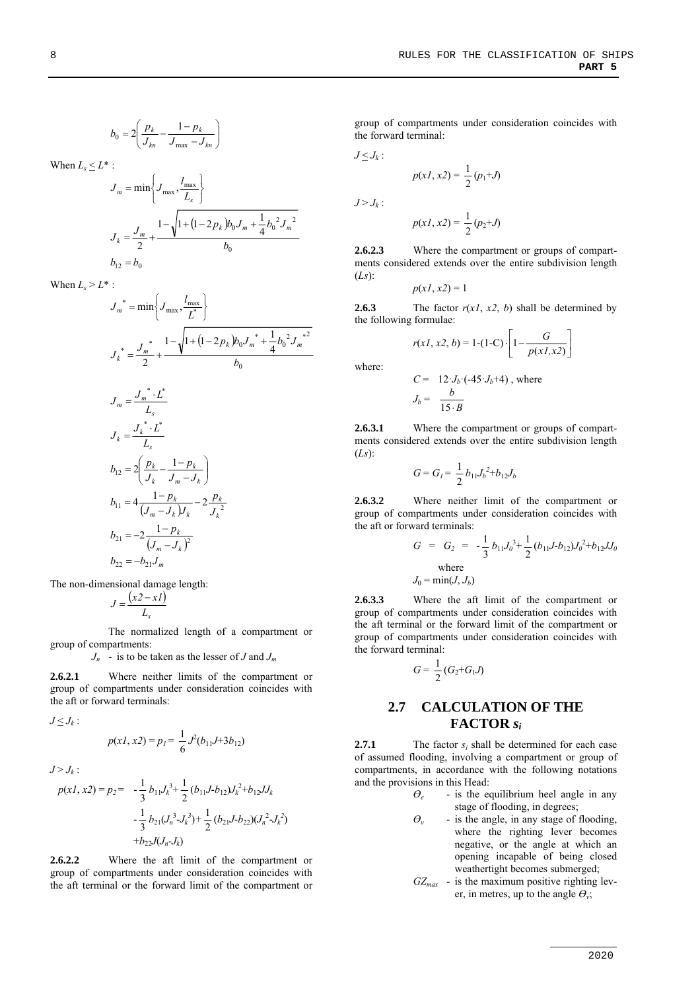$$
b_0 = 2\left(\frac{p_k}{J_{kn}} - \frac{1 - p_k}{J_{\max} - J_{kn}}\right)
$$

When  $L_s \leq L^*$  :

$$
J_m = \min \left\{ J_{\text{max}}, \frac{l_{\text{max}}}{L_s} \right\}
$$
  

$$
J_k = \frac{J_m}{2} + \frac{1 - \sqrt{1 + (1 - 2p_k)b_0 J_m + \frac{1}{4}b_0^2 J_m^2}}{b_0}
$$
  

$$
b_{12} = b_0
$$

When  $L_s > L^*$ :

$$
J_m^* = \min\left\{J_{\text{max}}, \frac{l_{\text{max}}}{L^*}\right\}
$$
  
\n
$$
J_k^* = \frac{J_m^*}{2} + \frac{1 - \sqrt{1 + (1 - 2p_k)p_0J_m^* + \frac{1}{4}b_0^2J_m^*}^2}{b_0}
$$
  
\n
$$
J_m = \frac{J_m^* \cdot L^*}{L_s}
$$
  
\n
$$
J_k = \frac{J_k^* \cdot L^*}{L_s}
$$
  
\n
$$
b_{12} = 2\left(\frac{p_k}{J_k} - \frac{1 - p_k}{J_m - J_k}\right)
$$
  
\n
$$
b_{11} = 4\frac{1 - p_k}{(J_m - J_k)J_k} - 2\frac{p_k}{J_k^2}
$$
  
\n
$$
b_{21} = -2\frac{1 - p_k}{(J_m - J_k)^2}
$$
  
\n
$$
b_{22} = -b_{21}J_m
$$

The non-dimensional damage length:

$$
J = \frac{(x2 - xI)}{L_s}
$$

The normalized length of a compartment or group of compartments:

 $J_n$  - is to be taken as the lesser of *J* and  $J_m$ 

**2.6.2.1** Where neither limits of the compartment or group of compartments under consideration coincides with the aft or forward terminals:

 $J \leq J_k$ :

$$
p(x1, x2) = p_1 = \frac{1}{6} J^2(b_{11}J + 3b_{12})
$$

 $J > J_k$ :

$$
p(x1, x2) = p_2 = -\frac{1}{3} b_{11} J_k^3 + \frac{1}{2} (b_{11} J - b_{12}) J_k^2 + b_{12} J J_k
$$
  

$$
-\frac{1}{3} b_{21} (J_n^3 - J_k^3) + \frac{1}{2} (b_{21} J - b_{22}) (J_n^2 - J_k^2)
$$
  

$$
+ b_{22} J (J_n - J_k)
$$

**2.6.2.2** Where the aft limit of the compartment or group of compartments under consideration coincides with the aft terminal or the forward limit of the compartment or

group of compartments under consideration coincides with the forward terminal:

$$
p(x1, x2) = \frac{1}{2}(p_1 + J)
$$

 $J > J_k$ :

 $J \leq J_k$ :

$$
p(x1, x2) = \frac{1}{2}(p_2 + J)
$$

**2.6.2.3** Where the compartment or groups of compartments considered extends over the entire subdivision length (*Ls*):

$$
p(x1, x2) = 1
$$

**2.6.3** The factor  $r(x1, x2, b)$  shall be determined by the following formulae:

$$
r(x1, x2, b) = 1-(1-C) \cdot \left[1 - \frac{G}{p(x1, x2)}\right]
$$

where:

$$
C = 12 \cdot J_b \cdot (-45 \cdot J_b + 4), \text{ where}
$$

$$
J_b = \frac{b}{15 \cdot B}
$$

**2.6.3.1** Where the compartment or groups of compartments considered extends over the entire subdivision length (*Ls*):

$$
G = G_I = \frac{1}{2} b_{11} J_b^2 + b_{12} J_b
$$

**2.6.3.2** Where neither limit of the compartment or group of compartments under consideration coincides with the aft or forward terminals:

$$
G = G_2 = -\frac{1}{3} b_{11} J_0^3 + \frac{1}{2} (b_{11} J_0 b_{12} J_0^2 + b_{12} J J_0^2)
$$
  
where  

$$
J_0 = \min(J, J_b)
$$

**2.6.3.3** Where the aft limit of the compartment or group of compartments under consideration coincides with the aft terminal or the forward limit of the compartment or group of compartments under consideration coincides with the forward terminal:

$$
G = \frac{1}{2} (G_2 + G_1 J)
$$

## **2.7 CALCULATION OF THE FACTOR** *si*

**2.7.1** The factor *si* shall be determined for each case of assumed flooding, involving a compartment or group of compartments, in accordance with the following notations and the provisions in this Head:

- $\theta_e$  is the equilibrium heel angle in any stage of flooding, in degrees;
- $\theta$  is the angle, in any stage of flooding. where the righting lever becomes negative, or the angle at which an opening incapable of being closed weathertight becomes submerged;
- *GZmax* is the maximum positive righting lever, in metres, up to the angle  $\theta$ <sup>*v*</sup>;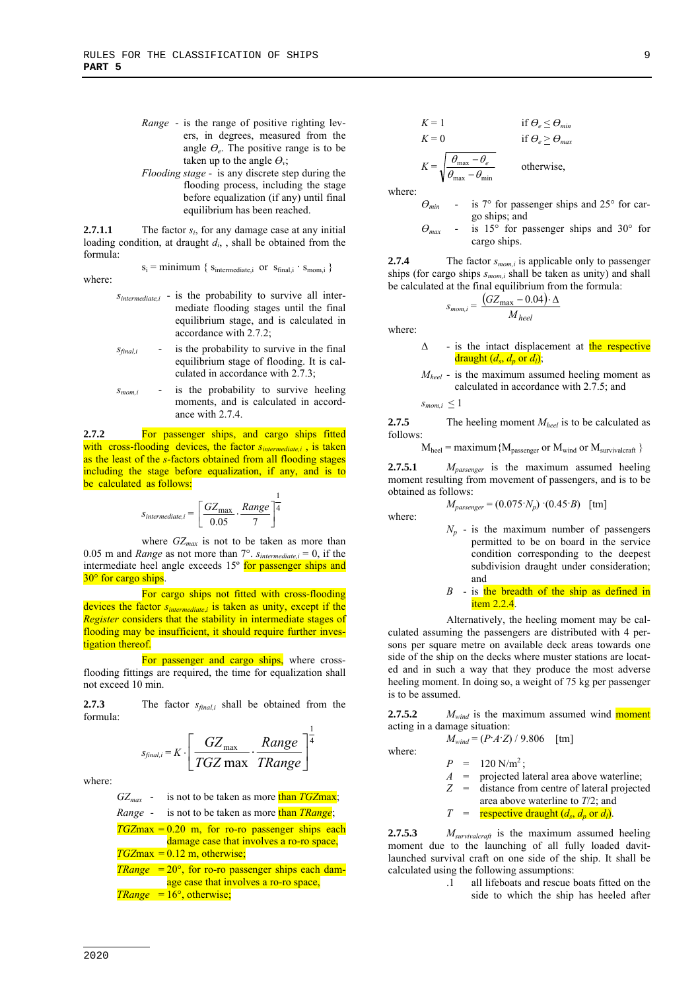- *Range*  is the range of positive righting levers, in degrees, measured from the angle  $\theta_e$ . The positive range is to be taken up to the angle  $\theta$ <sup>*v*</sup>;
- *Flooding stage*  is any discrete step during the flooding process, including the stage before equalization (if any) until final equilibrium has been reached.

**2.7.1.1** The factor *s<sub>i</sub>*, for any damage case at any initial loading condition, at draught  $d_i$ , shall be obtained from the formula:

 $s_i$  = minimum {  $s_{intermediate,i}$  or  $s_{final,i}$  ·  $s_{mom,i}$  } where:

- *sintermediate,i* is the probability to survive all intermediate flooding stages until the final equilibrium stage, and is calculated in accordance with 2.7.2;
- *s<sub>finali</sub>* is the probability to survive in the final equilibrium stage of flooding. It is calculated in accordance with 2.7.3;
- *smom,i* is the probability to survive heeling moments, and is calculated in accordance with 2.7.4.

**2.7.2** For passenger ships, and cargo ships fitted with cross-flooding devices, the factor *sintermediate,i* , is taken as the least of the *s*-factors obtained from all flooding stages including the stage before equalization, if any, and is to be calculated as follows:

$$
s_{intermediate,i} = \left[\frac{GZ_{\text{max}}}{0.05} \cdot \frac{Range}{7}\right]^{\frac{1}{4}}
$$

where  $GZ_{max}$  is not to be taken as more than 0.05 m and *Range* as not more than 7°. *sintermediate,i* = 0, if the intermediate heel angle exceeds 15º for passenger ships and 30° for cargo ships.

For cargo ships not fitted with cross-flooding devices the factor *sintermediate*,*<sup>i</sup>* is taken as unity, except if the *Register* considers that the stability in intermediate stages of flooding may be insufficient, it should require further investigation thereof.

For passenger and cargo ships, where crossflooding fittings are required, the time for equalization shall not exceed 10 min.

**2.7.3** The factor *sfinal,i* shall be obtained from the formula:

$$
s_{\text{final},i} = K \cdot \left[ \frac{GZ_{\text{max}}}{TGZ \text{ max}} \cdot \frac{Range}{TRange} \right]^{\frac{1}{4}}
$$

where:

*GZ<sub>max</sub>* - is not to be taken as more than *TGZ*max; *Range* - is not to be taken as more than *TRange*;  $TGZ$ max =  $0.20$  m, for ro-ro passenger ships each damage case that involves a ro-ro space,  $TGZ$ max =  $0.12$  m, otherwise; *TRange*  $= 20^{\circ}$ , for ro-ro passenger ships each damage case that involves a ro-ro space, *TRange* =  $16^{\circ}$ , otherwise;

$$
K = 1 \t\t \text{if } \theta_e \le \theta_{min}
$$
  
\n
$$
K = 0 \t\t \text{if } \theta_e \ge \theta_{max}
$$
  
\n
$$
K = \sqrt{\frac{\theta_{max} - \theta_e}{\theta_{max} - \theta_{min}}}
$$
 otherwise,

where:

- $\theta_{min}$  is 7° for passenger ships and 25° for cargo ships; and
- $\theta_{max}$  is 15° for passenger ships and 30° for cargo ships.

**2.7.4** The factor *s<sub>mom,i</sub>* is applicable only to passenger ships (for cargo ships *smom,i* shall be taken as unity) and shall be calculated at the final equilibrium from the formula:

$$
s_{mom,i} = \frac{(GZ_{\text{max}} - 0.04) \cdot \Delta}{M_{\text{heel}}}
$$

where:

- $\Delta$  is the intact displacement at the respective draught  $(d_s, d_n \text{ or } d_l)$ ;
- *Mheel* is the maximum assumed heeling moment as calculated in accordance with 2.7.5; and

$$
s_{mom,i} \leq 1
$$

**2.7.5** The heeling moment *Mheel* is to be calculated as follows:

 $M_{\text{heel}} = \text{maximum} \{ M_{\text{passenger}} \text{ or } M_{\text{wind}} \text{ or } M_{\text{survivalent}} \}$ 

**2.7.5.1** *Mpassenger* is the maximum assumed heeling moment resulting from movement of passengers, and is to be obtained as follows:

$$
M_{passenger} = (0.075 \cdot N_p) \cdot (0.45 \cdot B) \quad \text{[tm]}
$$

where:

- $N_p$  is the maximum number of passengers permitted to be on board in the service condition corresponding to the deepest subdivision draught under consideration; and
- *B* is the breadth of the ship as defined in item  $2.2.4$ .

Alternatively, the heeling moment may be calculated assuming the passengers are distributed with 4 persons per square metre on available deck areas towards one side of the ship on the decks where muster stations are located and in such a way that they produce the most adverse heeling moment. In doing so, a weight of 75 kg per passenger is to be assumed.

**2.7.5.2** *M<sub>wind</sub>* is the maximum assumed wind **moment** acting in a damage situation:

$$
M_{wind} = (P \cdot A \cdot Z) / 9.806 \quad \text{[tm]}
$$

where:  $P = 120$  N/m<sup>2</sup>:

- *A* = projected lateral area above waterline;
- *Z* = distance from centre of lateral projected
- area above waterline to *T*/2; and *T* = respective draught  $(d_s, d_p \text{ or } d_l)$ .

**2.7.5.3** *Msurvivalcraft* is the maximum assumed heeling moment due to the launching of all fully loaded davitlaunched survival craft on one side of the ship. It shall be calculated using the following assumptions:

> .1 all lifeboats and rescue boats fitted on the side to which the ship has heeled after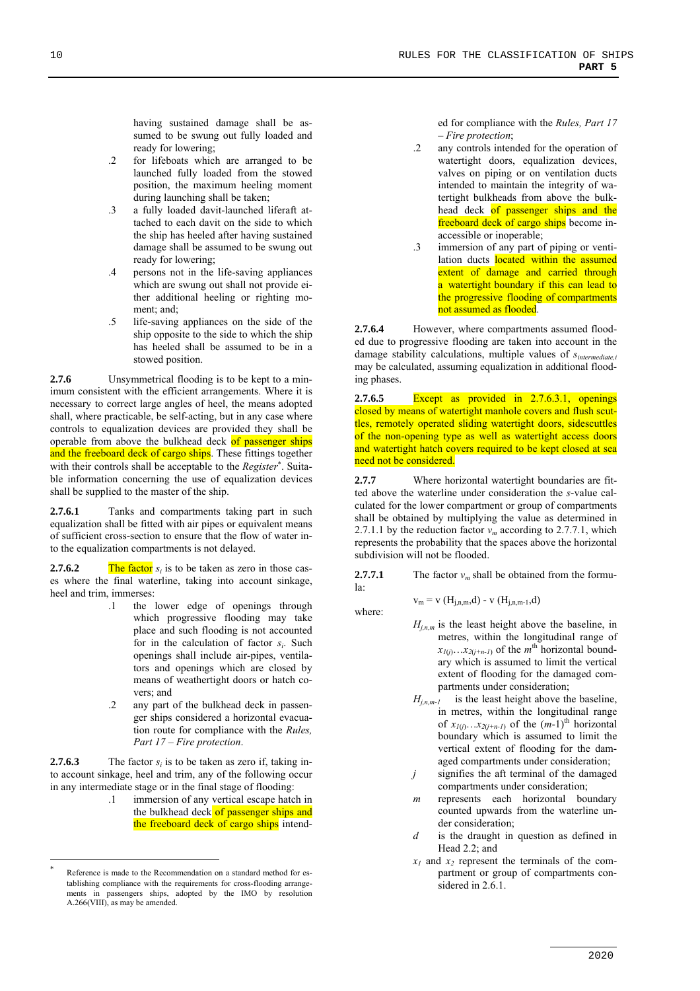having sustained damage shall be assumed to be swung out fully loaded and ready for lowering;

- .2 for lifeboats which are arranged to be launched fully loaded from the stowed position, the maximum heeling moment during launching shall be taken;
- .3 a fully loaded davit-launched liferaft attached to each davit on the side to which the ship has heeled after having sustained damage shall be assumed to be swung out ready for lowering;
- .4 persons not in the life-saving appliances which are swung out shall not provide either additional heeling or righting moment; and;
- .5 life-saving appliances on the side of the ship opposite to the side to which the ship has heeled shall be assumed to be in a stowed position.

**2.7.6** Unsymmetrical flooding is to be kept to a minimum consistent with the efficient arrangements. Where it is necessary to correct large angles of heel, the means adopted shall, where practicable, be self-acting, but in any case where controls to equalization devices are provided they shall be operable from above the bulkhead deck of passenger ships and the freeboard deck of cargo ships. These fittings together with their controls shall be acceptable to the *Register* . Suitable information concerning the use of equalization devices shall be supplied to the master of the ship.

**2.7.6.1** Tanks and compartments taking part in such equalization shall be fitted with air pipes or equivalent means of sufficient cross-section to ensure that the flow of water into the equalization compartments is not delayed.

**2.7.6.2** The factor *s<sub>i</sub>* is to be taken as zero in those cases where the final waterline, taking into account sinkage, heel and trim, immerses:

- .1 the lower edge of openings through which progressive flooding may take place and such flooding is not accounted for in the calculation of factor  $s_i$ . Such openings shall include air-pipes, ventilators and openings which are closed by means of weathertight doors or hatch covers; and
- .2 any part of the bulkhead deck in passenger ships considered a horizontal evacuation route for compliance with the *Rules, Part 17 – Fire protection*.

**2.7.6.3** The factor  $s_i$  is to be taken as zero if, taking into account sinkage, heel and trim, any of the following occur in any intermediate stage or in the final stage of flooding:

> .1 immersion of any vertical escape hatch in the bulkhead deck of passenger ships and the freeboard deck of cargo ships intend-

 $\overline{a}$ 

ed for compliance with the *Rules, Part 17 – Fire protection*;

- .2 any controls intended for the operation of watertight doors, equalization devices, valves on piping or on ventilation ducts intended to maintain the integrity of watertight bulkheads from above the bulkhead deck of passenger ships and the freeboard deck of cargo ships become inaccessible or inoperable;
- .3 immersion of any part of piping or ventilation ducts located within the assumed extent of damage and carried through a watertight boundary if this can lead to the progressive flooding of compartments not assumed as flooded.

**2.7.6.4** However, where compartments assumed flooded due to progressive flooding are taken into account in the damage stability calculations, multiple values of *sintermediate,i* may be calculated, assuming equalization in additional flooding phases.

**2.7.6.5** Except as provided in 2.7.6.3.1, openings closed by means of watertight manhole covers and flush scuttles, remotely operated sliding watertight doors, sidescuttles of the non-opening type as well as watertight access doors and watertight hatch covers required to be kept closed at sea need not be considered.

**2.7.7** Where horizontal watertight boundaries are fitted above the waterline under consideration the *s*-value calculated for the lower compartment or group of compartments shall be obtained by multiplying the value as determined in 2.7.1.1 by the reduction factor  $v_m$  according to 2.7.7.1, which represents the probability that the spaces above the horizontal subdivision will not be flooded.

**2.7.7.1** The factor  $v_m$  shall be obtained from the formula:

 $v_m = v(H_{i,n,m},d) - v(H_{i,n,m-1},d)$ 

where:

- $H_{j,n,m}$  is the least height above the baseline, in metres, within the longitudinal range of  $x_{1(i)} \dots x_{2(i+n-1)}$  of the *m*<sup>th</sup> horizontal boundary which is assumed to limit the vertical extent of flooding for the damaged compartments under consideration;
- $H_{j,n,m-l}$  is the least height above the baseline, in metres, within the longitudinal range of  $x_{I(j)}...x_{2(i+n-1)}$  of the  $(m-1)$ <sup>th</sup> horizontal boundary which is assumed to limit the vertical extent of flooding for the damaged compartments under consideration;
- *j* signifies the aft terminal of the damaged compartments under consideration;
- *m* represents each horizontal boundary counted upwards from the waterline under consideration;
- *d* is the draught in question as defined in Head 2.2; and
- $x_1$  and  $x_2$  represent the terminals of the compartment or group of compartments considered in  $2.6.1$ .

Reference is made to the Recommendation on a standard method for establishing compliance with the requirements for cross-flooding arrangements in passengers ships, adopted by the IMO by resolution A.266(VIII), as may be amended.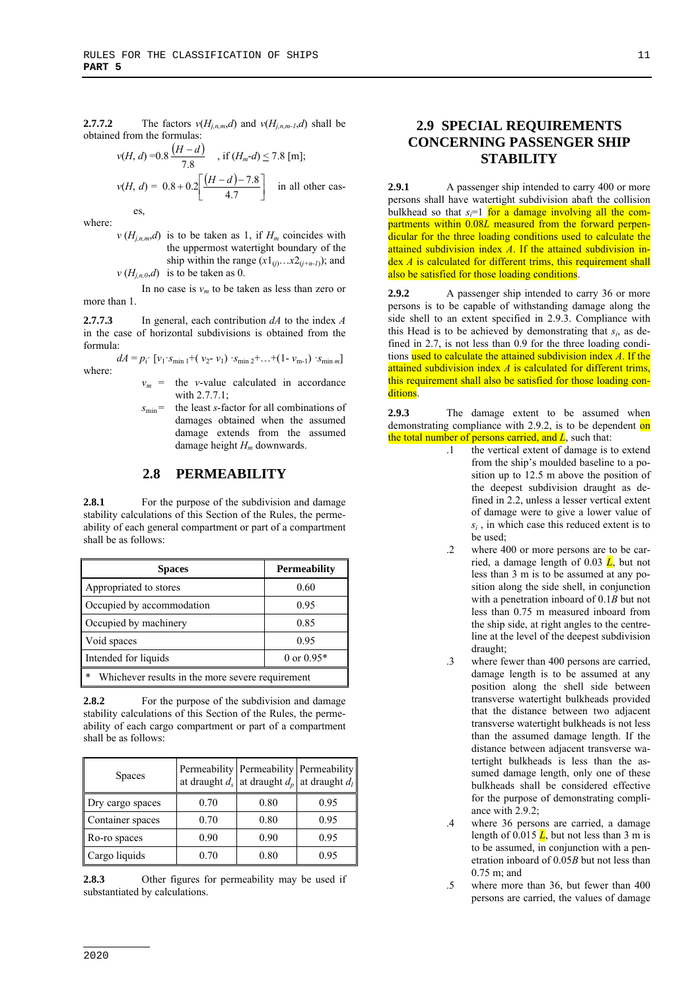**2.7.7.2** The factors  $v(H_{i,n,m},d)$  and  $v(H_{i,n,m-1},d)$  shall be obtained from the formulas:

$$
v(H, d) = 0.8 \frac{(H - d)}{7.8}
$$
, if  $(H_m - d) \le 7.8$  [m];  
 $v(H, d) = 0.8 + 0.2 \left[ \frac{(H - d) - 7.8}{4.7} \right]$  in all other case.  
es.

where:

 $v(H_{i,n,m},d)$  is to be taken as 1, if  $H_m$  coincides with the uppermost watertight boundary of the ship within the range  $(x1_{(j)}...x2_{(j+n-1)})$ ; and  $v(H_{i,n,0},d)$  is to be taken as 0.

In no case is  $v_m$  to be taken as less than zero or more than 1.

**2.7.7.3** In general, each contribution *dA* to the index *A* in the case of horizontal subdivisions is obtained from the formula:

 $dA = p_i$ ;  $[v_1 \cdot s_{\min 1} + (v_2 \cdot v_1) \cdot s_{\min 2} + ... + (1 \cdot v_{m-1}) \cdot s_{\min m}]$ where:

 $v_m$  = the *v*-value calculated in accordance with 2.7.7.1;

 $s_{\text{min}}$  = the least *s*-factor for all combinations of damages obtained when the assumed damage extends from the assumed damage height *Hm* downwards.

#### **2.8 PERMEABILITY**

**2.8.1** For the purpose of the subdivision and damage stability calculations of this Section of the Rules, the permeability of each general compartment or part of a compartment shall be as follows:

| <b>Spaces</b>                                           | <b>Permeability</b> |
|---------------------------------------------------------|---------------------|
| Appropriated to stores                                  | 0.60                |
| Occupied by accommodation                               | 0.95                |
| Occupied by machinery                                   | 0.85                |
| Void spaces                                             | 0.95                |
| Intended for liquids                                    | 0 or $0.95*$        |
| $*$<br>Whichever results in the more severe requirement |                     |

**2.8.2** For the purpose of the subdivision and damage stability calculations of this Section of the Rules, the permeability of each cargo compartment or part of a compartment shall be as follows:

| <b>Spaces</b>    |      | Permeability   Permeability   Permeability<br>at draught $d_s$ at draught $d_p$ at draught $d_l$ |      |
|------------------|------|--------------------------------------------------------------------------------------------------|------|
| Dry cargo spaces | 0.70 | 0.80                                                                                             | 0.95 |
| Container spaces | 0.70 | 0.80                                                                                             | 0.95 |
| Ro-ro spaces     | 0.90 | 0.90                                                                                             | 0.95 |
| Cargo liquids    | 0.70 | 0.80                                                                                             | 0.95 |

**2.8.3** Other figures for permeability may be used if substantiated by calculations.

## **2.9 SPECIAL REQUIREMENTS CONCERNING PASSENGER SHIP STABILITY**

**2.9.1** A passenger ship intended to carry 400 or more persons shall have watertight subdivision abaft the collision bulkhead so that  $s_i=1$  for a damage involving all the compartments within 0.08*L* measured from the forward perpendicular for the three loading conditions used to calculate the attained subdivision index *A*. If the attained subdivision index *A* is calculated for different trims, this requirement shall also be satisfied for those loading conditions.

2.9.2 A passenger ship intended to carry 36 or more persons is to be capable of withstanding damage along the side shell to an extent specified in 2.9.3. Compliance with this Head is to be achieved by demonstrating that  $s_i$ , as defined in 2.7, is not less than 0.9 for the three loading conditions used to calculate the attained subdivision index *A*. If the attained subdivision index *A* is calculated for different trims, this requirement shall also be satisfied for those loading conditions.

**2.9.3** The damage extent to be assumed when demonstrating compliance with 2.9.2, is to be dependent on the total number of persons carried, and *L*, such that:

- .1 the vertical extent of damage is to extend from the ship's moulded baseline to a position up to 12.5 m above the position of the deepest subdivision draught as defined in 2.2, unless a lesser vertical extent of damage were to give a lower value of *si* , in which case this reduced extent is to be used;
- .2 where 400 or more persons are to be carried, a damage length of 0.03 *L*, but not less than 3 m is to be assumed at any position along the side shell, in conjunction with a penetration inboard of 0.1*B* but not less than 0.75 m measured inboard from the ship side, at right angles to the centreline at the level of the deepest subdivision draught;
- .3 where fewer than 400 persons are carried, damage length is to be assumed at any position along the shell side between transverse watertight bulkheads provided that the distance between two adjacent transverse watertight bulkheads is not less than the assumed damage length. If the distance between adjacent transverse watertight bulkheads is less than the assumed damage length, only one of these bulkheads shall be considered effective for the purpose of demonstrating compliance with 2.9.2;
- .4 where 36 persons are carried, a damage length of  $0.015 L$ , but not less than 3 m is to be assumed, in conjunction with a penetration inboard of 0.05*B* but not less than 0.75 m; and
- .5 where more than 36, but fewer than 400 persons are carried, the values of damage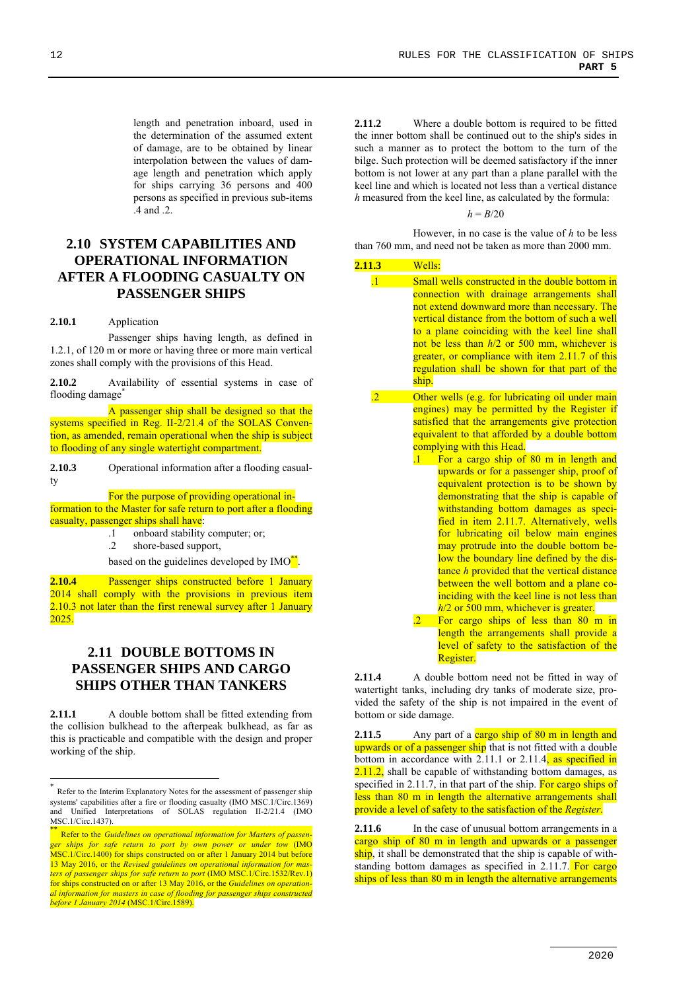length and penetration inboard, used in the determination of the assumed extent of damage, are to be obtained by linear interpolation between the values of damage length and penetration which apply for ships carrying 36 persons and 400 persons as specified in previous sub-items  $4$  and  $2$ .

## **2.10 SYSTEM CAPABILITIES AND OPERATIONAL INFORMATION AFTER A FLOODING CASUALTY ON PASSENGER SHIPS**

**2.10.1** Application

Passenger ships having length, as defined in 1.2.1, of 120 m or more or having three or more main vertical zones shall comply with the provisions of this Head.

**2.10.2** Availability of essential systems in case of flooding damage<sup>\*</sup>

A passenger ship shall be designed so that the systems specified in Reg. II-2/21.4 of the SOLAS Convention, as amended, remain operational when the ship is subject to flooding of any single watertight compartment.

**2.10.3** Operational information after a flooding casualty

For the purpose of providing operational information to the Master for safe return to port after a flooding casualty, passenger ships shall have:

- .1 onboard stability computer; or;
- .2 shore-based support,

based on the guidelines developed by  $IMO^{\ast\ast}$ .

**2.10.4** Passenger ships constructed before 1 January 2014 shall comply with the provisions in previous item 2.10.3 not later than the first renewal survey after 1 January 2025.

## **2.11 DOUBLE BOTTOMS IN PASSENGER SHIPS AND CARGO SHIPS OTHER THAN TANKERS**

**2.11.1** A double bottom shall be fitted extending from the collision bulkhead to the afterpeak bulkhead, as far as this is practicable and compatible with the design and proper working of the ship.

 $\overline{a}$ 

**2.11.2** Where a double bottom is required to be fitted the inner bottom shall be continued out to the ship's sides in such a manner as to protect the bottom to the turn of the bilge. Such protection will be deemed satisfactory if the inner bottom is not lower at any part than a plane parallel with the keel line and which is located not less than a vertical distance *h* measured from the keel line, as calculated by the formula:

 $h = R/20$ 

However, in no case is the value of *h* to be less than 760 mm, and need not be taken as more than 2000 mm.

#### **2.11.3** Wells: .1 Small wells constructed in the double bottom in connection with drainage arrangements shall not extend downward more than necessary. The vertical distance from the bottom of such a well to a plane coinciding with the keel line shall not be less than *h*/2 or 500 mm, whichever is greater, or compliance with item 2.11.7 of this regulation shall be shown for that part of the ship.

- Other wells (e.g. for lubricating oil under main engines) may be permitted by the Register if satisfied that the arrangements give protection equivalent to that afforded by a double bottom complying with this Head.
	- .1 For a cargo ship of 80 m in length and upwards or for a passenger ship, proof of equivalent protection is to be shown by demonstrating that the ship is capable of withstanding bottom damages as specified in item 2.11.7. Alternatively, wells for lubricating oil below main engines may protrude into the double bottom below the boundary line defined by the distance *h* provided that the vertical distance between the well bottom and a plane coinciding with the keel line is not less than *h*/2 or 500 mm, whichever is greater.
	- For cargo ships of less than 80 m in length the arrangements shall provide a level of safety to the satisfaction of the Register.

**2.11.4** A double bottom need not be fitted in way of watertight tanks, including dry tanks of moderate size, provided the safety of the ship is not impaired in the event of bottom or side damage.

**2.11.5** Any part of a **cargo ship of 80 m in length and** upwards or of a passenger ship that is not fitted with a double bottom in accordance with 2.11.1 or 2.11.4, as specified in  $2.11.2$ , shall be capable of withstanding bottom damages, as specified in 2.11.7, in that part of the ship. For cargo ships of less than 80 m in length the alternative arrangements shall provide a level of safety to the satisfaction of the *Register*.

**2.11.6** In the case of unusual bottom arrangements in a cargo ship of 80 m in length and upwards or a passenger ship, it shall be demonstrated that the ship is capable of withstanding bottom damages as specified in 2.11.7. For cargo ships of less than 80 m in length the alternative arrangements

Refer to the Interim Explanatory Notes for the assessment of passenger ship systems' capabilities after a fire or flooding casualty (IMO MSC.1/Circ.1369) and Unified Interpretations of SOLAS regulation II-2/21.4 (IMO MSC.1/Circ.1437).

Refer to the *Guidelines on operational information for Masters of passenger ships for safe return to port by own power or under tow* (IMO MSC.1/Circ.1400) for ships constructed on or after 1 January 2014 but before 13 May 2016, or the *Revised guidelines on operational information for masters of passenger ships for safe return to port* (IMO MSC.1/Circ.1532/Rev.1) for ships constructed on or after 13 May 2016, or the *Guidelines on operational information for masters in case of flooding for passenger ships constructed before 1 January 2014* (MSC.1/Circ.1589).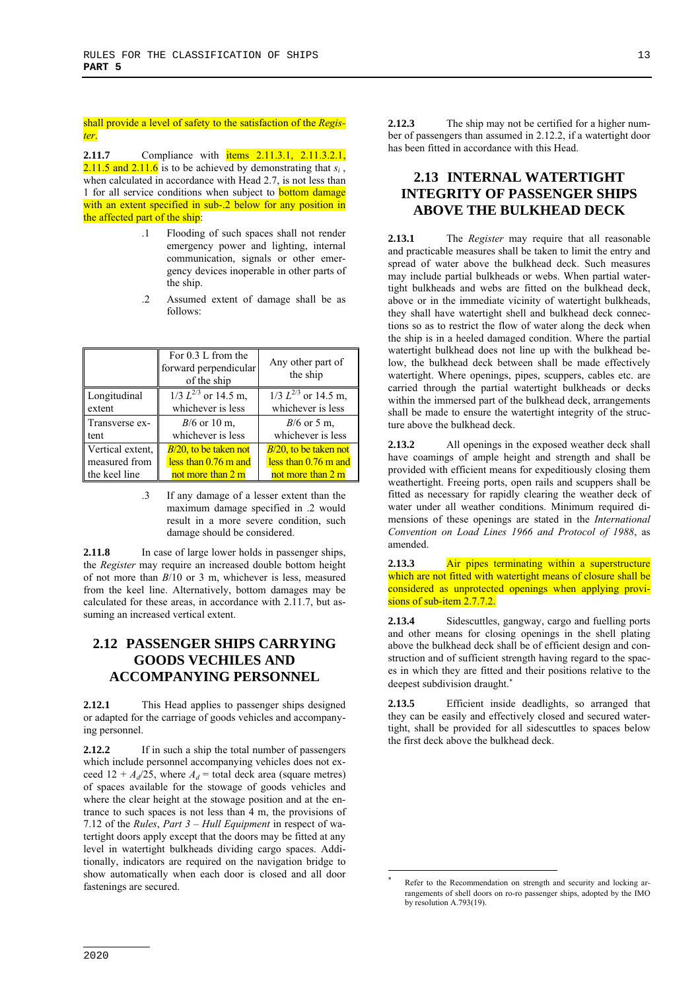#### shall provide a level of safety to the satisfaction of the *Register*.

**2.11.7** Compliance with **items 2.11.3.1, 2.11.3.2.1**, 2.11.5 and 2.11.6 is to be achieved by demonstrating that  $s_i$ , when calculated in accordance with Head 2.7, is not less than 1 for all service conditions when subject to **bottom damage** with an extent specified in sub-.2 below for any position in the affected part of the ship:

- .1 Flooding of such spaces shall not render emergency power and lighting, internal communication, signals or other emergency devices inoperable in other parts of the ship.
- .2 Assumed extent of damage shall be as follows:

|                  | For 0.3 L from the<br>forward perpendicular<br>of the ship | Any other part of<br>the ship    |
|------------------|------------------------------------------------------------|----------------------------------|
| Longitudinal     | $1/3 L^{2/3}$ or 14.5 m,                                   | $\frac{1}{3} L^{2/3}$ or 14.5 m, |
| extent           | whichever is less                                          | whichever is less                |
| Transverse ex-   | $B/6$ or 10 m,                                             | $B/6$ or 5 m,                    |
| tent             | whichever is less                                          | whichever is less                |
| Vertical extent. | $B/20$ , to be taken not                                   | $B/20$ , to be taken not         |
| measured from    | less than 0.76 m and                                       | less than 0.76 m and             |
| the keel line    | not more than 2 m                                          | not more than 2 m                |

.3 If any damage of a lesser extent than the maximum damage specified in .2 would result in a more severe condition, such damage should be considered.

**2.11.8** In case of large lower holds in passenger ships, the *Register* may require an increased double bottom height of not more than *B*/10 or 3 m, whichever is less, measured from the keel line. Alternatively, bottom damages may be calculated for these areas, in accordance with 2.11.7, but assuming an increased vertical extent.

## **2.12 PASSENGER SHIPS CARRYING GOODS VECHILES AND ACCOMPANYING PERSONNEL**

2.12.1 This Head applies to passenger ships designed or adapted for the carriage of goods vehicles and accompanying personnel.

**2.12.2** If in such a ship the total number of passengers which include personnel accompanying vehicles does not exceed  $12 + A_d/25$ , where  $A_d$  = total deck area (square metres) of spaces available for the stowage of goods vehicles and where the clear height at the stowage position and at the entrance to such spaces is not less than 4 m, the provisions of 7.12 of the *Rules*, *Part 3 – Hull Equipment* in respect of watertight doors apply except that the doors may be fitted at any level in watertight bulkheads dividing cargo spaces. Additionally, indicators are required on the navigation bridge to show automatically when each door is closed and all door fastenings are secured.

**2.12.3** The ship may not be certified for a higher number of passengers than assumed in 2.12.2, if a watertight door has been fitted in accordance with this Head.

## **2.13 INTERNAL WATERTIGHT INTEGRITY OF PASSENGER SHIPS ABOVE THE BULKHEAD DECK**

**2.13.1** The *Register* may require that all reasonable and practicable measures shall be taken to limit the entry and spread of water above the bulkhead deck. Such measures may include partial bulkheads or webs. When partial watertight bulkheads and webs are fitted on the bulkhead deck, above or in the immediate vicinity of watertight bulkheads, they shall have watertight shell and bulkhead deck connections so as to restrict the flow of water along the deck when the ship is in a heeled damaged condition. Where the partial watertight bulkhead does not line up with the bulkhead below, the bulkhead deck between shall be made effectively watertight. Where openings, pipes, scuppers, cables etc. are carried through the partial watertight bulkheads or decks within the immersed part of the bulkhead deck, arrangements shall be made to ensure the watertight integrity of the structure above the bulkhead deck.

**2.13.2** All openings in the exposed weather deck shall have coamings of ample height and strength and shall be provided with efficient means for expeditiously closing them weathertight. Freeing ports, open rails and scuppers shall be fitted as necessary for rapidly clearing the weather deck of water under all weather conditions. Minimum required dimensions of these openings are stated in the *International Convention on Load Lines 1966 and Protocol of 1988*, as amended.

**2.13.3** Air pipes terminating within a superstructure which are not fitted with watertight means of closure shall be considered as unprotected openings when applying provisions of sub-item 2.7.7.2.

**2.13.4** Sidescuttles, gangway, cargo and fuelling ports and other means for closing openings in the shell plating above the bulkhead deck shall be of efficient design and construction and of sufficient strength having regard to the spaces in which they are fitted and their positions relative to the deepest subdivision draught.

**2.13.5** Efficient inside deadlights, so arranged that they can be easily and effectively closed and secured watertight, shall be provided for all sidescuttles to spaces below the first deck above the bulkhead deck.

Refer to the Recommendation on strength and security and locking arrangements of shell doors on ro-ro passenger ships, adopted by the IMO by resolution A.793(19).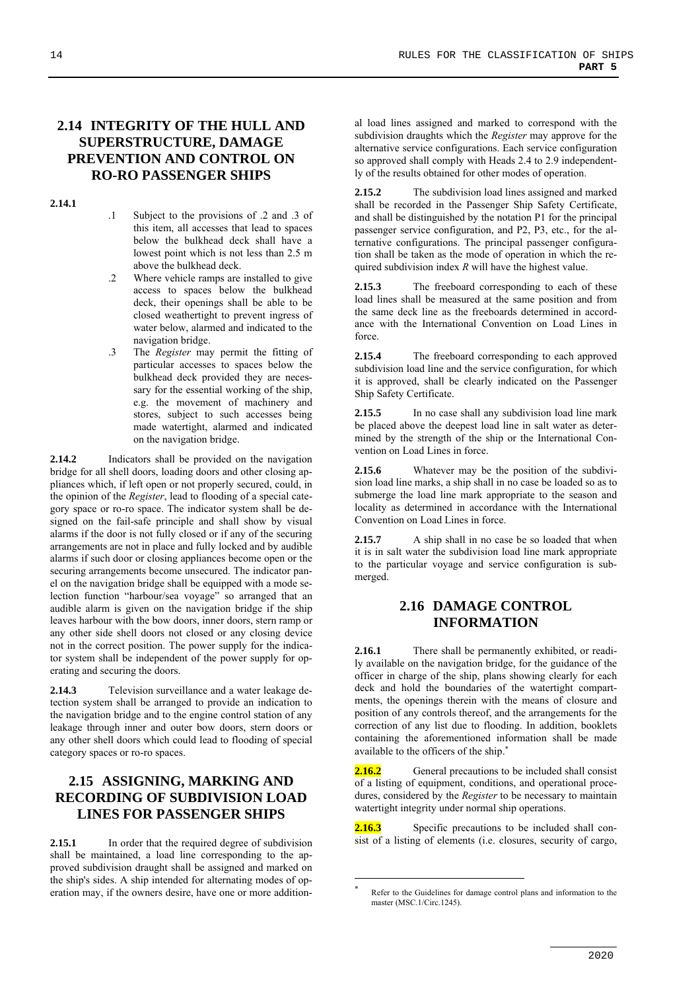## **2.14 INTEGRITY OF THE HULL AND SUPERSTRUCTURE, DAMAGE PREVENTION AND CONTROL ON RO-RO PASSENGER SHIPS**

#### **2.14.1**

- .1 Subject to the provisions of .2 and .3 of this item, all accesses that lead to spaces below the bulkhead deck shall have a lowest point which is not less than 2.5 m above the bulkhead deck.
- .2 Where vehicle ramps are installed to give access to spaces below the bulkhead deck, their openings shall be able to be closed weathertight to prevent ingress of water below, alarmed and indicated to the navigation bridge.
- .3 The *Register* may permit the fitting of particular accesses to spaces below the bulkhead deck provided they are necessary for the essential working of the ship, e.g. the movement of machinery and stores, subject to such accesses being made watertight, alarmed and indicated on the navigation bridge.

**2.14.2** Indicators shall be provided on the navigation bridge for all shell doors, loading doors and other closing appliances which, if left open or not properly secured, could, in the opinion of the *Register*, lead to flooding of a special category space or ro-ro space. The indicator system shall be designed on the fail-safe principle and shall show by visual alarms if the door is not fully closed or if any of the securing arrangements are not in place and fully locked and by audible alarms if such door or closing appliances become open or the securing arrangements become unsecured. The indicator panel on the navigation bridge shall be equipped with a mode selection function "harbour/sea voyage" so arranged that an audible alarm is given on the navigation bridge if the ship leaves harbour with the bow doors, inner doors, stern ramp or any other side shell doors not closed or any closing device not in the correct position. The power supply for the indicator system shall be independent of the power supply for operating and securing the doors.

**2.14.3** Television surveillance and a water leakage detection system shall be arranged to provide an indication to the navigation bridge and to the engine control station of any leakage through inner and outer bow doors, stern doors or any other shell doors which could lead to flooding of special category spaces or ro-ro spaces.

## **2.15 ASSIGNING, MARKING AND RECORDING OF SUBDIVISION LOAD LINES FOR PASSENGER SHIPS**

**2.15.1** In order that the required degree of subdivision shall be maintained, a load line corresponding to the approved subdivision draught shall be assigned and marked on the ship's sides. A ship intended for alternating modes of operation may, if the owners desire, have one or more additional load lines assigned and marked to correspond with the subdivision draughts which the *Register* may approve for the alternative service configurations. Each service configuration so approved shall comply with Heads 2.4 to 2.9 independently of the results obtained for other modes of operation.

**2.15.2** The subdivision load lines assigned and marked shall be recorded in the Passenger Ship Safety Certificate, and shall be distinguished by the notation P1 for the principal passenger service configuration, and P2, P3, etc., for the alternative configurations. The principal passenger configuration shall be taken as the mode of operation in which the required subdivision index *R* will have the highest value.

**2.15.3** The freeboard corresponding to each of these load lines shall be measured at the same position and from the same deck line as the freeboards determined in accordance with the International Convention on Load Lines in force.

**2.15.4** The freeboard corresponding to each approved subdivision load line and the service configuration, for which it is approved, shall be clearly indicated on the Passenger Ship Safety Certificate.

**2.15.5** In no case shall any subdivision load line mark be placed above the deepest load line in salt water as determined by the strength of the ship or the International Convention on Load Lines in force.

**2.15.6** Whatever may be the position of the subdivision load line marks, a ship shall in no case be loaded so as to submerge the load line mark appropriate to the season and locality as determined in accordance with the International Convention on Load Lines in force.

**2.15.7** A ship shall in no case be so loaded that when it is in salt water the subdivision load line mark appropriate to the particular voyage and service configuration is submerged.

### **2.16 DAMAGE CONTROL INFORMATION**

**2.16.1** There shall be permanently exhibited, or readily available on the navigation bridge, for the guidance of the officer in charge of the ship, plans showing clearly for each deck and hold the boundaries of the watertight compartments, the openings therein with the means of closure and position of any controls thereof, and the arrangements for the correction of any list due to flooding. In addition, booklets containing the aforementioned information shall be made available to the officers of the ship.

**2.16.2** General precautions to be included shall consist of a listing of equipment, conditions, and operational procedures, considered by the *Register* to be necessary to maintain watertight integrity under normal ship operations.

**2.16.3** Specific precautions to be included shall consist of a listing of elements (i.e. closures, security of cargo,

Refer to the Guidelines for damage control plans and information to the master (MSC.1/Circ.1245).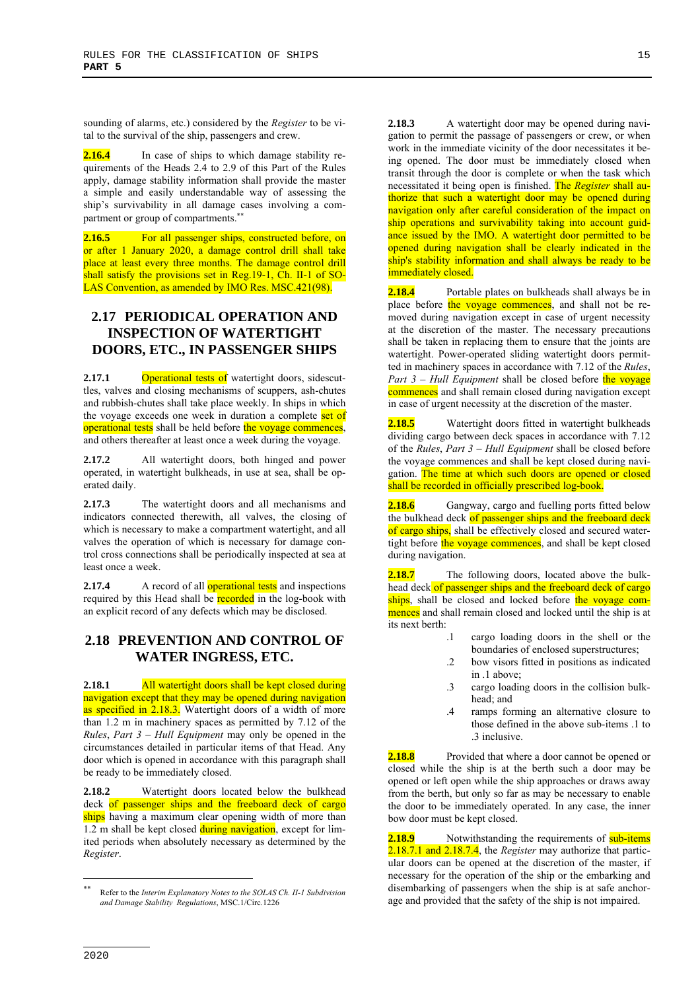sounding of alarms, etc.) considered by the *Register* to be vital to the survival of the ship, passengers and crew.

**2.16.4** In case of ships to which damage stability requirements of the Heads 2.4 to 2.9 of this Part of the Rules apply, damage stability information shall provide the master a simple and easily understandable way of assessing the ship's survivability in all damage cases involving a compartment or group of compartments.

**2.16.5** For all passenger ships, constructed before, on or after 1 January 2020, a damage control drill shall take place at least every three months. The damage control drill shall satisfy the provisions set in Reg.19-1, Ch. II-1 of SO-LAS Convention, as amended by IMO Res. MSC.421(98).

## **2.17 PERIODICAL OPERATION AND INSPECTION OF WATERTIGHT DOORS, ETC., IN PASSENGER SHIPS**

**2.17.1** Operational tests of watertight doors, sidescuttles, valves and closing mechanisms of scuppers, ash-chutes and rubbish-chutes shall take place weekly. In ships in which the voyage exceeds one week in duration a complete set of operational tests shall be held before the voyage commences, and others thereafter at least once a week during the voyage.

**2.17.2** All watertight doors, both hinged and power operated, in watertight bulkheads, in use at sea, shall be operated daily.

**2.17.3** The watertight doors and all mechanisms and indicators connected therewith, all valves, the closing of which is necessary to make a compartment watertight, and all valves the operation of which is necessary for damage control cross connections shall be periodically inspected at sea at least once a week.

**2.17.4** A record of all **operational tests** and inspections required by this Head shall be **recorded** in the log-book with an explicit record of any defects which may be disclosed.

## **2.18 PREVENTION AND CONTROL OF WATER INGRESS, ETC.**

**2.18.1** All watertight doors shall be kept closed during navigation except that they may be opened during navigation as specified in 2.18.3. Watertight doors of a width of more than 1.2 m in machinery spaces as permitted by 7.12 of the *Rules*, *Part 3 – Hull Equipment* may only be opened in the circumstances detailed in particular items of that Head. Any door which is opened in accordance with this paragraph shall be ready to be immediately closed.

**2.18.2** Watertight doors located below the bulkhead deck of passenger ships and the freeboard deck of cargo ships having a maximum clear opening width of more than  $1.2 \text{ m}$  shall be kept closed during navigation, except for limited periods when absolutely necessary as determined by the *Register*.

**2.18.3** A watertight door may be opened during navigation to permit the passage of passengers or crew, or when work in the immediate vicinity of the door necessitates it being opened. The door must be immediately closed when transit through the door is complete or when the task which necessitated it being open is finished. The *Register* shall authorize that such a watertight door may be opened during navigation only after careful consideration of the impact on ship operations and survivability taking into account guidance issued by the IMO. A watertight door permitted to be opened during navigation shall be clearly indicated in the ship's stability information and shall always be ready to be immediately closed.

**2.18.4** Portable plates on bulkheads shall always be in place before the voyage commences, and shall not be removed during navigation except in case of urgent necessity at the discretion of the master. The necessary precautions shall be taken in replacing them to ensure that the joints are watertight. Power-operated sliding watertight doors permitted in machinery spaces in accordance with 7.12 of the *Rules*, *Part 3 – Hull Equipment* shall be closed before the voyage commences and shall remain closed during navigation except in case of urgent necessity at the discretion of the master.

**2.18.5** Watertight doors fitted in watertight bulkheads dividing cargo between deck spaces in accordance with 7.12 of the *Rules*, *Part 3 – Hull Equipment* shall be closed before the voyage commences and shall be kept closed during navigation. The time at which such doors are opened or closed shall be recorded in officially prescribed log-book.

**2.18.6** Gangway, cargo and fuelling ports fitted below the bulkhead deck of passenger ships and the freeboard deck of cargo ships, shall be effectively closed and secured watertight before the voyage commences, and shall be kept closed during navigation.

**2.18.7** The following doors, located above the bulkhead deck of passenger ships and the freeboard deck of cargo ships, shall be closed and locked before the voyage commences and shall remain closed and locked until the ship is at its next berth:

- .1 cargo loading doors in the shell or the boundaries of enclosed superstructures;
- .2 bow visors fitted in positions as indicated in .1 above;
- .3 cargo loading doors in the collision bulkhead; and
- .4 ramps forming an alternative closure to those defined in the above sub-items .1 to .3 inclusive.

**2.18.8** Provided that where a door cannot be opened or closed while the ship is at the berth such a door may be opened or left open while the ship approaches or draws away from the berth, but only so far as may be necessary to enable the door to be immediately operated. In any case, the inner bow door must be kept closed.

Notwithstanding the requirements of sub-items 2.18.7.1 and 2.18.7.4, the *Register* may authorize that particular doors can be opened at the discretion of the master, if necessary for the operation of the ship or the embarking and disembarking of passengers when the ship is at safe anchorage and provided that the safety of the ship is not impaired.

Refer to the *Interim Explanatory Notes to the SOLAS Ch. II-1 Subdivision and Damage Stability Regulations*, MSC.1/Circ.1226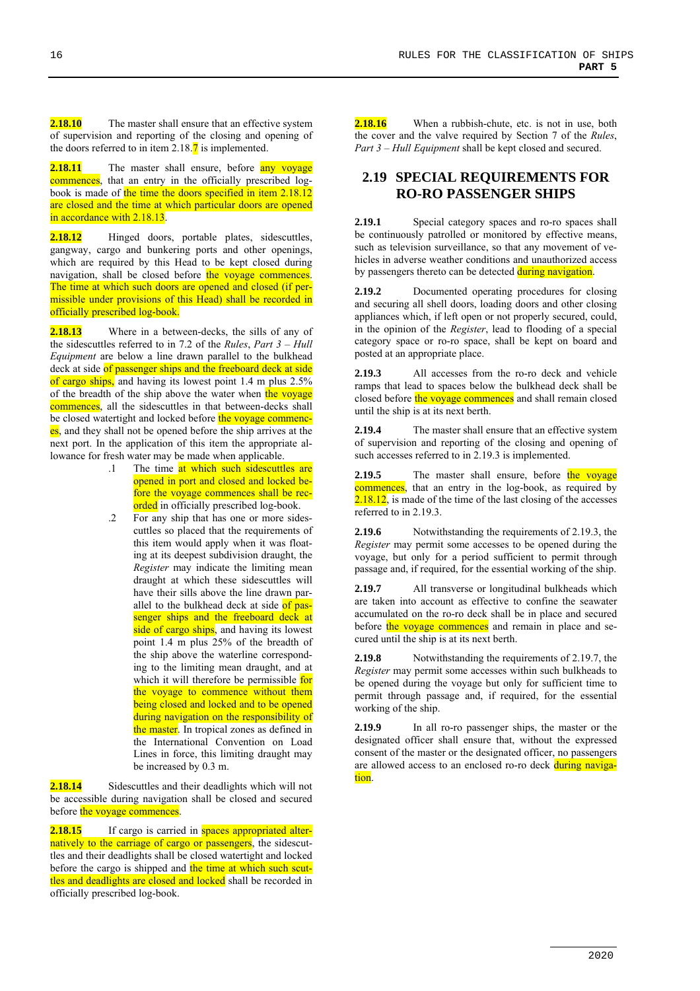**2.18.10** The master shall ensure that an effective system of supervision and reporting of the closing and opening of the doors referred to in item  $2.18.\overline{7}$  is implemented.

**2.18.11** The master shall ensure, before any voyage commences, that an entry in the officially prescribed logbook is made of the time the doors specified in item 2.18.12 are closed and the time at which particular doors are opened in accordance with 2.18.13.

2.18.12 Hinged doors, portable plates, sidescuttles, gangway, cargo and bunkering ports and other openings, which are required by this Head to be kept closed during navigation, shall be closed before the voyage commences. The time at which such doors are opened and closed (if permissible under provisions of this Head) shall be recorded in officially prescribed log-book.

**2.18.13** Where in a between-decks, the sills of any of the sidescuttles referred to in 7.2 of the *Rules*, *Part 3 – Hull Equipment* are below a line drawn parallel to the bulkhead deck at side of passenger ships and the freeboard deck at side of cargo ships, and having its lowest point 1.4 m plus 2.5% of the breadth of the ship above the water when the voyage commences, all the sidescuttles in that between-decks shall be closed watertight and locked before the voyage commences, and they shall not be opened before the ship arrives at the next port. In the application of this item the appropriate allowance for fresh water may be made when applicable.

- .1 The time at which such sidescuttles are opened in port and closed and locked before the voyage commences shall be recorded in officially prescribed log-book.
- .2 For any ship that has one or more sidescuttles so placed that the requirements of this item would apply when it was floating at its deepest subdivision draught, the *Register* may indicate the limiting mean draught at which these sidescuttles will have their sills above the line drawn parallel to the bulkhead deck at side of passenger ships and the freeboard deck at side of cargo ships, and having its lowest point 1.4 m plus 25% of the breadth of the ship above the waterline corresponding to the limiting mean draught, and at which it will therefore be permissible for the voyage to commence without them being closed and locked and to be opened during navigation on the responsibility of the master. In tropical zones as defined in the International Convention on Load Lines in force, this limiting draught may be increased by 0.3 m.

**2.18.14** Sidescuttles and their deadlights which will not be accessible during navigation shall be closed and secured before the voyage commences.

**2.18.15** If cargo is carried in **spaces appropriated alter**natively to the carriage of cargo or passengers, the sidescuttles and their deadlights shall be closed watertight and locked before the cargo is shipped and the time at which such scuttles and deadlights are closed and locked shall be recorded in officially prescribed log-book.

**2.18.16** When a rubbish-chute, etc. is not in use, both the cover and the valve required by Section 7 of the *Rules*, *Part 3 – Hull Equipment* shall be kept closed and secured.

## **2.19 SPECIAL REQUIREMENTS FOR RO-RO PASSENGER SHIPS**

**2.19.1** Special category spaces and ro-ro spaces shall be continuously patrolled or monitored by effective means, such as television surveillance, so that any movement of vehicles in adverse weather conditions and unauthorized access by passengers thereto can be detected during navigation.

**2.19.2** Documented operating procedures for closing and securing all shell doors, loading doors and other closing appliances which, if left open or not properly secured, could, in the opinion of the *Register*, lead to flooding of a special category space or ro-ro space, shall be kept on board and posted at an appropriate place.

**2.19.3** All accesses from the ro-ro deck and vehicle ramps that lead to spaces below the bulkhead deck shall be closed before the voyage commences and shall remain closed until the ship is at its next berth.

**2.19.4** The master shall ensure that an effective system of supervision and reporting of the closing and opening of such accesses referred to in 2.19.3 is implemented.

**2.19.5** The master shall ensure, before the voyage commences, that an entry in the log-book, as required by  $2.18.12$ , is made of the time of the last closing of the accesses referred to in 2.19.3.

**2.19.6** Notwithstanding the requirements of 2.19.3, the *Register* may permit some accesses to be opened during the voyage, but only for a period sufficient to permit through passage and, if required, for the essential working of the ship.

**2.19.7** All transverse or longitudinal bulkheads which are taken into account as effective to confine the seawater accumulated on the ro-ro deck shall be in place and secured before the voyage commences and remain in place and secured until the ship is at its next berth.

**2.19.8** Notwithstanding the requirements of 2.19.7, the *Register* may permit some accesses within such bulkheads to be opened during the voyage but only for sufficient time to permit through passage and, if required, for the essential working of the ship.

**2.19.9** In all ro-ro passenger ships, the master or the designated officer shall ensure that, without the expressed consent of the master or the designated officer, no passengers are allowed access to an enclosed ro-ro deck during navigation.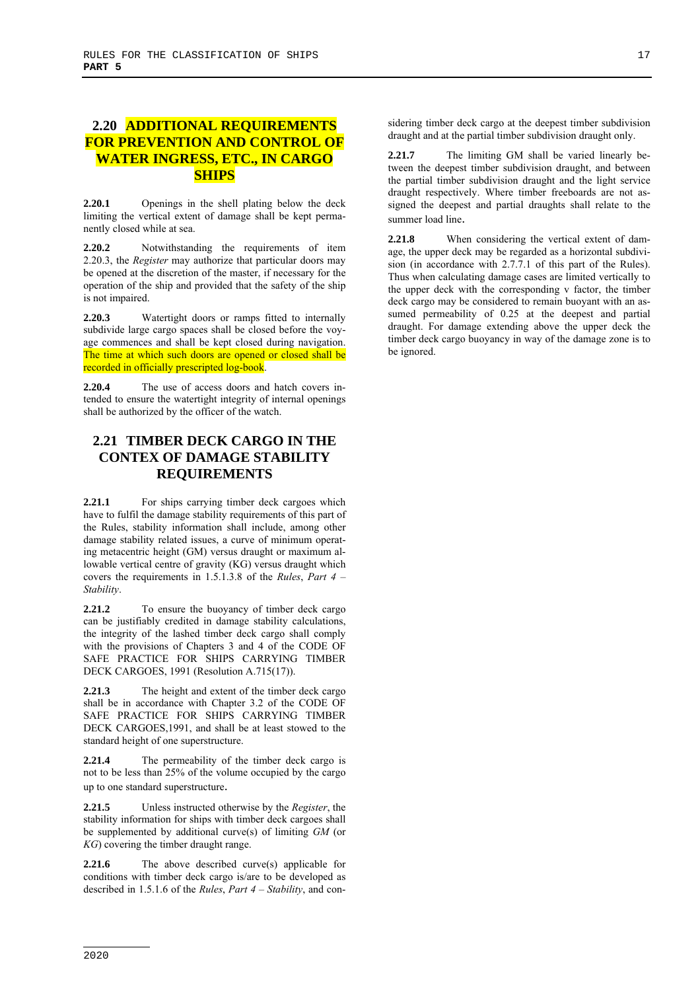## **2.20 ADDITIONAL REQUIREMENTS FOR PREVENTION AND CONTROL OF WATER INGRESS, ETC., IN CARGO SHIPS**

**2.20.1** Openings in the shell plating below the deck limiting the vertical extent of damage shall be kept permanently closed while at sea.

**2.20.2** Notwithstanding the requirements of item 2.20.3, the *Register* may authorize that particular doors may be opened at the discretion of the master, if necessary for the operation of the ship and provided that the safety of the ship is not impaired.

**2.20.3** Watertight doors or ramps fitted to internally subdivide large cargo spaces shall be closed before the voyage commences and shall be kept closed during navigation. The time at which such doors are opened or closed shall be recorded in officially prescripted log-book.

**2.20.4** The use of access doors and hatch covers intended to ensure the watertight integrity of internal openings shall be authorized by the officer of the watch.

## **2.21 TIMBER DECK CARGO IN THE CONTEX OF DAMAGE STABILITY REQUIREMENTS**

2.21.1 For ships carrying timber deck cargoes which have to fulfil the damage stability requirements of this part of the Rules, stability information shall include, among other damage stability related issues, a curve of minimum operating metacentric height (GM) versus draught or maximum allowable vertical centre of gravity (KG) versus draught which covers the requirements in 1.5.1.3.8 of the *Rules*, *Part 4 – Stability*.

**2.21.2** To ensure the buoyancy of timber deck cargo can be justifiably credited in damage stability calculations, the integrity of the lashed timber deck cargo shall comply with the provisions of Chapters 3 and 4 of the CODE OF SAFE PRACTICE FOR SHIPS CARRYING TIMBER DECK CARGOES, 1991 (Resolution A.715(17)).

**2.21.3** The height and extent of the timber deck cargo shall be in accordance with Chapter 3.2 of the CODE OF SAFE PRACTICE FOR SHIPS CARRYING TIMBER DECK CARGOES,1991, and shall be at least stowed to the standard height of one superstructure.

**2.21.4** The permeability of the timber deck cargo is not to be less than 25% of the volume occupied by the cargo up to one standard superstructure.

**2.21.5** Unless instructed otherwise by the *Register*, the stability information for ships with timber deck cargoes shall be supplemented by additional curve(s) of limiting *GM* (or *KG*) covering the timber draught range.

**2.21.6** The above described curve(s) applicable for conditions with timber deck cargo is/are to be developed as described in 1.5.1.6 of the *Rules*, *Part 4 – Stability*, and considering timber deck cargo at the deepest timber subdivision draught and at the partial timber subdivision draught only.

The limiting GM shall be varied linearly between the deepest timber subdivision draught, and between the partial timber subdivision draught and the light service draught respectively. Where timber freeboards are not assigned the deepest and partial draughts shall relate to the summer load line.

**2.21.8** When considering the vertical extent of damage, the upper deck may be regarded as a horizontal subdivision (in accordance with 2.7.7.1 of this part of the Rules). Thus when calculating damage cases are limited vertically to the upper deck with the corresponding v factor, the timber deck cargo may be considered to remain buoyant with an assumed permeability of 0.25 at the deepest and partial draught. For damage extending above the upper deck the timber deck cargo buoyancy in way of the damage zone is to be ignored.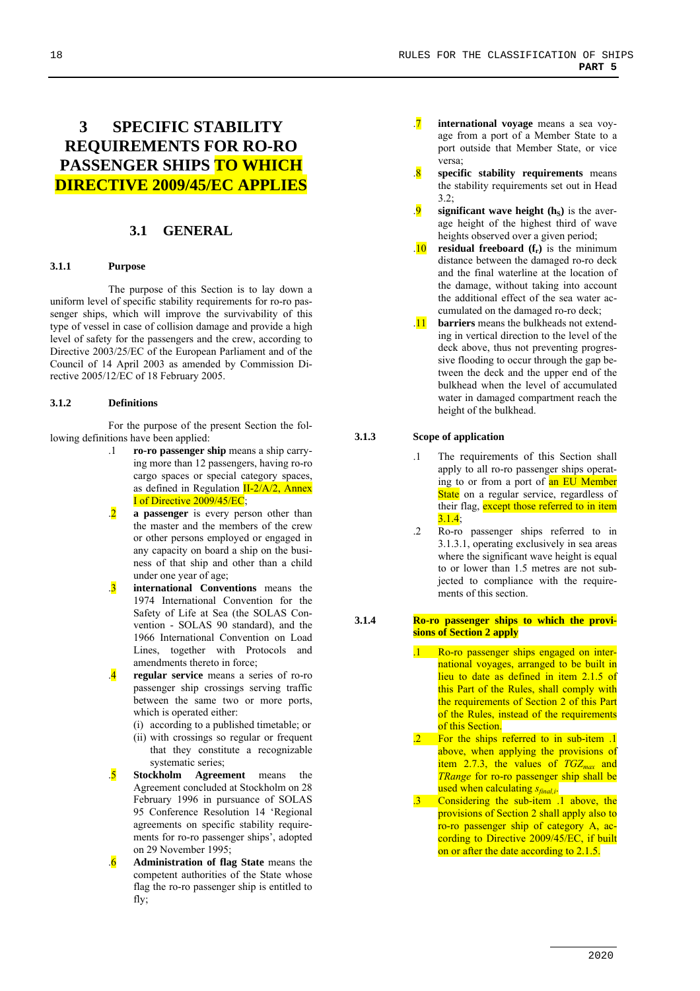## **3 SPECIFIC STABILITY REQUIREMENTS FOR RO-RO PASSENGER SHIPS TO WHICH DIRECTIVE 2009/45/EC APPLIES**

## **3.1 GENERAL**

#### **3.1.1 Purpose**

The purpose of this Section is to lay down a uniform level of specific stability requirements for ro-ro passenger ships, which will improve the survivability of this type of vessel in case of collision damage and provide a high level of safety for the passengers and the crew, according to Directive 2003/25/EC of the European Parliament and of the Council of 14 April 2003 as amended by Commission Directive 2005/12/EC of 18 February 2005.

#### **3.1.2 Definitions**

For the purpose of the present Section the following definitions have been applied:

- .1 **ro-ro passenger ship** means a ship carrying more than 12 passengers, having ro-ro cargo spaces or special category spaces, as defined in Regulation  $II-2/A/2$ , Annex I of Directive 2009/45/EC;
- .2 **a passenger** is every person other than the master and the members of the crew or other persons employed or engaged in any capacity on board a ship on the business of that ship and other than a child under one year of age;
- **international Conventions** means the 1974 International Convention for the Safety of Life at Sea (the SOLAS Convention - SOLAS 90 standard), and the 1966 International Convention on Load Lines, together with Protocols and amendments thereto in force;
- regular service means a series of ro-ro passenger ship crossings serving traffic between the same two or more ports, which is operated either:
	- (i) according to a published timetable; or
	- (ii) with crossings so regular or frequent that they constitute a recognizable systematic series;
- .5 **Stockholm Agreement** means the Agreement concluded at Stockholm on 28 February 1996 in pursuance of SOLAS 95 Conference Resolution 14 'Regional agreements on specific stability requirements for ro-ro passenger ships', adopted on 29 November 1995;
- .6 **Administration of flag State** means the competent authorities of the State whose flag the ro-ro passenger ship is entitled to fly;
- .7 **international voyage** means a sea voyage from a port of a Member State to a port outside that Member State, or vice versa;
- specific stability requirements means the stability requirements set out in Head  $3.2$
- significant wave height  $(h<sub>S</sub>)$  is the average height of the highest third of wave heights observed over a given period;
- **residual freeboard (f<sub>r</sub>)** is the minimum distance between the damaged ro-ro deck and the final waterline at the location of the damage, without taking into account the additional effect of the sea water accumulated on the damaged ro-ro deck;
- .11 **barriers** means the bulkheads not extending in vertical direction to the level of the deck above, thus not preventing progressive flooding to occur through the gap between the deck and the upper end of the bulkhead when the level of accumulated water in damaged compartment reach the height of the bulkhead.

#### **3.1.3 Scope of application**

- .1 The requirements of this Section shall apply to all ro-ro passenger ships operating to or from a port of an EU Member State on a regular service, regardless of their flag, except those referred to in item  $3.1.4$ ;
- .2 Ro-ro passenger ships referred to in 3.1.3.1, operating exclusively in sea areas where the significant wave height is equal to or lower than 1.5 metres are not subjected to compliance with the requirements of this section.

#### **3.1.4 Ro-ro passenger ships to which the provisions of Section 2 apply**

- Ro-ro passenger ships engaged on international voyages, arranged to be built in lieu to date as defined in item 2.1.5 of this Part of the Rules, shall comply with the requirements of Section 2 of this Part of the Rules, instead of the requirements of this Section.
- For the ships referred to in sub-item .1 above, when applying the provisions of item 2.7.3, the values of *TGZmax* and *TRange* for ro-ro passenger ship shall be used when calculating *s<sub>final,i*</sub>.
- .3 Considering the sub-item .1 above, the provisions of Section 2 shall apply also to ro-ro passenger ship of category A, according to Directive 2009/45/EC, if built on or after the date according to 2.1.5.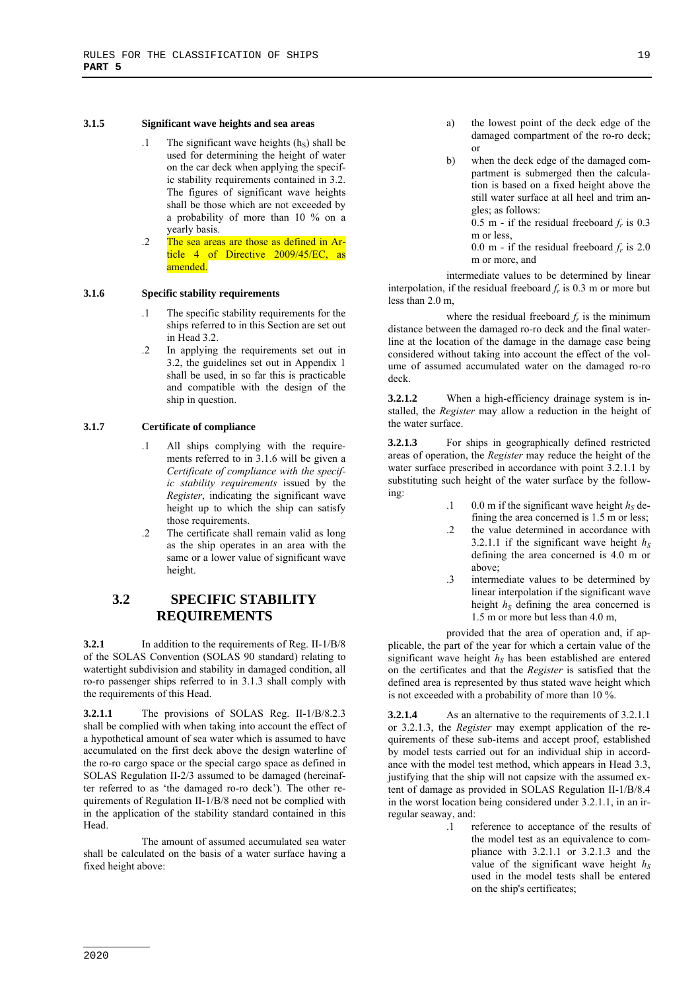#### **3.1.5 Significant wave heights and sea areas**

- .1 The significant wave heights  $(h<sub>s</sub>)$  shall be used for determining the height of water on the car deck when applying the specific stability requirements contained in 3.2. The figures of significant wave heights shall be those which are not exceeded by a probability of more than 10 % on a yearly basis.
- 2 The sea areas are those as defined in Article 4 of Directive 2009/45/EC, as amended.

#### **3.1.6 Specific stability requirements**

- .1 The specific stability requirements for the ships referred to in this Section are set out in Head 3.2.
- .2 In applying the requirements set out in 3.2, the guidelines set out in Appendix 1 shall be used, in so far this is practicable and compatible with the design of the ship in question.

#### **3.1.7 Certificate of compliance**

- .1 All ships complying with the requirements referred to in 3.1.6 will be given a *Certificate of compliance with the specific stability requirements* issued by the *Register*, indicating the significant wave height up to which the ship can satisfy those requirements.
- .2 The certificate shall remain valid as long as the ship operates in an area with the same or a lower value of significant wave height.

## **3.2 SPECIFIC STABILITY REQUIREMENTS**

**3.2.1** In addition to the requirements of Reg. II-1/B/8 of the SOLAS Convention (SOLAS 90 standard) relating to watertight subdivision and stability in damaged condition, all ro-ro passenger ships referred to in 3.1.3 shall comply with the requirements of this Head.

**3.2.1.1** The provisions of SOLAS Reg. II-1/B/8.2.3 shall be complied with when taking into account the effect of a hypothetical amount of sea water which is assumed to have accumulated on the first deck above the design waterline of the ro-ro cargo space or the special cargo space as defined in SOLAS Regulation II-2/3 assumed to be damaged (hereinafter referred to as 'the damaged ro-ro deck'). The other requirements of Regulation II-1/B/8 need not be complied with in the application of the stability standard contained in this Head.

The amount of assumed accumulated sea water shall be calculated on the basis of a water surface having a fixed height above:

- a) the lowest point of the deck edge of the damaged compartment of the ro-ro deck; or
- b) when the deck edge of the damaged compartment is submerged then the calculation is based on a fixed height above the still water surface at all heel and trim angles; as follows:

0.5 m - if the residual freeboard  $f_r$  is 0.3 m or less,

0.0 m - if the residual freeboard  $f_r$  is 2.0 m or more, and

intermediate values to be determined by linear interpolation, if the residual freeboard  $f_r$  is 0.3 m or more but less than 2.0 m,

where the residual freeboard  $f<sub>r</sub>$  is the minimum distance between the damaged ro-ro deck and the final waterline at the location of the damage in the damage case being considered without taking into account the effect of the volume of assumed accumulated water on the damaged ro-ro deck.

**3.2.1.2** When a high-efficiency drainage system is installed, the *Register* may allow a reduction in the height of the water surface.

**3.2.1.3** For ships in geographically defined restricted areas of operation, the *Register* may reduce the height of the water surface prescribed in accordance with point 3.2.1.1 by substituting such height of the water surface by the following:

- $1$  0.0 m if the significant wave height  $h<sub>S</sub>$  defining the area concerned is 1.5 m or less;
- .2 the value determined in accordance with 3.2.1.1 if the significant wave height  $h<sub>S</sub>$ defining the area concerned is 4.0 m or above;
- .3 intermediate values to be determined by linear interpolation if the significant wave height  $h<sub>S</sub>$  defining the area concerned is 1.5 m or more but less than 4.0 m,

provided that the area of operation and, if applicable, the part of the year for which a certain value of the significant wave height  $h<sub>S</sub>$  has been established are entered on the certificates and that the *Register* is satisfied that the defined area is represented by thus stated wave height which is not exceeded with a probability of more than 10 %.

**3.2.1.4** As an alternative to the requirements of 3.2.1.1 or 3.2.1.3, the *Register* may exempt application of the requirements of these sub-items and accept proof, established by model tests carried out for an individual ship in accordance with the model test method, which appears in Head 3.3, justifying that the ship will not capsize with the assumed extent of damage as provided in SOLAS Regulation II-1/B/8.4 in the worst location being considered under 3.2.1.1, in an irregular seaway, and:

.1 reference to acceptance of the results of the model test as an equivalence to compliance with 3.2.1.1 or 3.2.1.3 and the value of the significant wave height  $h<sub>S</sub>$ used in the model tests shall be entered on the ship's certificates;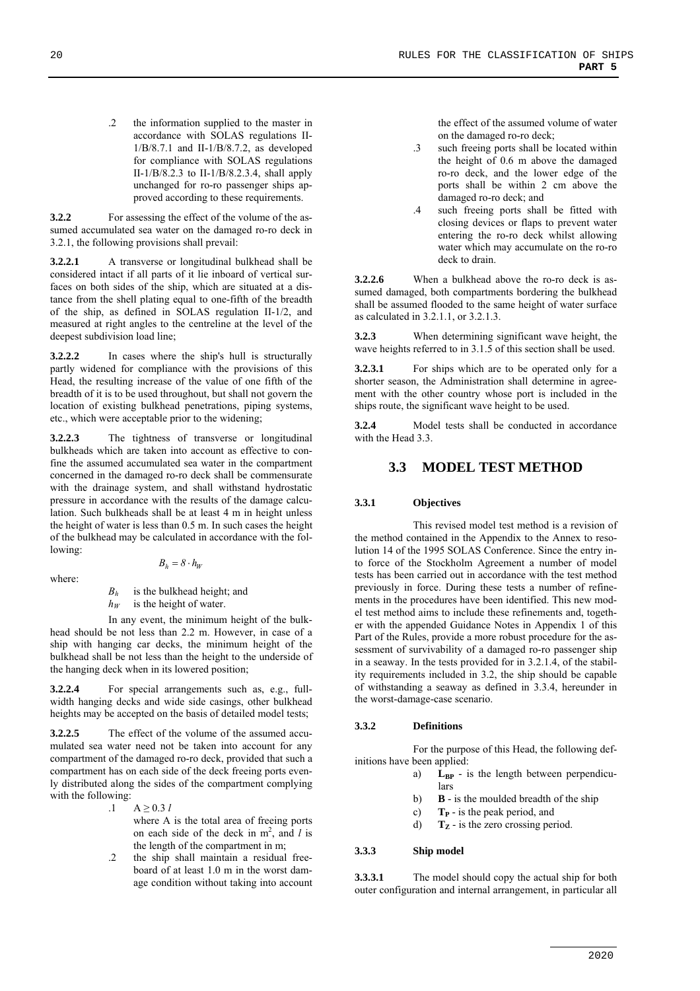.2 the information supplied to the master in accordance with SOLAS regulations II-1/B/8.7.1 and II-1/B/8.7.2, as developed for compliance with SOLAS regulations  $II-1/B/8.2.3$  to  $II-1/B/8.2.3.4$ , shall apply unchanged for ro-ro passenger ships approved according to these requirements.

**3.2.2** For assessing the effect of the volume of the assumed accumulated sea water on the damaged ro-ro deck in 3.2.1, the following provisions shall prevail:

**3.2.2.1** A transverse or longitudinal bulkhead shall be considered intact if all parts of it lie inboard of vertical surfaces on both sides of the ship, which are situated at a distance from the shell plating equal to one-fifth of the breadth of the ship, as defined in SOLAS regulation II-1/2, and measured at right angles to the centreline at the level of the deepest subdivision load line;

**3.2.2.2** In cases where the ship's hull is structurally partly widened for compliance with the provisions of this Head, the resulting increase of the value of one fifth of the breadth of it is to be used throughout, but shall not govern the location of existing bulkhead penetrations, piping systems, etc., which were acceptable prior to the widening;

**3.2.2.3** The tightness of transverse or longitudinal bulkheads which are taken into account as effective to confine the assumed accumulated sea water in the compartment concerned in the damaged ro-ro deck shall be commensurate with the drainage system, and shall withstand hydrostatic pressure in accordance with the results of the damage calculation. Such bulkheads shall be at least 4 m in height unless the height of water is less than 0.5 m. In such cases the height of the bulkhead may be calculated in accordance with the following:

where:

 $B_h = 8 \cdot h_W$ 

*Bh* is the bulkhead height; and

 $h_W$  is the height of water.

In any event, the minimum height of the bulkhead should be not less than 2.2 m. However, in case of a ship with hanging car decks, the minimum height of the bulkhead shall be not less than the height to the underside of the hanging deck when in its lowered position;

**3.2.2.4** For special arrangements such as, e.g., fullwidth hanging decks and wide side casings, other bulkhead heights may be accepted on the basis of detailed model tests;

The effect of the volume of the assumed accumulated sea water need not be taken into account for any compartment of the damaged ro-ro deck, provided that such a compartment has on each side of the deck freeing ports evenly distributed along the sides of the compartment complying with the following:

- $.1 \quad A \geq 0.3 l$ where A is the total area of freeing ports on each side of the deck in  $m^2$ , and *l* is the length of the compartment in m;
- .2 the ship shall maintain a residual freeboard of at least 1.0 m in the worst damage condition without taking into account

the effect of the assumed volume of water on the damaged ro-ro deck;

- .3 such freeing ports shall be located within the height of 0.6 m above the damaged ro-ro deck, and the lower edge of the ports shall be within 2 cm above the damaged ro-ro deck; and
- .4 such freeing ports shall be fitted with closing devices or flaps to prevent water entering the ro-ro deck whilst allowing water which may accumulate on the ro-ro deck to drain.

**3.2.2.6** When a bulkhead above the ro-ro deck is assumed damaged, both compartments bordering the bulkhead shall be assumed flooded to the same height of water surface as calculated in 3.2.1.1, or 3.2.1.3.

**3.2.3** When determining significant wave height, the wave heights referred to in 3.1.5 of this section shall be used.

**3.2.3.1** For ships which are to be operated only for a shorter season, the Administration shall determine in agreement with the other country whose port is included in the ships route, the significant wave height to be used.

**3.2.4** Model tests shall be conducted in accordance with the Head 3.3.

## **3.3 MODEL TEST METHOD**

#### **3.3.1 Objectives**

This revised model test method is a revision of the method contained in the Appendix to the Annex to resolution 14 of the 1995 SOLAS Conference. Since the entry into force of the Stockholm Agreement a number of model tests has been carried out in accordance with the test method previously in force. During these tests a number of refinements in the procedures have been identified. This new model test method aims to include these refinements and, together with the appended Guidance Notes in Appendix 1 of this Part of the Rules, provide a more robust procedure for the assessment of survivability of a damaged ro-ro passenger ship in a seaway. In the tests provided for in 3.2.1.4, of the stability requirements included in 3.2, the ship should be capable of withstanding a seaway as defined in 3.3.4, hereunder in the worst-damage-case scenario.

#### **3.3.2 Definitions**

For the purpose of this Head, the following definitions have been applied:

- a)  $\mathbf{L}_{\text{BP}}$  is the length between perpendiculars
- b) **B** is the moulded breadth of the ship
- c)  $\mathbf{T}_{\mathbf{P}}$  is the peak period, and
- d)  $T_{Z}$  is the zero crossing period.

#### **3.3.3 Ship model**

**3.3.3.1** The model should copy the actual ship for both outer configuration and internal arrangement, in particular all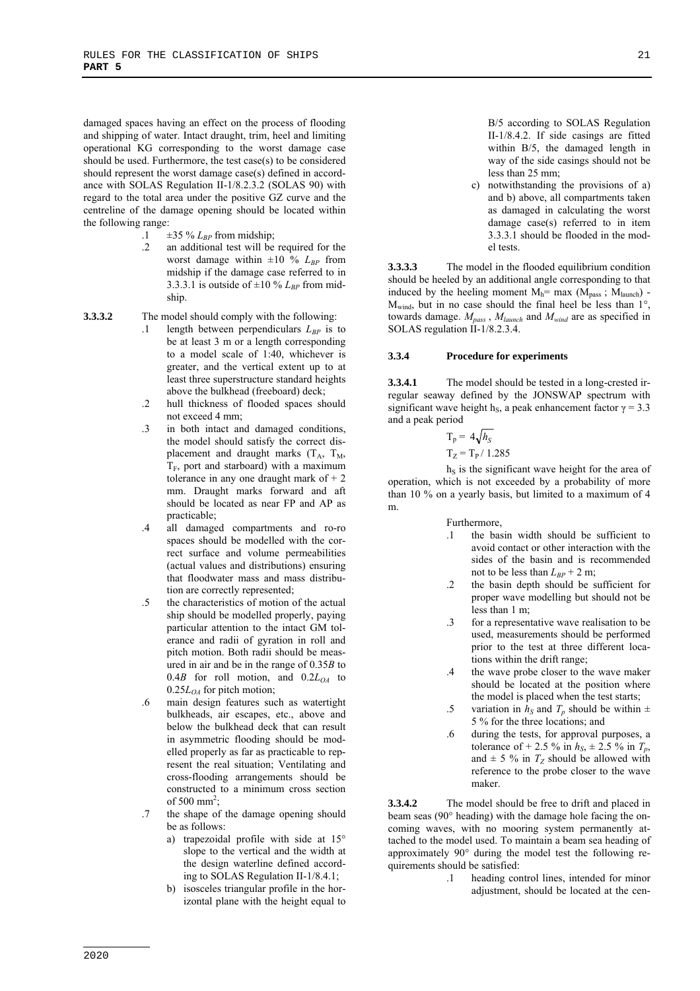damaged spaces having an effect on the process of flooding and shipping of water. Intact draught, trim, heel and limiting operational KG corresponding to the worst damage case should be used. Furthermore, the test case(s) to be considered should represent the worst damage case(s) defined in accordance with SOLAS Regulation II-1/8.2.3.2 (SOLAS 90) with regard to the total area under the positive GZ curve and the centreline of the damage opening should be located within the following range:

- $\pm 35 \% L_{BP}$  from midship;
- .2 an additional test will be required for the worst damage within  $\pm 10 \% L_{BP}$  from midship if the damage case referred to in 3.3.3.1 is outside of  $\pm 10\%$   $L_{BP}$  from midship.
- **3.3.3.2** The model should comply with the following:
	- length between perpendiculars  $L_{BP}$  is to be at least 3 m or a length corresponding to a model scale of 1:40, whichever is greater, and the vertical extent up to at least three superstructure standard heights above the bulkhead (freeboard) deck;
	- .2 hull thickness of flooded spaces should not exceed 4 mm;
	- .3 in both intact and damaged conditions, the model should satisfy the correct displacement and draught marks  $(T_A, T_M,$  $T_F$ , port and starboard) with a maximum tolerance in any one draught mark of  $+2$ mm. Draught marks forward and aft should be located as near FP and AP as practicable;
	- .4 all damaged compartments and ro-ro spaces should be modelled with the correct surface and volume permeabilities (actual values and distributions) ensuring that floodwater mass and mass distribution are correctly represented;
	- .5 the characteristics of motion of the actual ship should be modelled properly, paying particular attention to the intact GM tolerance and radii of gyration in roll and pitch motion. Both radii should be measured in air and be in the range of 0.35*B* to 0.4*B* for roll motion, and  $0.2L<sub>0.4</sub>$  to  $0.25L<sub>OA</sub>$  for pitch motion;
	- .6 main design features such as watertight bulkheads, air escapes, etc., above and below the bulkhead deck that can result in asymmetric flooding should be modelled properly as far as practicable to represent the real situation; Ventilating and cross-flooding arrangements should be constructed to a minimum cross section of 500 mm<sup>2</sup>;
	- .7 the shape of the damage opening should be as follows:
		- a) trapezoidal profile with side at 15° slope to the vertical and the width at the design waterline defined according to SOLAS Regulation II-1/8.4.1;
		- b) isosceles triangular profile in the horizontal plane with the height equal to

B/5 according to SOLAS Regulation II-1/8.4.2. If side casings are fitted within B/5, the damaged length in way of the side casings should not be less than 25 mm;

c) notwithstanding the provisions of a) and b) above, all compartments taken as damaged in calculating the worst damage case(s) referred to in item 3.3.3.1 should be flooded in the model tests.

**3.3.3.3** The model in the flooded equilibrium condition should be heeled by an additional angle corresponding to that induced by the heeling moment  $M_h$ = max ( $M_{pass}$ ;  $M_{launch}$ ) - $M_{wind}$ , but in no case should the final heel be less than  $1^{\circ}$ , towards damage. *Mpass* , *Mlaunch* and *Mwind* are as specified in SOLAS regulation II-1/8.2.3.4.

#### **3.3.4 Procedure for experiments**

**3.3.4.1** The model should be tested in a long-crested irregular seaway defined by the JONSWAP spectrum with significant wave height h<sub>S</sub>, a peak enhancement factor  $\gamma = 3.3$ and a peak period

$$
T_p = 4\sqrt{h_s}
$$
  
\n
$$
T_Z = T_P / 1.285
$$
  
\n
$$
h_s
$$
 is the significance

 $h<sub>S</sub>$  is the significant wave height for the area of operation, which is not exceeded by a probability of more than 10 % on a yearly basis, but limited to a maximum of 4 m.

Furthermore,

- .1 the basin width should be sufficient to avoid contact or other interaction with the sides of the basin and is recommended not to be less than  $L_{BP}$  + 2 m;
- .2 the basin depth should be sufficient for proper wave modelling but should not be less than 1 m;
- .3 for a representative wave realisation to be used, measurements should be performed prior to the test at three different locations within the drift range;
- .4 the wave probe closer to the wave maker should be located at the position where the model is placed when the test starts;
- .5 variation in  $h<sub>S</sub>$  and  $T<sub>p</sub>$  should be within  $\pm$ 5 % for the three locations; and
- .6 during the tests, for approval purposes, a tolerance of  $+ 2.5 \%$  in  $h_S$ ,  $\pm 2.5 \%$  in  $T_p$ , and  $\pm$  5 % in  $T_Z$  should be allowed with reference to the probe closer to the wave maker.

**3.3.4.2** The model should be free to drift and placed in beam seas (90° heading) with the damage hole facing the oncoming waves, with no mooring system permanently attached to the model used. To maintain a beam sea heading of approximately 90° during the model test the following requirements should be satisfied:

> .1 heading control lines, intended for minor adjustment, should be located at the cen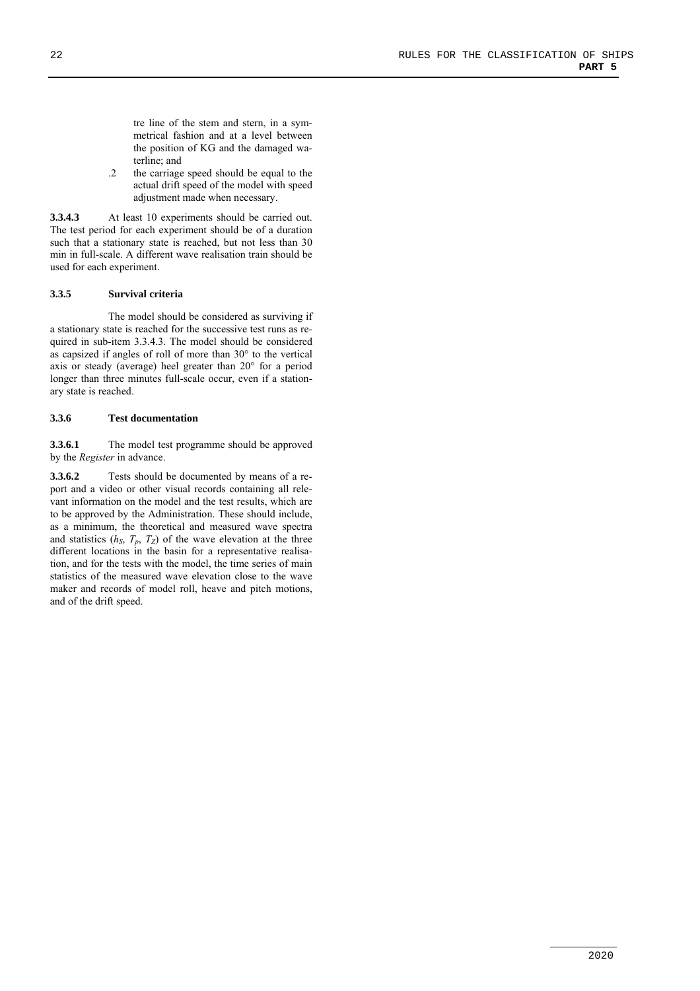tre line of the stem and stern, in a symmetrical fashion and at a level between the position of KG and the damaged waterline; and

.2 the carriage speed should be equal to the actual drift speed of the model with speed adjustment made when necessary.

**3.3.4.3** At least 10 experiments should be carried out. The test period for each experiment should be of a duration such that a stationary state is reached, but not less than 30 min in full-scale. A different wave realisation train should be used for each experiment.

#### **3.3.5 Survival criteria**

The model should be considered as surviving if a stationary state is reached for the successive test runs as required in sub-item 3.3.4.3. The model should be considered as capsized if angles of roll of more than 30° to the vertical axis or steady (average) heel greater than 20° for a period longer than three minutes full-scale occur, even if a stationary state is reached.

#### **3.3.6 Test documentation**

**3.3.6.1** The model test programme should be approved by the *Register* in advance.

**3.3.6.2** Tests should be documented by means of a report and a video or other visual records containing all relevant information on the model and the test results, which are to be approved by the Administration. These should include, as a minimum, the theoretical and measured wave spectra and statistics  $(h_S, T_p, T_Z)$  of the wave elevation at the three different locations in the basin for a representative realisation, and for the tests with the model, the time series of main statistics of the measured wave elevation close to the wave maker and records of model roll, heave and pitch motions, and of the drift speed.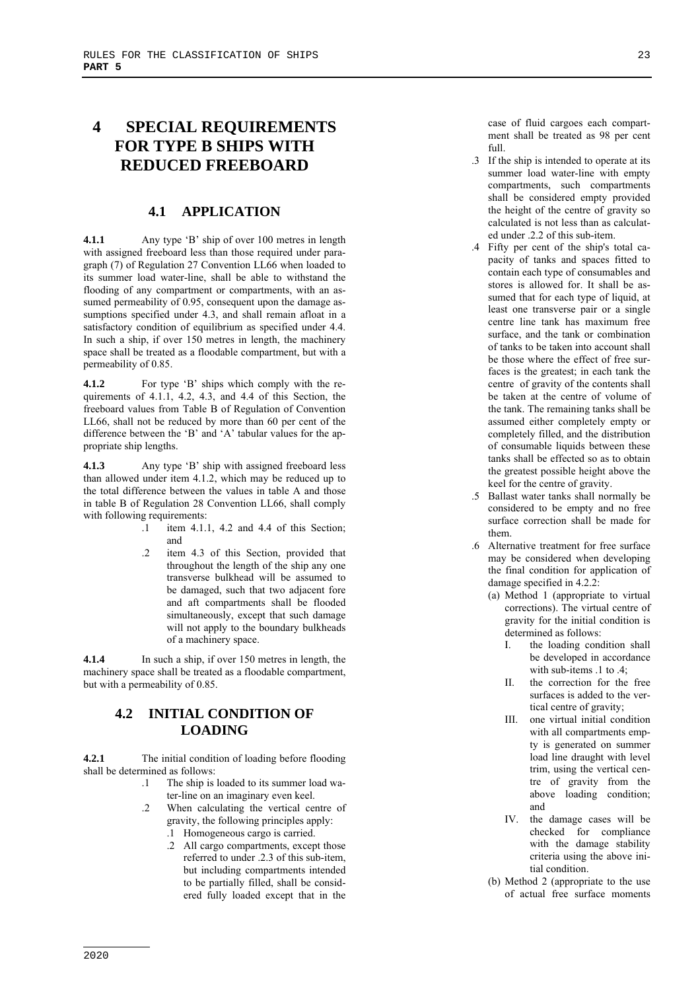## **4 SPECIAL REQUIREMENTS FOR TYPE B SHIPS WITH REDUCED FREEBOARD**

### **4.1 APPLICATION**

**4.1.1** Any type 'B' ship of over 100 metres in length with assigned freeboard less than those required under paragraph (7) of Regulation 27 Convention LL66 when loaded to its summer load water-line, shall be able to withstand the flooding of any compartment or compartments, with an assumed permeability of 0.95, consequent upon the damage assumptions specified under 4.3, and shall remain afloat in a satisfactory condition of equilibrium as specified under 4.4. In such a ship, if over 150 metres in length, the machinery space shall be treated as a floodable compartment, but with a permeability of 0.85.

**4.1.2** For type 'B' ships which comply with the requirements of  $4.1.1$ ,  $4.2$ ,  $4.3$ , and  $4.4$  of this Section, the freeboard values from Table B of Regulation of Convention LL66, shall not be reduced by more than 60 per cent of the difference between the 'B' and 'A' tabular values for the appropriate ship lengths.

**4.1.3** Any type 'B' ship with assigned freeboard less than allowed under item 4.1.2, which may be reduced up to the total difference between the values in table A and those in table B of Regulation 28 Convention LL66, shall comply with following requirements:

- .1 item 4.1.1, 4.2 and 4.4 of this Section; and
- .2 item 4.3 of this Section, provided that throughout the length of the ship any one transverse bulkhead will be assumed to be damaged, such that two adjacent fore and aft compartments shall be flooded simultaneously, except that such damage will not apply to the boundary bulkheads of a machinery space.

**4.1.4** In such a ship, if over 150 metres in length, the machinery space shall be treated as a floodable compartment, but with a permeability of 0.85.

## **4.2 INITIAL CONDITION OF LOADING**

**4.2.1** The initial condition of loading before flooding shall be determined as follows:

- .1 The ship is loaded to its summer load water-line on an imaginary even keel.
- .2 When calculating the vertical centre of gravity, the following principles apply:
	- .1 Homogeneous cargo is carried.
	- .2 All cargo compartments, except those referred to under .2.3 of this sub-item, but including compartments intended to be partially filled, shall be considered fully loaded except that in the

case of fluid cargoes each compartment shall be treated as 98 per cent full.

- .3 If the ship is intended to operate at its summer load water-line with empty compartments, such compartments shall be considered empty provided the height of the centre of gravity so calculated is not less than as calculated under .2.2 of this sub-item.
- .4 Fifty per cent of the ship's total capacity of tanks and spaces fitted to contain each type of consumables and stores is allowed for. It shall be assumed that for each type of liquid, at least one transverse pair or a single centre line tank has maximum free surface, and the tank or combination of tanks to be taken into account shall be those where the effect of free surfaces is the greatest; in each tank the centre of gravity of the contents shall be taken at the centre of volume of the tank. The remaining tanks shall be assumed either completely empty or completely filled, and the distribution of consumable liquids between these tanks shall be effected so as to obtain the greatest possible height above the keel for the centre of gravity.
- .5 Ballast water tanks shall normally be considered to be empty and no free surface correction shall be made for them.
- .6 Alternative treatment for free surface may be considered when developing the final condition for application of damage specified in 4.2.2:
	- (a) Method 1 (appropriate to virtual corrections). The virtual centre of gravity for the initial condition is determined as follows:
		- I. the loading condition shall be developed in accordance with sub-items .1 to .4;
		- II. the correction for the free surfaces is added to the vertical centre of gravity;
		- III. one virtual initial condition with all compartments empty is generated on summer load line draught with level trim, using the vertical centre of gravity from the above loading condition; and
		- IV. the damage cases will be checked for compliance with the damage stability criteria using the above initial condition.
	- (b) Method 2 (appropriate to the use of actual free surface moments

2020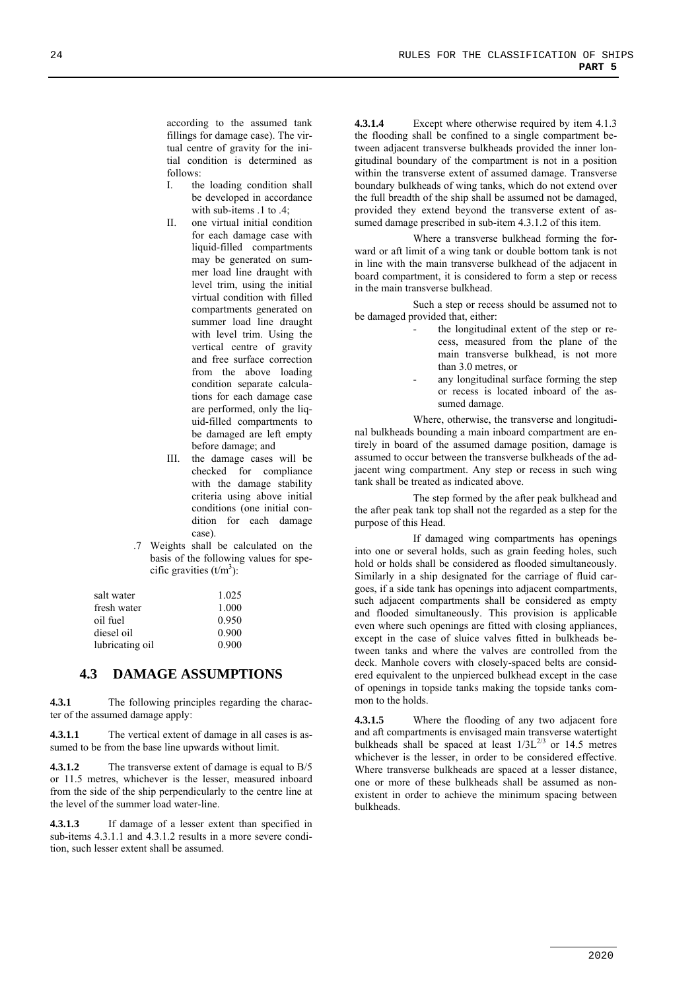according to the assumed tank fillings for damage case). The virtual centre of gravity for the initial condition is determined as follows:

- I. the loading condition shall be developed in accordance with sub-items .1 to .4;
- II. one virtual initial condition for each damage case with liquid-filled compartments may be generated on summer load line draught with level trim, using the initial virtual condition with filled compartments generated on summer load line draught with level trim. Using the vertical centre of gravity and free surface correction from the above loading condition separate calculations for each damage case are performed, only the liquid-filled compartments to be damaged are left empty before damage; and
- III. the damage cases will be checked for compliance with the damage stability criteria using above initial conditions (one initial condition for each damage case).
- .7 Weights shall be calculated on the basis of the following values for specific gravities  $(t/m^3)$ :

| salt water      | 1.025 |
|-----------------|-------|
| fresh water     | 1.000 |
| oil fuel        | 0.950 |
| diesel oil      | 0.900 |
| lubricating oil | 0.900 |

#### **4.3 DAMAGE ASSUMPTIONS**

**4.3.1** The following principles regarding the character of the assumed damage apply:

**4.3.1.1** The vertical extent of damage in all cases is assumed to be from the base line upwards without limit.

**4.3.1.2** The transverse extent of damage is equal to B/5 or 11.5 metres, whichever is the lesser, measured inboard from the side of the ship perpendicularly to the centre line at the level of the summer load water-line.

**4.3.1.3** If damage of a lesser extent than specified in sub-items 4.3.1.1 and 4.3.1.2 results in a more severe condition, such lesser extent shall be assumed.

**4.3.1.4** Except where otherwise required by item 4.1.3 the flooding shall be confined to a single compartment between adjacent transverse bulkheads provided the inner longitudinal boundary of the compartment is not in a position within the transverse extent of assumed damage. Transverse boundary bulkheads of wing tanks, which do not extend over the full breadth of the ship shall be assumed not be damaged, provided they extend beyond the transverse extent of assumed damage prescribed in sub-item 4.3.1.2 of this item.

Where a transverse bulkhead forming the forward or aft limit of a wing tank or double bottom tank is not in line with the main transverse bulkhead of the adjacent in board compartment, it is considered to form a step or recess in the main transverse bulkhead.

Such a step or recess should be assumed not to be damaged provided that, either:

- the longitudinal extent of the step or recess, measured from the plane of the main transverse bulkhead, is not more than 3.0 metres, or
- any longitudinal surface forming the step or recess is located inboard of the assumed damage.

Where, otherwise, the transverse and longitudinal bulkheads bounding a main inboard compartment are entirely in board of the assumed damage position, damage is assumed to occur between the transverse bulkheads of the adjacent wing compartment. Any step or recess in such wing tank shall be treated as indicated above.

The step formed by the after peak bulkhead and the after peak tank top shall not the regarded as a step for the purpose of this Head.

If damaged wing compartments has openings into one or several holds, such as grain feeding holes, such hold or holds shall be considered as flooded simultaneously. Similarly in a ship designated for the carriage of fluid cargoes, if a side tank has openings into adjacent compartments, such adjacent compartments shall be considered as empty and flooded simultaneously. This provision is applicable even where such openings are fitted with closing appliances, except in the case of sluice valves fitted in bulkheads between tanks and where the valves are controlled from the deck. Manhole covers with closely-spaced belts are considered equivalent to the unpierced bulkhead except in the case of openings in topside tanks making the topside tanks common to the holds.

**4.3.1.5** Where the flooding of any two adjacent fore and aft compartments is envisaged main transverse watertight bulkheads shall be spaced at least  $1/3L^{2/3}$  or 14.5 metres whichever is the lesser, in order to be considered effective. Where transverse bulkheads are spaced at a lesser distance, one or more of these bulkheads shall be assumed as nonexistent in order to achieve the minimum spacing between bulkheads.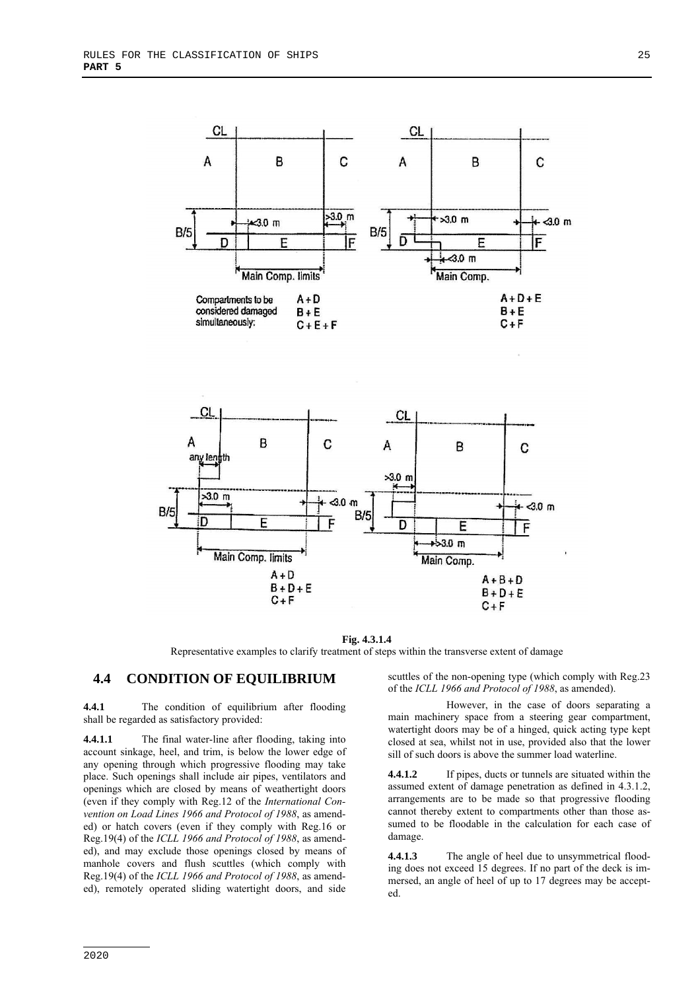

**Fig. 4.3.1.4** 

Representative examples to clarify treatment of steps within the transverse extent of damage

#### **4.4 CONDITION OF EQUILIBRIUM**

**4.4.1** The condition of equilibrium after flooding shall be regarded as satisfactory provided:

**4.4.1.1** The final water-line after flooding, taking into account sinkage, heel, and trim, is below the lower edge of any opening through which progressive flooding may take place. Such openings shall include air pipes, ventilators and openings which are closed by means of weathertight doors (even if they comply with Reg.12 of the *International Convention on Load Lines 1966 and Protocol of 1988*, as amended) or hatch covers (even if they comply with Reg.16 or Reg.19(4) of the *ICLL 1966 and Protocol of 1988*, as amended), and may exclude those openings closed by means of manhole covers and flush scuttles (which comply with Reg.19(4) of the *ICLL 1966 and Protocol of 1988*, as amended), remotely operated sliding watertight doors, and side

scuttles of the non-opening type (which comply with Reg.23 of the *ICLL 1966 and Protocol of 1988*, as amended).

However, in the case of doors separating a main machinery space from a steering gear compartment, watertight doors may be of a hinged, quick acting type kept closed at sea, whilst not in use, provided also that the lower sill of such doors is above the summer load waterline.

**4.4.1.2** If pipes, ducts or tunnels are situated within the assumed extent of damage penetration as defined in 4.3.1.2, arrangements are to be made so that progressive flooding cannot thereby extent to compartments other than those assumed to be floodable in the calculation for each case of damage.

**4.4.1.3** The angle of heel due to unsymmetrical flooding does not exceed 15 degrees. If no part of the deck is immersed, an angle of heel of up to 17 degrees may be accepted.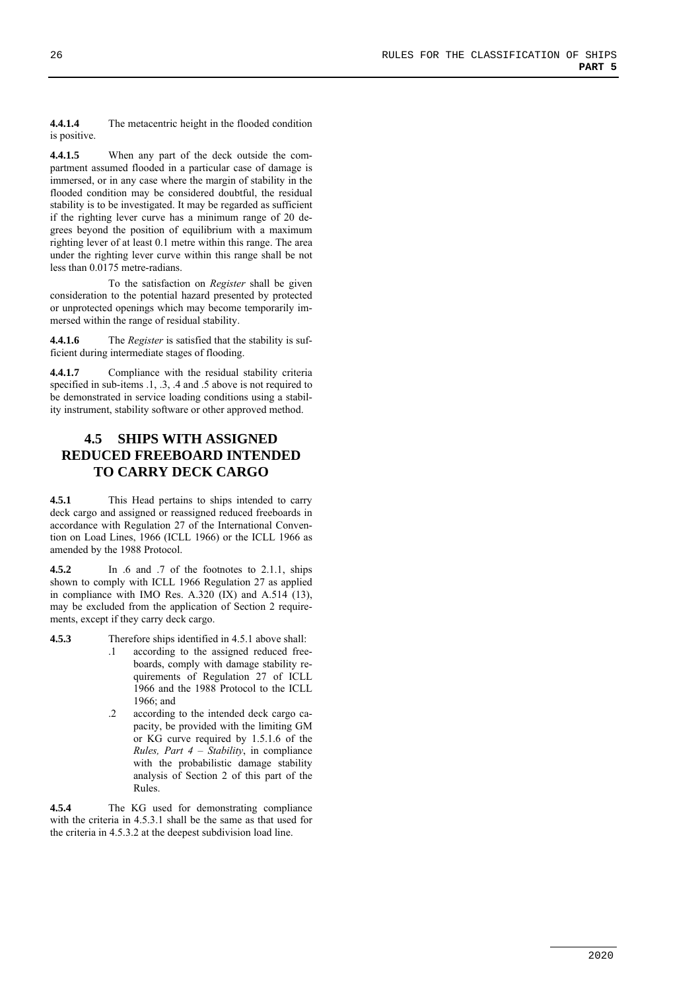**4.4.1.4** The metacentric height in the flooded condition is positive.

**4.4.1.5** When any part of the deck outside the compartment assumed flooded in a particular case of damage is immersed, or in any case where the margin of stability in the flooded condition may be considered doubtful, the residual stability is to be investigated. It may be regarded as sufficient if the righting lever curve has a minimum range of 20 degrees beyond the position of equilibrium with a maximum righting lever of at least 0.1 metre within this range. The area under the righting lever curve within this range shall be not less than 0.0175 metre-radians.

To the satisfaction on *Register* shall be given consideration to the potential hazard presented by protected or unprotected openings which may become temporarily immersed within the range of residual stability.

**4.4.1.6** The *Register* is satisfied that the stability is sufficient during intermediate stages of flooding.

**4.4.1.7** Compliance with the residual stability criteria specified in sub-items .1, .3, .4 and .5 above is not required to be demonstrated in service loading conditions using a stability instrument, stability software or other approved method.

## **4.5 SHIPS WITH ASSIGNED REDUCED FREEBOARD INTENDED TO CARRY DECK CARGO**

**4.5.1** This Head pertains to ships intended to carry deck cargo and assigned or reassigned reduced freeboards in accordance with Regulation 27 of the International Convention on Load Lines, 1966 (ICLL 1966) or the ICLL 1966 as amended by the 1988 Protocol.

**4.5.2** In .6 and .7 of the footnotes to 2.1.1, ships shown to comply with ICLL 1966 Regulation 27 as applied in compliance with IMO Res. A.320 (IX) and A.514 (13), may be excluded from the application of Section 2 requirements, except if they carry deck cargo.

- **4.5.3** Therefore ships identified in 4.5.1 above shall:
	- .1 according to the assigned reduced freeboards, comply with damage stability requirements of Regulation 27 of ICLL 1966 and the 1988 Protocol to the ICLL 1966; and
	- .2 according to the intended deck cargo capacity, be provided with the limiting GM or KG curve required by 1.5.1.6 of the *Rules, Part 4 – Stability*, in compliance with the probabilistic damage stability analysis of Section 2 of this part of the Rules.

**4.5.4** The KG used for demonstrating compliance with the criteria in 4.5.3.1 shall be the same as that used for the criteria in 4.5.3.2 at the deepest subdivision load line.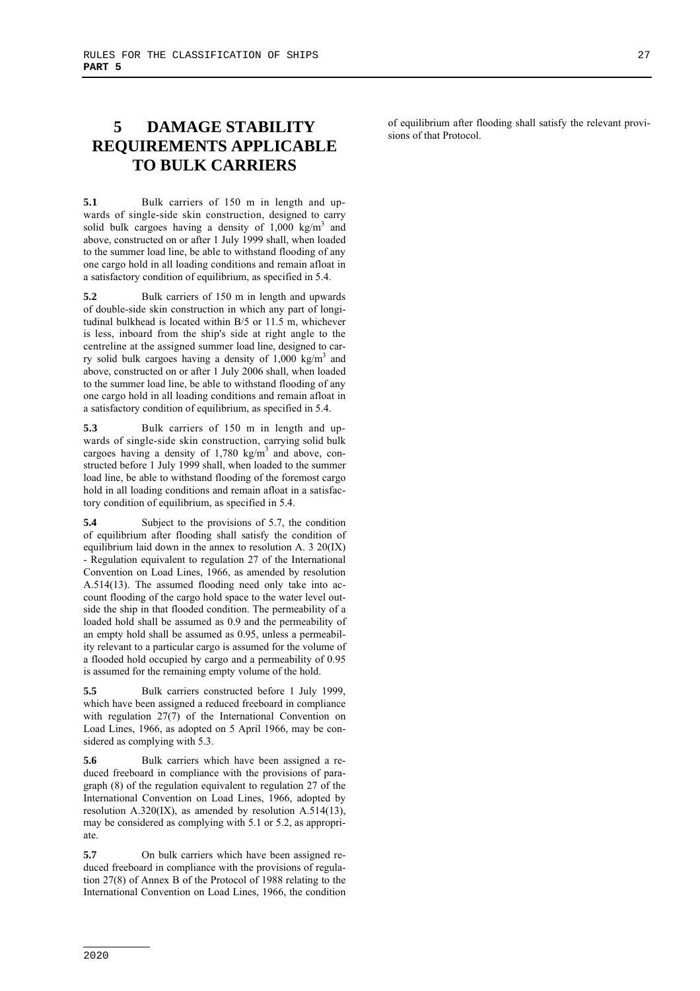## **5 DAMAGE STABILITY REQUIREMENTS APPLICABLE TO BULK CARRIERS**

**5.1** Bulk carriers of 150 m in length and upwards of single-side skin construction, designed to carry solid bulk cargoes having a density of  $1,000 \text{ kg/m}^3$  and above, constructed on or after 1 July 1999 shall, when loaded to the summer load line, be able to withstand flooding of any one cargo hold in all loading conditions and remain afloat in a satisfactory condition of equilibrium, as specified in 5.4.

**5.2** Bulk carriers of 150 m in length and upwards of double-side skin construction in which any part of longitudinal bulkhead is located within B/5 or 11.5 m, whichever is less, inboard from the ship's side at right angle to the centreline at the assigned summer load line, designed to carry solid bulk cargoes having a density of  $1,000 \text{ kg/m}^3$  and above, constructed on or after 1 July 2006 shall, when loaded to the summer load line, be able to withstand flooding of any one cargo hold in all loading conditions and remain afloat in a satisfactory condition of equilibrium, as specified in 5.4.

**5.3** Bulk carriers of 150 m in length and upwards of single-side skin construction, carrying solid bulk cargoes having a density of  $1,780 \text{ kg/m}^3$  and above, constructed before 1 July 1999 shall, when loaded to the summer load line, be able to withstand flooding of the foremost cargo hold in all loading conditions and remain afloat in a satisfactory condition of equilibrium, as specified in 5.4.

**5.4** Subject to the provisions of 5.7, the condition of equilibrium after flooding shall satisfy the condition of equilibrium laid down in the annex to resolution A. 3 20(IX) - Regulation equivalent to regulation 27 of the International Convention on Load Lines, 1966, as amended by resolution A.514(13). The assumed flooding need only take into account flooding of the cargo hold space to the water level outside the ship in that flooded condition. The permeability of a loaded hold shall be assumed as 0.9 and the permeability of an empty hold shall be assumed as 0.95, unless a permeability relevant to a particular cargo is assumed for the volume of a flooded hold occupied by cargo and a permeability of 0.95 is assumed for the remaining empty volume of the hold.

**5.5** Bulk carriers constructed before 1 July 1999, which have been assigned a reduced freeboard in compliance with regulation 27(7) of the International Convention on Load Lines, 1966, as adopted on 5 April 1966, may be considered as complying with 5.3.

**5.6** Bulk carriers which have been assigned a reduced freeboard in compliance with the provisions of paragraph (8) of the regulation equivalent to regulation 27 of the International Convention on Load Lines, 1966, adopted by resolution A.320 $(IX)$ , as amended by resolution A.514 $(13)$ , may be considered as complying with 5.1 or 5.2, as appropriate.

**5.7** On bulk carriers which have been assigned reduced freeboard in compliance with the provisions of regulation 27(8) of Annex B of the Protocol of 1988 relating to the International Convention on Load Lines, 1966, the condition

of equilibrium after flooding shall satisfy the relevant provisions of that Protocol.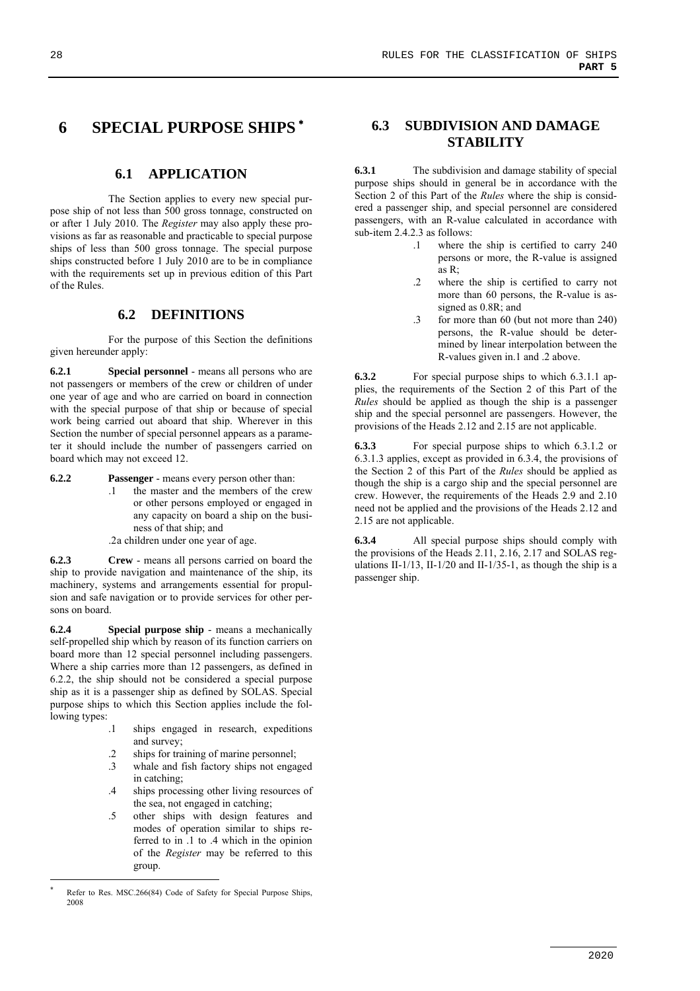## **6 SPECIAL PURPOSE SHIPS**

#### **6.1 APPLICATION**

The Section applies to every new special purpose ship of not less than 500 gross tonnage, constructed on or after 1 July 2010. The *Register* may also apply these provisions as far as reasonable and practicable to special purpose ships of less than 500 gross tonnage. The special purpose ships constructed before 1 July 2010 are to be in compliance with the requirements set up in previous edition of this Part of the Rules.

#### **6.2 DEFINITIONS**

For the purpose of this Section the definitions given hereunder apply:

**6.2.1 Special personnel** - means all persons who are not passengers or members of the crew or children of under one year of age and who are carried on board in connection with the special purpose of that ship or because of special work being carried out aboard that ship. Wherever in this Section the number of special personnel appears as a parameter it should include the number of passengers carried on board which may not exceed 12.

**6.2.2 Passenger** - means every person other than:

- .1 the master and the members of the crew or other persons employed or engaged in any capacity on board a ship on the business of that ship; and
- .2 a children under one year of age.

**6.2.3 Crew** - means all persons carried on board the ship to provide navigation and maintenance of the ship, its machinery, systems and arrangements essential for propulsion and safe navigation or to provide services for other persons on board.

**6.2.4 Special purpose ship** - means a mechanically self-propelled ship which by reason of its function carriers on board more than 12 special personnel including passengers. Where a ship carries more than 12 passengers, as defined in 6.2.2, the ship should not be considered a special purpose ship as it is a passenger ship as defined by SOLAS. Special purpose ships to which this Section applies include the following types:

- .1 ships engaged in research, expeditions and survey;
- .2 ships for training of marine personnel;
- .3 whale and fish factory ships not engaged in catching;
- .4 ships processing other living resources of the sea, not engaged in catching;
- .5 other ships with design features and modes of operation similar to ships referred to in .1 to .4 which in the opinion of the *Register* may be referred to this group.

 $\overline{a}$ 

## **6.3 SUBDIVISION AND DAMAGE STABILITY**

**6.3.1** The subdivision and damage stability of special purpose ships should in general be in accordance with the Section 2 of this Part of the *Rules* where the ship is considered a passenger ship, and special personnel are considered passengers, with an R-value calculated in accordance with sub-item 2.4.2.3 as follows:

- .1 where the ship is certified to carry 240 persons or more, the R-value is assigned as R;
- .2 where the ship is certified to carry not more than 60 persons, the R-value is assigned as  $0.8R$ ; and
- .3 for more than 60 (but not more than 240) persons, the R-value should be determined by linear interpolation between the R-values given in.1 and .2 above.

**6.3.2** For special purpose ships to which 6.3.1.1 applies, the requirements of the Section 2 of this Part of the *Rules* should be applied as though the ship is a passenger ship and the special personnel are passengers. However, the provisions of the Heads 2.12 and 2.15 are not applicable.

**6.3.3** For special purpose ships to which 6.3.1.2 or 6.3.1.3 applies, except as provided in 6.3.4, the provisions of the Section 2 of this Part of the *Rules* should be applied as though the ship is a cargo ship and the special personnel are crew. However, the requirements of the Heads 2.9 and 2.10 need not be applied and the provisions of the Heads 2.12 and 2.15 are not applicable.

**6.3.4** All special purpose ships should comply with the provisions of the Heads 2.11, 2.16, 2.17 and SOLAS regulations II-1/13, II-1/20 and II-1/35-1, as though the ship is a passenger ship.

Refer to Res. MSC.266(84) Code of Safety for Special Purpose Ships, 2008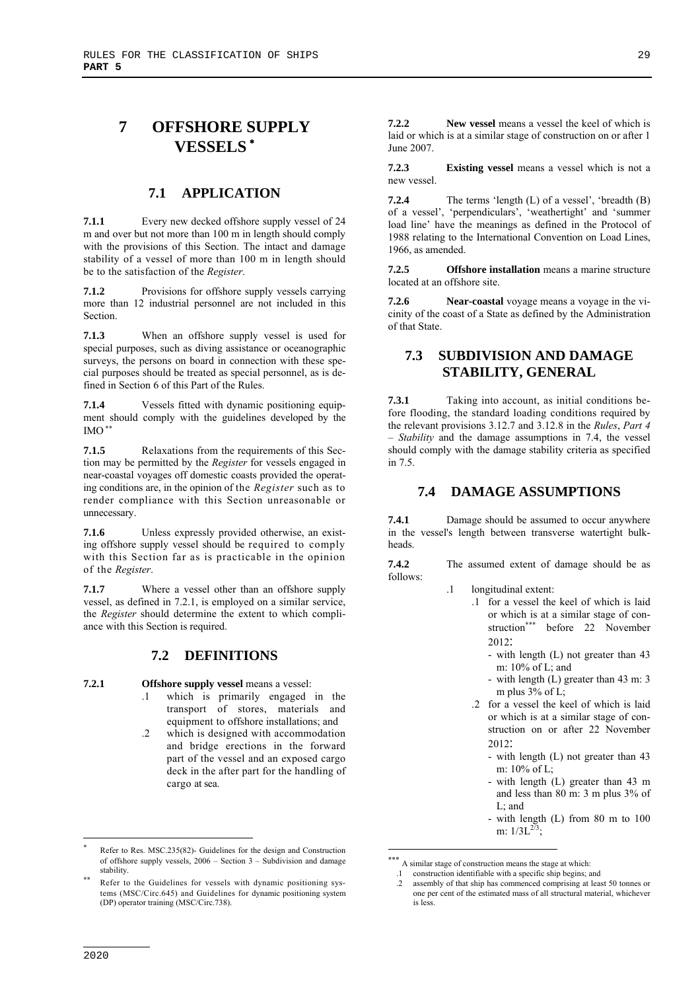## **7 OFFSHORE SUPPLY VESSELS**

### **7.1 APPLICATION**

**7.1.1** Every new decked offshore supply vessel of 24 m and over but not more than 100 m in length should comply with the provisions of this Section. The intact and damage stability of a vessel of more than 100 m in length should be to the satisfaction of the *Register*.

**7.1.2** Provisions for offshore supply vessels carrying more than 12 industrial personnel are not included in this Section.

**7.1.3** When an offshore supply vessel is used for special purposes, such as diving assistance or oceanographic surveys, the persons on board in connection with these special purposes should be treated as special personnel, as is defined in Section 6 of this Part of the Rules.

**7.1.4** Vessels fitted with dynamic positioning equipment should comply with the guidelines developed by the  $IMO<sup>**</sup>$ 

**7.1.5** Relaxations from the requirements of this Section may be permitted by the *Register* for vessels engaged in near-coastal voyages off domestic coasts provided the operating conditions are, in the opinion of the *Register* such as to render compliance with this Section unreasonable or unnecessary.

**7.1.6** Unless expressly provided otherwise, an existing offshore supply vessel should be required to comply with this Section far as is practicable in the opinion of the *Register*.

**7.1.7** Where a vessel other than an offshore supply vessel, as defined in 7.2.1, is employed on a similar service, the *Register* should determine the extent to which compliance with this Section is required.

#### **7.2 DEFINITIONS**

**7.2.1 Offshore supply vessel** means a vessel:

- which is primarily engaged in the transport of stores, materials and equipment to offshore installations; and
- .2 which is designed with accommodation and bridge erections in the forward part of the vessel and an exposed cargo deck in the after part for the handling of cargo at sea.

**7.2.2 New vessel** means a vessel the keel of which is laid or which is at a similar stage of construction on or after 1 June 2007.

**7.2.3 Existing vessel** means a vessel which is not a new vessel.

**7.2.4** The terms 'length (L) of a vessel', 'breadth (B) of a vessel', 'perpendiculars', 'weathertight' and 'summer load line' have the meanings as defined in the Protocol of 1988 relating to the International Convention on Load Lines, 1966, as amended.

**7.2.5 Offshore installation** means a marine structure located at an offshore site.

**7.2.6 Near-coastal** voyage means a voyage in the vicinity of the coast of a State as defined by the Administration of that State.

## **7.3 SUBDIVISION AND DAMAGE STABILITY, GENERAL**

**7.3.1** Taking into account, as initial conditions before flooding, the standard loading conditions required by the relevant provisions 3.12.7 and 3.12.8 in the *Rules*, *Part 4 – Stability* and the damage assumptions in 7.4, the vessel should comply with the damage stability criteria as specified in 7.5.

#### **7.4 DAMAGE ASSUMPTIONS**

**7.4.1** Damage should be assumed to occur anywhere in the vessel's length between transverse watertight bulkheads.

**7.4.2** The assumed extent of damage should be as follows:

- .1 longitudinal extent:
	- .1 for a vessel the keel of which is laid or which is at a similar stage of construction<sup>\*\*\*</sup> before  $22$  November  $2012$ 
		- with length (L) not greater than 43 m: 10% of L; and
		- with length (L) greater than 43 m: 3 m plus 3% of L;
	- .2 for a vessel the keel of which is laid or which is at a similar stage of construction on or after 22 November  $2012$ 
		- with length (L) not greater than 43 m: 10% of L;
		- with length (L) greater than 43 m and less than 80 m: 3 m plus 3% of L; and
		- with length (L) from 80 m to 100 m:  $1/3L^{2/3}$

 $\overline{a}$ 

Refer to Res. MSC.235(82)- Guidelines for the design and Construction of offshore supply vessels, 2006 – Section 3 – Subdivision and damage stability.

Refer to the Guidelines for vessels with dynamic positioning systems (MSC/Circ.645) and Guidelines for dynamic positioning system (DP) operator training (MSC/Circ.738).

<sup>\*\*\*</sup> A similar stage of construction means the stage at which:

<sup>.1</sup> construction identifiable with a specific ship begins; and

<sup>.2</sup> assembly of that ship has commenced comprising at least 50 tonnes or one per cent of the estimated mass of all structural material, whichever is less.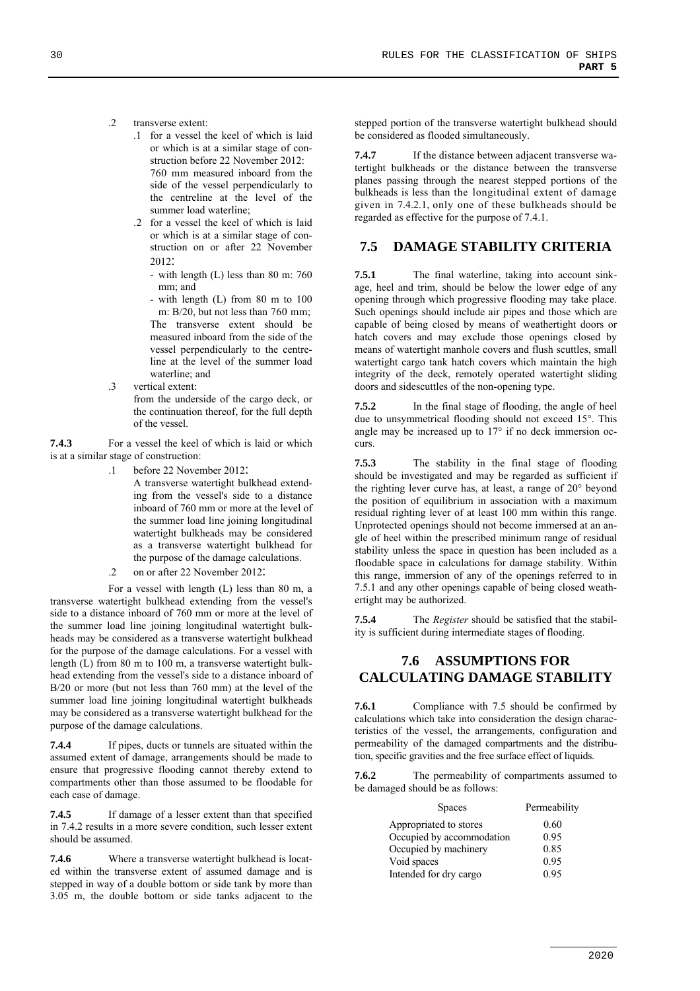- .2 transverse extent:
	- .1 for a vessel the keel of which is laid or which is at a similar stage of construction before 22 November 2012: 760 mm measured inboard from the side of the vessel perpendicularly to the centreline at the level of the summer load waterline;
	- .2 for a vessel the keel of which is laid or which is at a similar stage of construction on or after 22 November 2012:
		- with length (L) less than 80 m: 760 mm; and
		- with length (L) from 80 m to 100 m: B/20, but not less than 760 mm; The transverse extent should be measured inboard from the side of the vessel perpendicularly to the centreline at the level of the summer load waterline; and
- .3 vertical extent: from the underside of the cargo deck, or the continuation thereof, for the full depth of the vessel.

**7.4.3** For a vessel the keel of which is laid or which is at a similar stage of construction:

- .1 before 22 November 2012: A transverse watertight bulkhead extending from the vessel's side to a distance inboard of 760 mm or more at the level of the summer load line joining longitudinal watertight bulkheads may be considered as a transverse watertight bulkhead for
- the purpose of the damage calculations. .2 on or after 22 November 2012:

For a vessel with length (L) less than 80 m, a transverse watertight bulkhead extending from the vessel's side to a distance inboard of 760 mm or more at the level of the summer load line joining longitudinal watertight bulkheads may be considered as a transverse watertight bulkhead for the purpose of the damage calculations. For a vessel with length (L) from 80 m to 100 m, a transverse watertight bulkhead extending from the vessel's side to a distance inboard of B/20 or more (but not less than 760 mm) at the level of the summer load line joining longitudinal watertight bulkheads may be considered as a transverse watertight bulkhead for the purpose of the damage calculations.

**7.4.4** If pipes, ducts or tunnels are situated within the assumed extent of damage, arrangements should be made to ensure that progressive flooding cannot thereby extend to compartments other than those assumed to be floodable for each case of damage.

**7.4.5** If damage of a lesser extent than that specified in 7.4.2 results in a more severe condition, such lesser extent should be assumed.

**7.4.6** Where a transverse watertight bulkhead is located within the transverse extent of assumed damage and is stepped in way of a double bottom or side tank by more than 3.05 m, the double bottom or side tanks adjacent to the stepped portion of the transverse watertight bulkhead should be considered as flooded simultaneously.

**7.4.7** If the distance between adjacent transverse watertight bulkheads or the distance between the transverse planes passing through the nearest stepped portions of the bulkheads is less than the longitudinal extent of damage given in 7.4.2.1, only one of these bulkheads should be regarded as effective for the purpose of 7.4.1.

## **7.5 DAMAGE STABILITY CRITERIA**

**7.5.1** The final waterline, taking into account sinkage, heel and trim, should be below the lower edge of any opening through which progressive flooding may take place. Such openings should include air pipes and those which are capable of being closed by means of weathertight doors or hatch covers and may exclude those openings closed by means of watertight manhole covers and flush scuttles, small watertight cargo tank hatch covers which maintain the high integrity of the deck, remotely operated watertight sliding doors and sidescuttles of the non-opening type.

**7.5.2** In the final stage of flooding, the angle of heel due to unsymmetrical flooding should not exceed 15°. This angle may be increased up to 17° if no deck immersion occurs.

**7.5.3** The stability in the final stage of flooding should be investigated and may be regarded as sufficient if the righting lever curve has, at least, a range of 20° beyond the position of equilibrium in association with a maximum residual righting lever of at least 100 mm within this range. Unprotected openings should not become immersed at an angle of heel within the prescribed minimum range of residual stability unless the space in question has been included as a floodable space in calculations for damage stability. Within this range, immersion of any of the openings referred to in 7.5.1 and any other openings capable of being closed weathertight may be authorized.

**7.5.4** The *Register* should be satisfied that the stability is sufficient during intermediate stages of flooding.

## **7.6 ASSUMPTIONS FOR CALCULATING DAMAGE STABILITY**

**7.6.1** Compliance with 7.5 should be confirmed by calculations which take into consideration the design characteristics of the vessel, the arrangements, configuration and permeability of the damaged compartments and the distribution, specific gravities and the free surface effect of liquids.

**7.6.2** The permeability of compartments assumed to be damaged should be as follows:

| <b>Spaces</b>             | Permeability |
|---------------------------|--------------|
| Appropriated to stores    | 0.60         |
| Occupied by accommodation | 0.95         |
| Occupied by machinery     | 0.85         |
| Void spaces               | 0.95         |
| Intended for dry cargo    | 0.95         |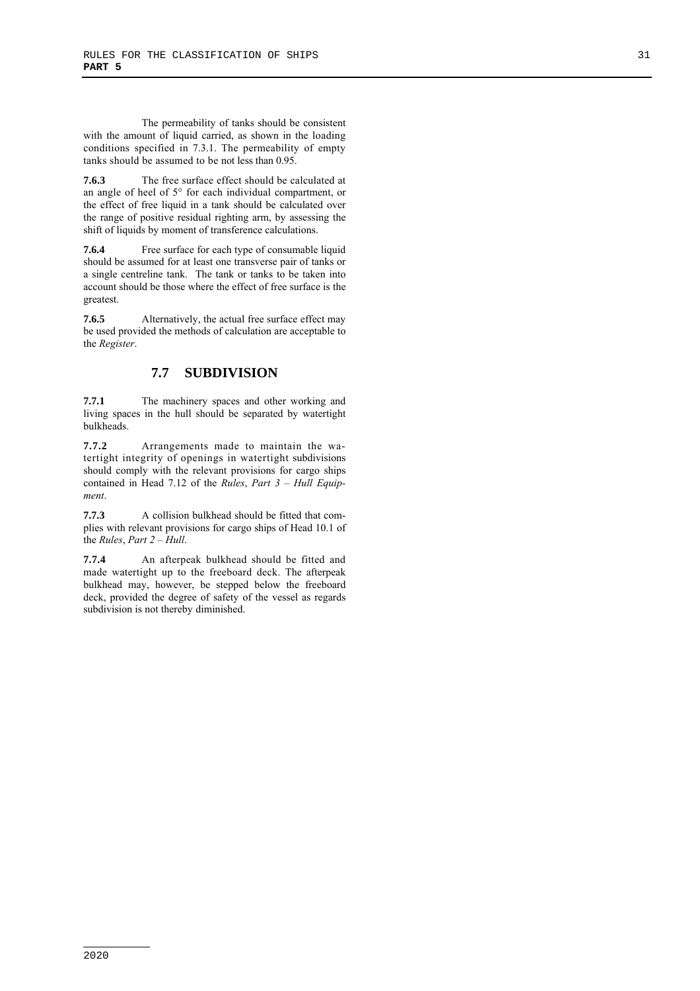The permeability of tanks should be consistent with the amount of liquid carried, as shown in the loading conditions specified in 7.3.1. The permeability of empty tanks should be assumed to be not less than 0.95.

**7.6.3** The free surface effect should be calculated at an angle of heel of 5° for each individual compartment, or the effect of free liquid in a tank should be calculated over the range of positive residual righting arm, by assessing the shift of liquids by moment of transference calculations.

**7.6.4** Free surface for each type of consumable liquid should be assumed for at least one transverse pair of tanks or a single centreline tank. The tank or tanks to be taken into account should be those where the effect of free surface is the greatest.

**7.6.5** Alternatively, the actual free surface effect may be used provided the methods of calculation are acceptable to the *Register*.

## **7.7 SUBDIVISION**

**7.7.1** The machinery spaces and other working and living spaces in the hull should be separated by watertight bulkheads.

**7.7.2** Arrangements made to maintain the watertight integrity of openings in watertight subdivisions should comply with the relevant provisions for cargo ships contained in Head 7.12 of the *Rules*, *Part 3 – Hull Equipment*.

**7.7.3** A collision bulkhead should be fitted that complies with relevant provisions for cargo ships of Head 10.1 of the *Rules*, *Part 2 – Hull*.

**7.7.4** An afterpeak bulkhead should be fitted and made watertight up to the freeboard deck. The afterpeak bulkhead may, however, be stepped below the freeboard deck, provided the degree of safety of the vessel as regards subdivision is not thereby diminished.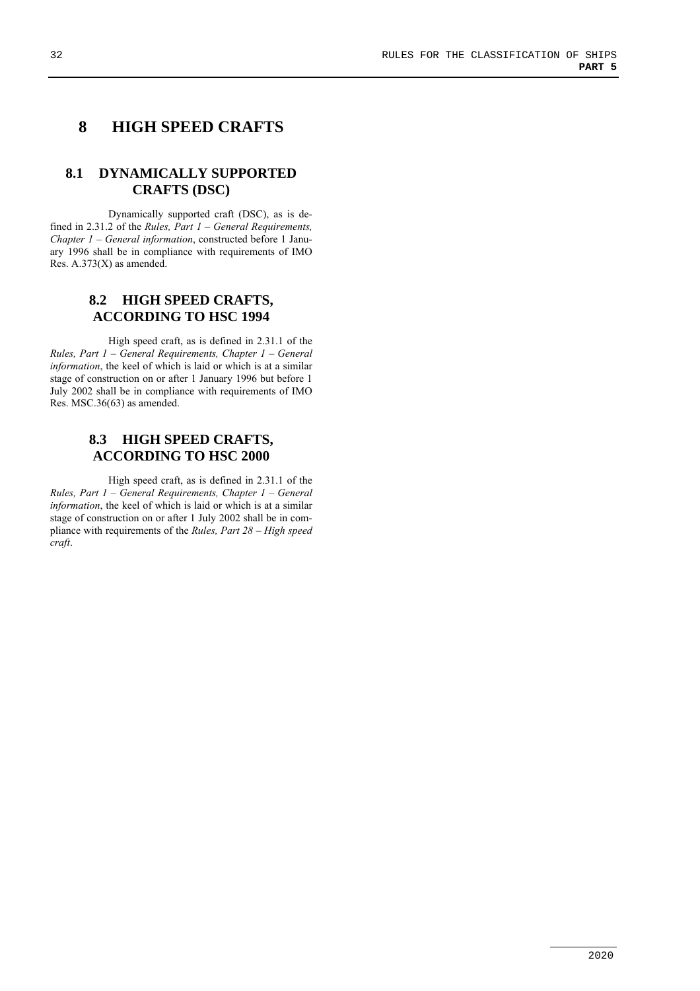## **8 HIGH SPEED CRAFTS**

## **8.1 DYNAMICALLY SUPPORTED CRAFTS (DSC)**

Dynamically supported craft (DSC), as is defined in 2.31.2 of the *Rules, Part 1 – General Requirements, Chapter 1 – General information*, constructed before 1 January 1996 shall be in compliance with requirements of IMO Res. A.373(X) as amended.

## **8.2 HIGH SPEED CRAFTS, ACCORDING TO HSC 1994**

High speed craft, as is defined in 2.31.1 of the *Rules, Part 1 – General Requirements, Chapter 1 – General information*, the keel of which is laid or which is at a similar stage of construction on or after 1 January 1996 but before 1 July 2002 shall be in compliance with requirements of IMO Res. MSC.36(63) as amended.

## **8.3 HIGH SPEED CRAFTS, ACCORDING TO HSC 2000**

High speed craft, as is defined in 2.31.1 of the *Rules, Part 1 – General Requirements, Chapter 1 – General information*, the keel of which is laid or which is at a similar stage of construction on or after 1 July 2002 shall be in compliance with requirements of the *Rules, Part 28 – High speed craft*.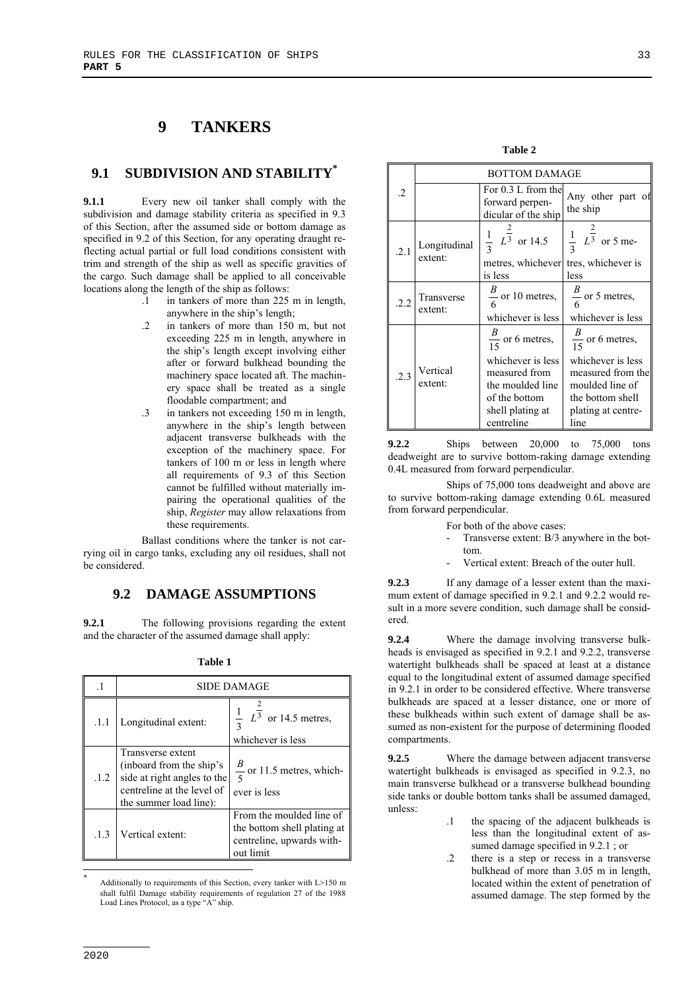## **9 TANKERS**

#### **9.1 SUBDIVISION AND STABILITY\***

**9.1.1** Every new oil tanker shall comply with the subdivision and damage stability criteria as specified in 9.3 of this Section, after the assumed side or bottom damage as specified in 9.2 of this Section, for any operating draught reflecting actual partial or full load conditions consistent with trim and strength of the ship as well as specific gravities of the cargo. Such damage shall be applied to all conceivable locations along the length of the ship as follows:

- .1 in tankers of more than 225 m in length, anywhere in the ship's length;
- .2 in tankers of more than 150 m, but not exceeding 225 m in length, anywhere in the ship's length except involving either after or forward bulkhead bounding the machinery space located aft. The machinery space shall be treated as a single floodable compartment; and
- .3 in tankers not exceeding 150 m in length, anywhere in the ship's length between adjacent transverse bulkheads with the exception of the machinery space. For tankers of 100 m or less in length where all requirements of 9.3 of this Section cannot be fulfilled without materially impairing the operational qualities of the ship, *Register* may allow relaxations from these requirements.

Ballast conditions where the tanker is not carrying oil in cargo tanks, excluding any oil residues, shall not be considered.

### **9.2 DAMAGE ASSUMPTIONS**

**9.2.1** The following provisions regarding the extent and the character of the assumed damage shall apply:

**Table 1** 

| -1   | <b>SIDE DAMAGE</b>                                                                                                                   |                                                                                                   |  |
|------|--------------------------------------------------------------------------------------------------------------------------------------|---------------------------------------------------------------------------------------------------|--|
| .1.1 | Longitudinal extent:                                                                                                                 | $L^{\overline{3}}$ or 14.5 metres,<br>whichever is less                                           |  |
| .1.2 | Transverse extent<br>(inboard from the ship's<br>side at right angles to the<br>centreline at the level of<br>the summer load line): | $\frac{B}{5}$ or 11.5 metres, which-<br>ever is less                                              |  |
| .1.3 | Vertical extent:                                                                                                                     | From the moulded line of<br>the bottom shell plating at<br>centreline, upwards with-<br>out limit |  |
|      |                                                                                                                                      |                                                                                                   |  |

Additionally to requirements of this Section, every tanker with  $L>150$  m shall fulfil Damage stability requirements of regulation 27 of the 1988 Load Lines Protocol, as a type "A" ship.

|      |                         | dicular of the ship                                                                                                               | uie silip         |
|------|-------------------------|-----------------------------------------------------------------------------------------------------------------------------------|-------------------|
| .2.1 | Longitudinal<br>extent: | $\frac{1}{3}$ $\overline{L^3}$ or 14.5 $\frac{1}{3}$ $\overline{L^3}$ or 5 me-<br>metres, whichever tres, whichever is<br>is less | less              |
| .2.2 | Transverse<br>extent:   | $\frac{B}{6}$ or 10 metres, $\frac{B}{6}$ or 5 metres,<br>whichever is less                                                       | whichever is less |

.2

|      |          | $\frac{B}{15}$ or 6 metres,        | $\frac{2}{\pi}$ or 6 metres,           |
|------|----------|------------------------------------|----------------------------------------|
|      | Vertical | whichever is less<br>measured from | whichever is less<br>measured from the |
| .2.3 | extent:  | the moulded line                   | moulded line of                        |
|      |          | of the bottom                      | the bottom shell                       |
|      |          | shell plating at                   | plating at centre-                     |
|      |          | centreline                         | line                                   |
|      |          |                                    |                                        |

**Table 2** 

BOTTOM DAMAGE For 0.3 L from the forward perpen-

**9.2.2** Ships between 20,000 to 75,000 tons deadweight are to survive bottom-raking damage extending 0.4L measured from forward perpendicular.

Ships of 75,000 tons deadweight and above are to survive bottom-raking damage extending 0.6L measured from forward perpendicular.

- For both of the above cases:
- Transverse extent: B/3 anywhere in the bottom.
- Vertical extent: Breach of the outer hull.

**9.2.3** If any damage of a lesser extent than the maximum extent of damage specified in 9.2.1 and 9.2.2 would result in a more severe condition, such damage shall be considered.

**9.2.4** Where the damage involving transverse bulkheads is envisaged as specified in 9.2.1 and 9.2.2, transverse watertight bulkheads shall be spaced at least at a distance equal to the longitudinal extent of assumed damage specified in 9.2.1 in order to be considered effective. Where transverse bulkheads are spaced at a lesser distance, one or more of these bulkheads within such extent of damage shall be assumed as non-existent for the purpose of determining flooded compartments.

**9.2.5** Where the damage between adjacent transverse watertight bulkheads is envisaged as specified in 9.2.3, no main transverse bulkhead or a transverse bulkhead bounding side tanks or double bottom tanks shall be assumed damaged, unless:

- .1 the spacing of the adjacent bulkheads is less than the longitudinal extent of assumed damage specified in 9.2.1 ; or
- .2 there is a step or recess in a transverse bulkhead of more than 3.05 m in length, located within the extent of penetration of assumed damage. The step formed by the

Any other part of

the ship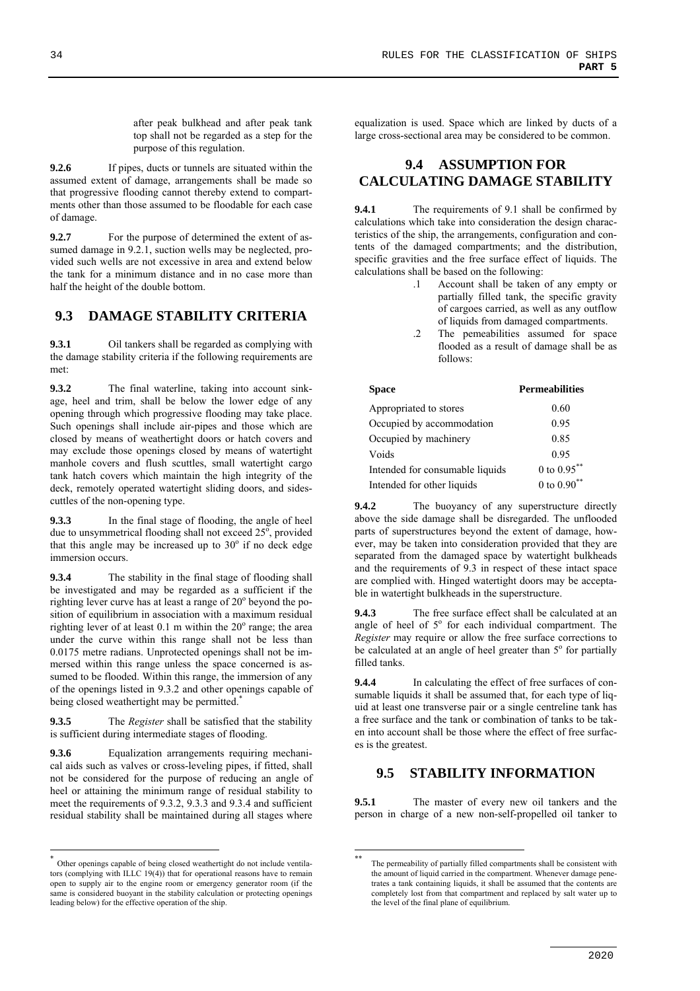after peak bulkhead and after peak tank top shall not be regarded as a step for the purpose of this regulation.

**9.2.6** If pipes, ducts or tunnels are situated within the assumed extent of damage, arrangements shall be made so that progressive flooding cannot thereby extend to compartments other than those assumed to be floodable for each case of damage.

**9.2.7** For the purpose of determined the extent of assumed damage in 9.2.1, suction wells may be neglected, provided such wells are not excessive in area and extend below the tank for a minimum distance and in no case more than half the height of the double bottom.

## **9.3 DAMAGE STABILITY CRITERIA**

**9.3.1** Oil tankers shall be regarded as complying with the damage stability criteria if the following requirements are met:

**9.3.2** The final waterline, taking into account sinkage, heel and trim, shall be below the lower edge of any opening through which progressive flooding may take place. Such openings shall include air-pipes and those which are closed by means of weathertight doors or hatch covers and may exclude those openings closed by means of watertight manhole covers and flush scuttles, small watertight cargo tank hatch covers which maintain the high integrity of the deck, remotely operated watertight sliding doors, and sidescuttles of the non-opening type.

**9.3.3** In the final stage of flooding, the angle of heel due to unsymmetrical flooding shall not exceed  $25^{\circ}$ , provided that this angle may be increased up to  $30^\circ$  if no deck edge immersion occurs.

**9.3.4** The stability in the final stage of flooding shall be investigated and may be regarded as a sufficient if the righting lever curve has at least a range of  $20^{\circ}$  beyond the position of equilibrium in association with a maximum residual righting lever of at least  $0.1$  m within the  $20^{\circ}$  range; the area under the curve within this range shall not be less than 0.0175 metre radians. Unprotected openings shall not be immersed within this range unless the space concerned is assumed to be flooded. Within this range, the immersion of any of the openings listed in 9.3.2 and other openings capable of being closed weathertight may be permitted.\*

**9.3.5** The *Register* shall be satisfied that the stability is sufficient during intermediate stages of flooding.

**9.3.6** Equalization arrangements requiring mechanical aids such as valves or cross-leveling pipes, if fitted, shall not be considered for the purpose of reducing an angle of heel or attaining the minimum range of residual stability to meet the requirements of 9.3.2, 9.3.3 and 9.3.4 and sufficient residual stability shall be maintained during all stages where

l

equalization is used. Space which are linked by ducts of a large cross-sectional area may be considered to be common.

## **9.4 ASSUMPTION FOR CALCULATING DAMAGE STABILITY**

**9.4.1** The requirements of 9.1 shall be confirmed by calculations which take into consideration the design characteristics of the ship, the arrangements, configuration and contents of the damaged compartments; and the distribution, specific gravities and the free surface effect of liquids. The calculations shall be based on the following:

- .1 Account shall be taken of any empty or partially filled tank, the specific gravity of cargoes carried, as well as any outflow of liquids from damaged compartments.
- .2 The pemeabilities assumed for space flooded as a result of damage shall be as follows:

| <b>Space</b>                    | <b>Permeabilities</b> |
|---------------------------------|-----------------------|
| Appropriated to stores          | 0.60                  |
| Occupied by accommodation       | 0.95                  |
| Occupied by machinery           | 0.85                  |
| Voids                           | 0.95                  |
| Intended for consumable liquids | 0 to $0.95***$        |
| Intended for other liquids      | 0 to $0.90**$         |

**9.4.2** The buoyancy of any superstructure directly above the side damage shall be disregarded. The unflooded parts of superstructures beyond the extent of damage, however, may be taken into consideration provided that they are separated from the damaged space by watertight bulkheads and the requirements of 9.3 in respect of these intact space are complied with. Hinged watertight doors may be acceptable in watertight bulkheads in the superstructure.

**9.4.3** The free surface effect shall be calculated at an angle of heel of  $5^\circ$  for each individual compartment. The *Register* may require or allow the free surface corrections to be calculated at an angle of heel greater than  $5^\circ$  for partially filled tanks.

**9.4.4** In calculating the effect of free surfaces of consumable liquids it shall be assumed that, for each type of liquid at least one transverse pair or a single centreline tank has a free surface and the tank or combination of tanks to be taken into account shall be those where the effect of free surfaces is the greatest.

#### **9.5 STABILITY INFORMATION**

**9.5.1** The master of every new oil tankers and the person in charge of a new non-self-propelled oil tanker to

Other openings capable of being closed weathertight do not include ventilators (complying with ILLC 19(4)) that for operational reasons have to remain open to supply air to the engine room or emergency generator room (if the same is considered buoyant in the stability calculation or protecting openings leading below) for the effective operation of the ship.

 $***$ The permeability of partially filled compartments shall be consistent with the amount of liquid carried in the compartment. Whenever damage penetrates a tank containing liquids, it shall be assumed that the contents are completely lost from that compartment and replaced by salt water up to the level of the final plane of equilibrium.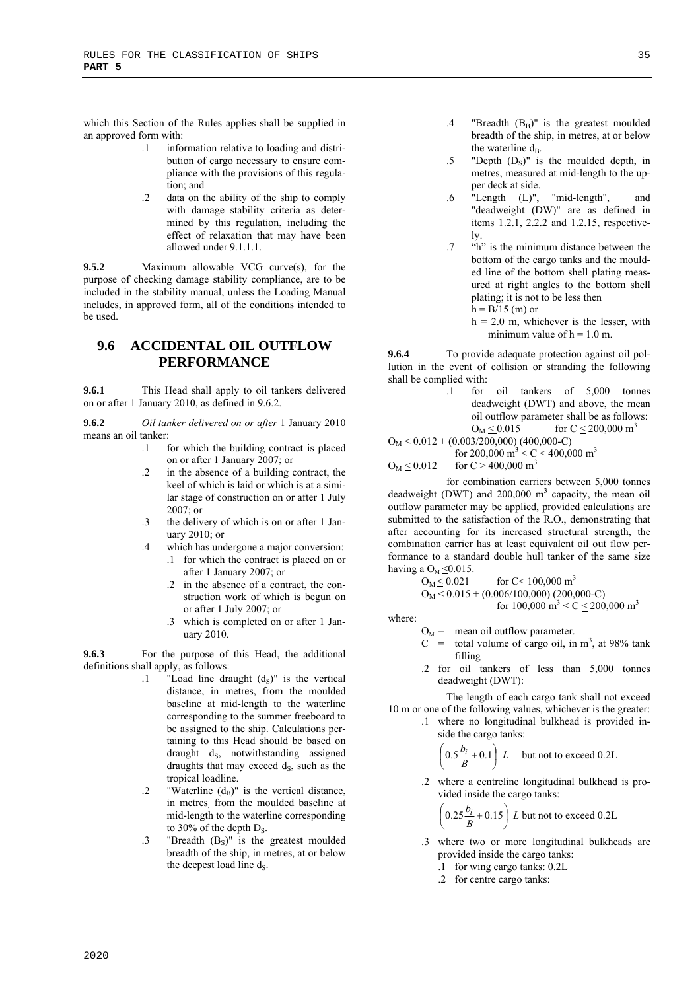which this Section of the Rules applies shall be supplied in an approved form with:

- .1 information relative to loading and distribution of cargo necessary to ensure compliance with the provisions of this regulation; and
- .2 data on the ability of the ship to comply with damage stability criteria as determined by this regulation, including the effect of relaxation that may have been allowed under 9.1.1.1.

**9.5.2** Maximum allowable VCG curve(s), for the purpose of checking damage stability compliance, are to be included in the stability manual, unless the Loading Manual includes, in approved form, all of the conditions intended to be used.

## **9.6 ACCIDENTAL OIL OUTFLOW PERFORMANCE**

**9.6.1** This Head shall apply to oil tankers delivered on or after 1 January 2010, as defined in 9.6.2.

**9.6.2** *Oil tanker delivered on or after* 1 January 2010 means an oil tanker:

- .1 for which the building contract is placed on or after 1 January 2007; or
- .2 in the absence of a building contract, the keel of which is laid or which is at a similar stage of construction on or after 1 July 2007; or
- .3 the delivery of which is on or after 1 January 2010; or
- .4 which has undergone a major conversion:
	- .1 for which the contract is placed on or after 1 January 2007; or
	- .2 in the absence of a contract, the construction work of which is begun on or after 1 July 2007; or
	- .3 which is completed on or after 1 January 2010.

**9.6.3** For the purpose of this Head, the additional definitions shall apply, as follows:

- .1 "Load line draught  $(d<sub>S</sub>)$ " is the vertical distance, in metres, from the moulded baseline at mid-length to the waterline corresponding to the summer freeboard to be assigned to the ship. Calculations pertaining to this Head should be based on draught  $d<sub>S</sub>$ , notwithstanding assigned draughts that may exceed  $d<sub>S</sub>$ , such as the tropical loadline.
- .2 "Waterline  $(d_B)$ " is the vertical distance, in metres, from the moulded baseline at mid-length to the waterline corresponding to 30% of the depth  $D_s$ .
- .3 "Breadth  $(B<sub>S</sub>)$ " is the greatest moulded breadth of the ship, in metres, at or below the deepest load line  $d_S$ .
- .4 "Breadth  $(B_B)$ " is the greatest moulded breadth of the ship, in metres, at or below the waterline d<sub>B</sub>.
- .5 "Depth  $(D<sub>S</sub>)$ " is the moulded depth, in metres, measured at mid-length to the upper deck at side.
- .6 "Length (L)", "mid-length", and "deadweight (DW)" are as defined in items 1.2.1, 2.2.2 and 1.2.15, respectively.
- .7 "h" is the minimum distance between the bottom of the cargo tanks and the moulded line of the bottom shell plating measured at right angles to the bottom shell plating; it is not to be less then  $h = B/15$  (m) or
	- $h = 2.0$  m, whichever is the lesser, with minimum value of  $h = 1.0$  m.

**9.6.4** To provide adequate protection against oil pollution in the event of collision or stranding the following shall be complied with:

> .1 for oil tankers of 5,000 tonnes deadweight (DWT) and above, the mean oil outflow parameter shall be as follows:  $O_M \leq 0.015$  for  $C \leq 200,000$  m<sup>3</sup>

 $O_M < 0.012 + (0.003/200,000)$  (400,000-C) for 200,000 m<sup>3</sup>  $\leq$  C  $\leq$  400,000 m<sup>3</sup>

 $O_M \leq 0.012$  for  $C > 400,000$  m<sup>3</sup>

for combination carriers between 5,000 tonnes deadweight (DWT) and  $200,000$  m<sup>3</sup> capacity, the mean oil outflow parameter may be applied, provided calculations are submitted to the satisfaction of the R.O., demonstrating that after accounting for its increased structural strength, the combination carrier has at least equivalent oil out flow performance to a standard double hull tanker of the same size having a  $O_M \leq 0.015$ .

$$
O_{M} \le 0.021
$$
 for C< 100,000 m<sup>3</sup>  
\n
$$
O_{M} \le 0.015 + (0.006/100,000) (200,000-C)
$$
  
\nfor 100,000 m<sup>3</sup> < C < 200,000 m<sup>3</sup>

where:

- $O_M$  = mean oil outflow parameter.
	- $C =$  total volume of cargo oil, in m<sup>3</sup>, at 98% tank filling
	- .2 for oil tankers of less than 5,000 tonnes deadweight (DWT):

The length of each cargo tank shall not exceed 10 m or one of the following values, whichever is the greater:

.1 where no longitudinal bulkhead is provided inside the cargo tanks:

$$
\left(0.5\frac{b_i}{B} + 0.1\right)L
$$
 but not to exceed 0.2L

.2 where a centreline longitudinal bulkhead is provided inside the cargo tanks:

 $\frac{b_i}{B}$  + 0.15  $\left(L\right)$ J  $\left(0.25 \frac{b_i}{R} + 0.15\right)$ l  $\left(0.25 \frac{b_i}{2} + 0.15\right)$  L but not to exceed 0.2L

- .3 where two or more longitudinal bulkheads are provided inside the cargo tanks:
	- .1 for wing cargo tanks: 0.2L
	- .2 for centre cargo tanks: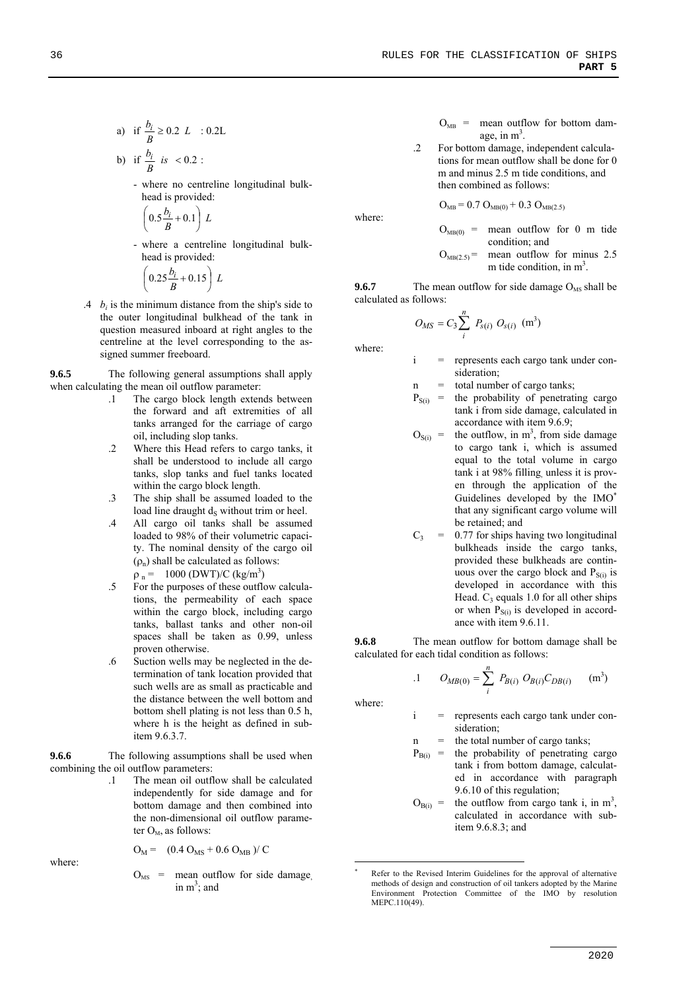a) if 
$$
\frac{b_i}{B} \ge 0.2
$$
 L : 0.2L  
b) if  $\frac{b_i}{B}$  is < 0.2 :

- where no centreline longitudinal bulkhead is provided:

$$
\left(0.5\frac{b_i}{B} + 0.1\right) L
$$

- where a centreline longitudinal bulkhead is provided:

$$
\left(0.25\frac{b_i}{B} + 0.15\right)L
$$

.4 *bi* is the minimum distance from the ship's side to the outer longitudinal bulkhead of the tank in question measured inboard at right angles to the centreline at the level corresponding to the assigned summer freeboard.

**9.6.5** The following general assumptions shall apply when calculating the mean oil outflow parameter:

- .1 The cargo block length extends between the forward and aft extremities of all tanks arranged for the carriage of cargo oil, including slop tanks.
- .2 Where this Head refers to cargo tanks, it shall be understood to include all cargo tanks, slop tanks and fuel tanks located within the cargo block length.
- .3 The ship shall be assumed loaded to the load line draught  $d<sub>s</sub>$  without trim or heel.
- .4 All cargo oil tanks shall be assumed loaded to 98% of their volumetric capacity. The nominal density of the cargo oil  $(p_n)$  shall be calculated as follows:  $\rho_n = 1000 \text{ (DWT)/C (kg/m}^3)$
- .5 For the purposes of these outflow calculations, the permeability of each space within the cargo block, including cargo tanks, ballast tanks and other non-oil spaces shall be taken as 0.99, unless proven otherwise.
- .6 Suction wells may be neglected in the determination of tank location provided that such wells are as small as practicable and the distance between the well bottom and bottom shell plating is not less than 0.5 h, where h is the height as defined in subitem 9.6.3.7.

**9.6.6** The following assumptions shall be used when combining the oil outflow parameters:

> .1 The mean oil outflow shall be calculated independently for side damage and for bottom damage and then combined into the non-dimensional oil outflow parameter  $O_M$ , as follows:

where:

$$
O_M = (0.4 \, O_{MS} + 0.6 \, O_{MB}) / C
$$

 $O_{MS}$  = mean outflow for side damage in  $m^3$ ; and

 $O_{MB}$  = mean outflow for bottom damage, in  $m^3$ .

.2 For bottom damage, independent calculations for mean outflow shall be done for 0 m and minus 2.5 m tide conditions, and then combined as follows:

 $O_{MB} = 0.7 O_{MB(0)} + 0.3 O_{MB(2.5)}$ 

where:

- $O<sub>MB(0)</sub>$  = mean outflow for 0 m tide condition; and
- $O<sub>MB(2.5)</sub>$  = mean outflow for minus 2.5 m tide condition, in  $m<sup>3</sup>$ .

**9.6.7** The mean outflow for side damage  $O_{MS}$  shall be calculated as follows:

$$
O_{MS} = C_3 \sum_{i}^{n} P_{s(i)} O_{s(i)} \ (m^3)
$$

where:

- $i$  = represents each cargo tank under consideration;
- n = total number of cargo tanks;
- $P_{S(i)}$  = the probability of penetrating cargo tank i from side damage, calculated in accordance with item 9.6.9;
- $O_{S(i)}$  = the outflow, in m<sup>3</sup>, from side damage to cargo tank i, which is assumed equal to the total volume in cargo tank i at 98% filling, unless it is proven through the application of the Guidelines developed by the IMO that any significant cargo volume will be retained; and
- $C_3$  = 0.77 for ships having two longitudinal bulkheads inside the cargo tanks, provided these bulkheads are continuous over the cargo block and  $P<sub>S(i)</sub>$  is developed in accordance with this Head.  $C_3$  equals 1.0 for all other ships or when  $P<sub>S(i)</sub>$  is developed in accordance with item 9.6.11.

**9.6.8** The mean outflow for bottom damage shall be calculated for each tidal condition as follows:

$$
.1 \tO_{MB(0)} = \sum_{i}^{n} P_{B(i)} O_{B(i)} C_{DB(i)} \t(m^3)
$$

where:

l

 $i$  = represents each cargo tank under consideration;

 $n =$  the total number of cargo tanks;

- $P_{B(i)}$  = the probability of penetrating cargo tank i from bottom damage, calculated in accordance with paragraph 9.6.10 of this regulation;
- $O_{B(i)}$  = the outflow from cargo tank i, in m<sup>3</sup>, calculated in accordance with subitem 9.6.8.3; and

Refer to the Revised Interim Guidelines for the approval of alternative methods of design and construction of oil tankers adopted by the Marine Environment Protection Committee of the IMO by resolution MEPC.110(49).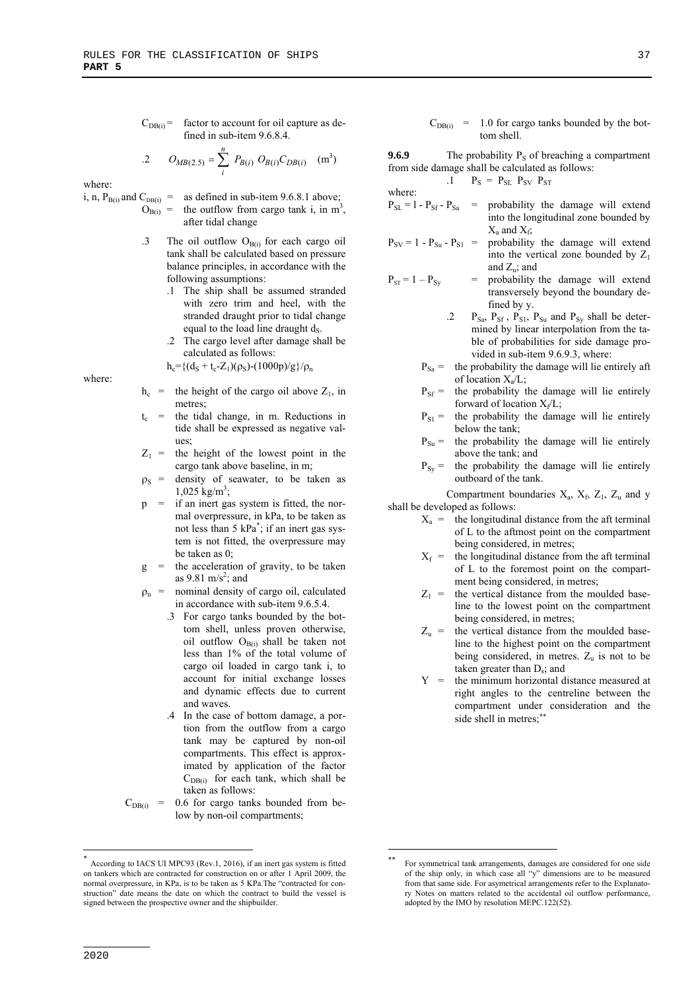$$
.2 \qquad O_{MB(2.5)} = \sum_{i=1}^{n} P_{B(i)} O_{B(i)} C_{DB(i)} \quad (m^3)
$$

*i*

where:

- i, n,  $P_{B(i)}$  and  $C_{DB(i)}$  = as defined in sub-item 9.6.8.1 above;  $O_{B(i)}$  = the outflow from cargo tank i, in m<sup>3</sup>, after tidal change
	- .3 The oil outflow  $O<sub>B(i)</sub>$  for each cargo oil tank shall be calculated based on pressure balance principles, in accordance with the following assumptions:
		- .1 The ship shall be assumed stranded with zero trim and heel, with the stranded draught prior to tidal change equal to the load line draught  $d<sub>S</sub>$ .
		- The cargo level after damage shall be calculated as follows:
		- $h_c = \{(d_S + t_c Z_1)(\rho_S) (1000p)/g\}/\rho_n$

where:

- $h_c$  = the height of the cargo oil above  $Z_1$ , in metres;
- $t_c$  = the tidal change, in m. Reductions in tide shall be expressed as negative values;
- $Z_1$  = the height of the lowest point in the cargo tank above baseline, in m;
- $p_s$  = density of seawater, to be taken as  $1,025$  kg/m<sup>3</sup>;
- $=$  if an inert gas system is fitted, the normal overpressure, in kPa, to be taken as not less than 5 kPa\* ; if an inert gas system is not fitted, the overpressure may be taken as 0;
- $g =$  the acceleration of gravity, to be taken as  $9.81 \text{ m/s}^2$ ; and
- $\rho_n$  = nominal density of cargo oil, calculated in accordance with sub-item 9.6.5.4.
	- .3 For cargo tanks bounded by the bottom shell, unless proven otherwise, oil outflow  $O_{B(i)}$  shall be taken not less than 1% of the total volume of cargo oil loaded in cargo tank i, to account for initial exchange losses and dynamic effects due to current and waves.
	- .4 In the case of bottom damage, a portion from the outflow from a cargo tank may be captured by non-oil compartments. This effect is approximated by application of the factor  $C_{DB(i)}$  for each tank, which shall be taken as follows:
- $C_{DB(i)}$  = 0.6 for cargo tanks bounded from below by non-oil compartments;

 $C_{DB(i)}$  = 1.0 for cargo tanks bounded by the bottom shell.

**9.6.9** The probability  $P_s$  of breaching a compartment from side damage shall be calculated as follows:

.1  $P_S = P_{SL} P_{SV} P_{ST}$ where:

- $P_{\text{SI}} = 1 P_{\text{Sf}} P_{\text{Sa}}$  = probability the damage will extend into the longitudinal zone bounded by  $X_a$  and  $X_f$ ;
- $P_{SV} = 1 P_{Su} P_{S1}$  = probability the damage will extend into the vertical zone bounded by  $Z_1$ and  $Z_{\rm ni}$ ; and
- $P_{ST} = 1 P_{SV}$  = probability the damage will extend transversely beyond the boundary defined by y.
	- .2  $P_{Sa}$ ,  $P_{Sf}$ ,  $P_{S1}$ ,  $P_{Su}$  and  $P_{Sy}$  shall be determined by linear interpolation from the table of probabilities for side damage provided in sub-item 9.6.9.3, where:
	- $P_{S_3}$  = the probability the damage will lie entirely aft of location  $X_a/L$ ;
	- $P_{\text{Sf}}$  = the probability the damage will lie entirely forward of location  $X_f/L$ ;
	- $P_{S1}$  = the probability the damage will lie entirely below the tank;
	- $P_{Su}$  = the probability the damage will lie entirely above the tank; and
	- $P_{Sv}$  = the probability the damage will lie entirely outboard of the tank.

Compartment boundaries  $X_a$ ,  $X_f$ ,  $Z_1$ ,  $Z_u$  and y shall be developed as follows:

- $X_a$  = the longitudinal distance from the aft terminal of L to the aftmost point on the compartment being considered, in metres;
- $X_f$  = the longitudinal distance from the aft terminal of L to the foremost point on the compartment being considered, in metres;
- $Z_1$  = the vertical distance from the moulded baseline to the lowest point on the compartment being considered, in metres;
- $Z_{\text{u}}$  = the vertical distance from the moulded baseline to the highest point on the compartment being considered, in metres.  $Z<sub>u</sub>$  is not to be taken greater than  $D_s$ ; and
- $Y =$  the minimum horizontal distance measured at right angles to the centreline between the compartment under consideration and the side shell in metres;\*\*

 $\overline{a}$ 

l

According to IACS UI MPC93 (Rev.1, 2016), if an inert gas system is fitted on tankers which are contracted for construction on or after 1 April 2009, the normal overpressure, in KPa, is to be taken as 5 KPa.The "contracted for construction" date means the date on which the contract to build the vessel is signed between the prospective owner and the shipbuilder.

For symmetrical tank arrangements, damages are considered for one side of the ship only, in which case all "y" dimensions are to be measured from that same side. For asymetrical arrangements refer to the Explanatory Notes on matters related to the accidental oil outflow performance, adopted by the IMO by resolution MEPC.122(52).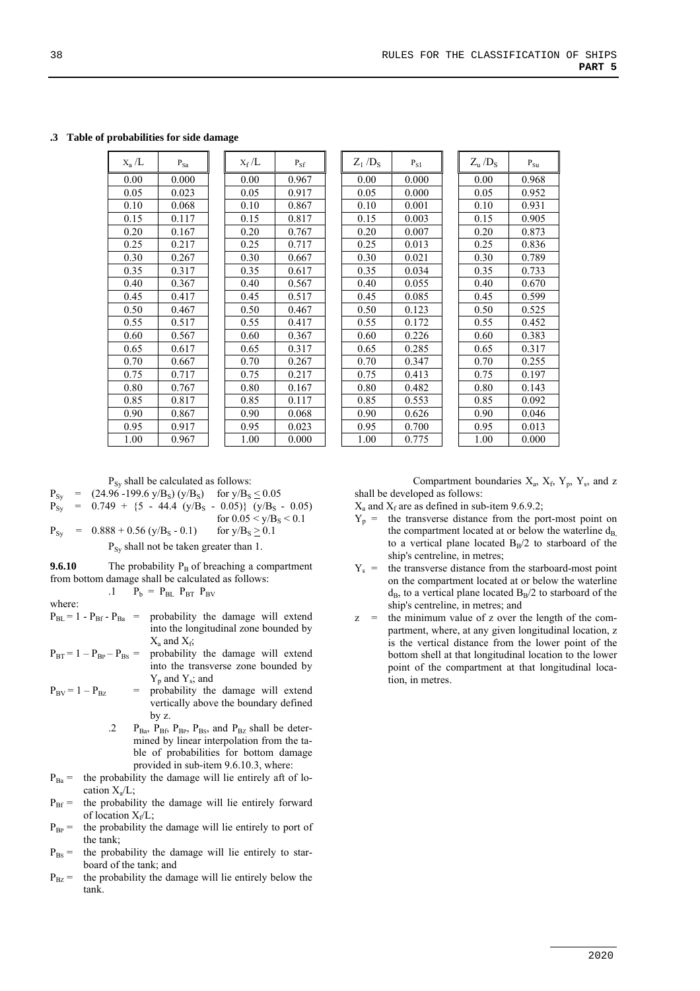| $X_a/L$ | $P_{Sa}$ | $X_f/L$ | $P_{\rm sf}$ | $Z_1/D_S$ | $P_{S1}$ | $Z_{\rm u}$ /D <sub>S</sub> | $P_{Su}$ |
|---------|----------|---------|--------------|-----------|----------|-----------------------------|----------|
| 0.00    | 0.000    | 0.00    | 0.967        | 0.00      | 0.000    | 0.00                        | 0.968    |
| 0.05    | 0.023    | 0.05    | 0.917        | 0.05      | 0.000    | 0.05                        | 0.952    |
| 0.10    | 0.068    | 0.10    | 0.867        | 0.10      | 0.001    | 0.10                        | 0.931    |
| 0.15    | 0.117    | 0.15    | 0.817        | 0.15      | 0.003    | 0.15                        | 0.905    |
| 0.20    | 0.167    | 0.20    | 0.767        | 0.20      | 0.007    | 0.20                        | 0.873    |
| 0.25    | 0.217    | 0.25    | 0.717        | 0.25      | 0.013    | 0.25                        | 0.836    |
| 0.30    | 0.267    | 0.30    | 0.667        | 0.30      | 0.021    | 0.30                        | 0.789    |
| 0.35    | 0.317    | 0.35    | 0.617        | 0.35      | 0.034    | 0.35                        | 0.733    |
| 0.40    | 0.367    | 0.40    | 0.567        | 0.40      | 0.055    | 0.40                        | 0.670    |
| 0.45    | 0.417    | 0.45    | 0.517        | 0.45      | 0.085    | 0.45                        | 0.599    |
| 0.50    | 0.467    | 0.50    | 0.467        | 0.50      | 0.123    | 0.50                        | 0.525    |
| 0.55    | 0.517    | 0.55    | 0.417        | 0.55      | 0.172    | 0.55                        | 0.452    |
| 0.60    | 0.567    | 0.60    | 0.367        | 0.60      | 0.226    | 0.60                        | 0.383    |
| 0.65    | 0.617    | 0.65    | 0.317        | 0.65      | 0.285    | 0.65                        | 0.317    |
| 0.70    | 0.667    | 0.70    | 0.267        | 0.70      | 0.347    | 0.70                        | 0.255    |
| 0.75    | 0.717    | 0.75    | 0.217        | 0.75      | 0.413    | 0.75                        | 0.197    |
| 0.80    | 0.767    | 0.80    | 0.167        | 0.80      | 0.482    | 0.80                        | 0.143    |
| 0.85    | 0.817    | 0.85    | 0.117        | 0.85      | 0.553    | 0.85                        | 0.092    |
| 0.90    | 0.867    | 0.90    | 0.068        | 0.90      | 0.626    | 0.90                        | 0.046    |
| 0.95    | 0.917    | 0.95    | 0.023        | 0.95      | 0.700    | 0.95                        | 0.013    |
|         |          |         |              |           |          |                             |          |

#### **.3 Table of probabilities for side damage**

|  | $Z_1/D_S$ | P                |
|--|-----------|------------------|
|  | 0.00      | 0.0              |
|  | 0.05      | 0.0              |
|  | 0.10      | 0.0              |
|  | 0.15      | 0.0              |
|  | 0.20      | 0.0              |
|  | 0.25      | 0.0              |
|  | 0.30      | 0.0              |
|  | 0.35      | 0.0              |
|  | 0.40      | 0.0              |
|  | 0.45      | 0.0              |
|  | 0.50      | 0.1              |
|  | 0.55      | 0.1              |
|  | 0.60      | 0.2              |
|  | 0.65      | 0.2              |
|  | 0.70      | $\overline{0.3}$ |
|  | 0.75      | 0.4              |
|  | 0.80      | 0.4              |
|  | 0.85      | 0.5              |
|  | 0.90      | 0.6              |

| $X_a/L$ | $\rm P_{Sa}$ | $X_f/L$ | $P_{\rm{sf}}$ | $Z_1/D_S$ | $P_{S1}$ | $Z_{\rm u}$ /D <sub>S</sub> | $P_{Su}$ |
|---------|--------------|---------|---------------|-----------|----------|-----------------------------|----------|
| 0.00    | 0.000        | 0.00    | 0.967         | 0.00      | 0.000    | 0.00                        | 0.968    |
| 0.05    | 0.023        | 0.05    | 0.917         | 0.05      | 0.000    | 0.05                        | 0.952    |
| 0.10    | 0.068        | 0.10    | 0.867         | 0.10      | 0.001    | 0.10                        | 0.931    |
| 0.15    | 0.117        | 0.15    | 0.817         | 0.15      | 0.003    | 0.15                        | 0.905    |
| 0.20    | 0.167        | 0.20    | 0.767         | 0.20      | 0.007    | 0.20                        | 0.873    |
| 0.25    | 0.217        | 0.25    | 0.717         | 0.25      | 0.013    | 0.25                        | 0.836    |
| 0.30    | 0.267        | 0.30    | 0.667         | 0.30      | 0.021    | 0.30                        | 0.789    |
| 0.35    | 0.317        | 0.35    | 0.617         | 0.35      | 0.034    | 0.35                        | 0.733    |
| 0.40    | 0.367        | 0.40    | 0.567         | 0.40      | 0.055    | 0.40                        | 0.670    |
| 0.45    | 0.417        | 0.45    | 0.517         | 0.45      | 0.085    | 0.45                        | 0.599    |
| 0.50    | 0.467        | 0.50    | 0.467         | 0.50      | 0.123    | 0.50                        | 0.525    |
| 0.55    | 0.517        | 0.55    | 0.417         | 0.55      | 0.172    | 0.55                        | 0.452    |
| 0.60    | 0.567        | 0.60    | 0.367         | 0.60      | 0.226    | 0.60                        | 0.383    |
| 0.65    | 0.617        | 0.65    | 0.317         | 0.65      | 0.285    | 0.65                        | 0.317    |
| 0.70    | 0.667        | 0.70    | 0.267         | 0.70      | 0.347    | 0.70                        | 0.255    |
| 0.75    | 0.717        | 0.75    | 0.217         | 0.75      | 0.413    | 0.75                        | 0.197    |
| 0.80    | 0.767        | 0.80    | 0.167         | 0.80      | 0.482    | 0.80                        | 0.143    |
| 0.85    | 0.817        | 0.85    | 0.117         | 0.85      | 0.553    | 0.85                        | 0.092    |
| 0.90    | 0.867        | 0.90    | 0.068         | 0.90      | 0.626    | 0.90                        | 0.046    |
| 0.95    | 0.917        | 0.95    | 0.023         | 0.95      | 0.700    | 0.95                        | 0.013    |
| 1.00    | 0.967        | 1.00    | 0.000         | 1.00      | 0.775    | 1.00                        | 0.000    |

P<sub>Sy</sub> shall be calculated as follows:

| $P_{Sy}$ | = | $(24.96 - 199.6 \text{ y}/B_S) \text{ (y}/B_S)$ | for y/B <sub>S</sub> ≤ 0.05 |
|----------|---|-------------------------------------------------|-----------------------------|
| $P_{Sy}$ | = | $0.749 + \{5 - 44.4 \text{ (y}/B_S - 0.05)\}$   | $(y/B_S - 0.05)$            |
| $P_{Sy}$ | = | $0.888 + 0.56 \text{ (y}/B_S - 0.1)$            | for y/B <sub>S</sub> ≥ 0.1  |

 $P_{Sy}$  shall not be taken greater than 1.

**9.6.10** The probability  $P_B$  of breaching a compartment from bottom damage shall be calculated as follows: .1  $P_b = P_{BL} P_{BT} P_{BV}$ 

where:

- $P_{BL} = 1 P_{Bf} P_{Ba}$  = probability the damage will extend into the longitudinal zone bounded by  $X_3$  and  $X_f$ ;
- $P_{BT} = 1 P_{BP} P_{BS}$  = probability the damage will extend into the transverse zone bounded by  $Y_p$  and  $Y_s$ ; and

 $P_{\text{BV}} = 1 - P_{\text{BZ}}$  = probability the damage will extend vertically above the boundary defined by z.

- .2  $P_{Ba}$ ,  $P_{Bf}$ ,  $P_{Bp}$ ,  $P_{BS}$ , and  $P_{BZ}$  shall be determined by linear interpolation from the table of probabilities for bottom damage provided in sub-item 9.6.10.3, where:
- $P_{Ba}$  = the probability the damage will lie entirely aft of location  $X_a/L$ ;
- $P_{\text{Bf}}$  = the probability the damage will lie entirely forward of location  $X_f/L$ ;
- $P_{BP}$  = the probability the damage will lie entirely to port of the tank;
- $P_{BS}$  = the probability the damage will lie entirely to starboard of the tank; and
- $P_{BZ}$  = the probability the damage will lie entirely below the tank.

Compartment boundaries  $X_a$ ,  $X_f$ ,  $Y_p$ ,  $Y_s$ , and z shall be developed as follows:

 $X_a$  and  $X_f$  are as defined in sub-item 9.6.9.2;

- $Y_p$  = the transverse distance from the port-most point on the compartment located at or below the waterline  $d_B$ to a vertical plane located  $B_B/2$  to starboard of the ship's centreline, in metres;
- $Y_s$  = the transverse distance from the starboard-most point on the compartment located at or below the waterline  $d_B$ , to a vertical plane located  $B_B/2$  to starboard of the ship's centreline, in metres; and
- $z =$  the minimum value of z over the length of the compartment, where, at any given longitudinal location, z is the vertical distance from the lower point of the bottom shell at that longitudinal location to the lower point of the compartment at that longitudinal location, in metres.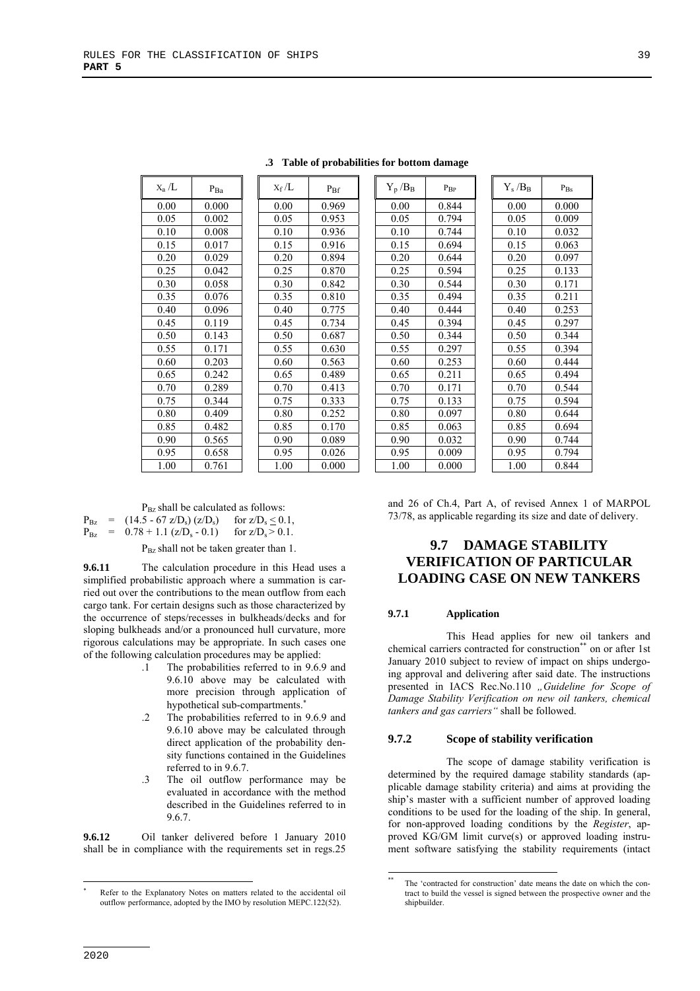| $X_a/L$ | $P_{Ba}$ | $X_f/L$ | $P_{\rm Bf}$ | $Y_p/B_B$ | $P_{BP}$ | $Y_s/B_B$ | $P_{\text{Bs}}$ |
|---------|----------|---------|--------------|-----------|----------|-----------|-----------------|
| 0.00    | 0.000    | 0.00    | 0.969        | 0.00      | 0.844    | 0.00      | 0.000           |
| 0.05    | 0.002    | 0.05    | 0.953        | 0.05      | 0.794    | 0.05      | 0.009           |
| 0.10    | 0.008    | 0.10    | 0.936        | 0.10      | 0.744    | 0.10      | 0.032           |
| 0.15    | 0.017    | 0.15    | 0.916        | 0.15      | 0.694    | 0.15      | 0.063           |
| 0.20    | 0.029    | 0.20    | 0.894        | 0.20      | 0.644    | 0.20      | 0.097           |
| 0.25    | 0.042    | 0.25    | 0.870        | 0.25      | 0.594    | 0.25      | 0.133           |
| 0.30    | 0.058    | 0.30    | 0.842        | 0.30      | 0.544    | 0.30      | 0.171           |
| 0.35    | 0.076    | 0.35    | 0.810        | 0.35      | 0.494    | 0.35      | 0.211           |
| 0.40    | 0.096    | 0.40    | 0.775        | 0.40      | 0.444    | 0.40      | 0.253           |
| 0.45    | 0.119    | 0.45    | 0.734        | 0.45      | 0.394    | 0.45      | 0.297           |
| 0.50    | 0.143    | 0.50    | 0.687        | 0.50      | 0.344    | 0.50      | 0.344           |
| 0.55    | 0.171    | 0.55    | 0.630        | 0.55      | 0.297    | 0.55      | 0.394           |
| 0.60    | 0.203    | 0.60    | 0.563        | 0.60      | 0.253    | 0.60      | 0.444           |
| 0.65    | 0.242    | 0.65    | 0.489        | 0.65      | 0.211    | 0.65      | 0.494           |
| 0.70    | 0.289    | 0.70    | 0.413        | 0.70      | 0.171    | 0.70      | 0.544           |
| 0.75    | 0.344    | 0.75    | 0.333        | 0.75      | 0.133    | 0.75      | 0.594           |

**.3 Table of probabilities for bottom damage** 

0.80 0.409 0.80 0.252 0.80 0.097 0.80 0.644 0.85 0.482 0.85 0.170 0.85 0.063 0.85 0.694 0.90 0.565 0.90 0.089 0.90 0.032 0.90 0.744 0.95 0.658 0.95 0.026 0.95 0.009 0.95 0.794  $1.00 \t 0.761 \t 1.00 \t 0.000 \t 1.00 \t 0.000 \t 1.00 \t 0.844$ 

|              | $P_{Bz}$ shall be calculated as follows: |                       |
|--------------|------------------------------------------|-----------------------|
| $P_{Bz}$     | $= (14.5 - 67 \text{ z/Ds}) (z/Ds)$      | for $z/D_s \le 0.1$ , |
| $\rm P_{Bz}$ | $=$ 0.78 + 1.1 (z/D <sub>s</sub> - 0.1)  | for $z/D_s > 0.1$ .   |
|              |                                          |                       |

 $P_{BZ}$  shall not be taken greater than 1.

**9.6.11** The calculation procedure in this Head uses a simplified probabilistic approach where a summation is carried out over the contributions to the mean outflow from each cargo tank. For certain designs such as those characterized by the occurrence of steps/recesses in bulkheads/decks and for sloping bulkheads and/or a pronounced hull curvature, more rigorous calculations may be appropriate. In such cases one of the following calculation procedures may be applied:

- The probabilities referred to in 9.6.9 and 9.6.10 above may be calculated with more precision through application of hypothetical sub-compartments.<sup>\*</sup>
- 2 The probabilities referred to in 9.6.9 and 9.6.10 above may be calculated through direct application of the probability density functions contained in the Guidelines referred to in 9.6.7.
- .3 The oil outflow performance may be evaluated in accordance with the method described in the Guidelines referred to in 9.6.7.

**9.6.12** Oil tanker delivered before 1 January 2010 shall be in compliance with the requirements set in regs.25

|  |  |  | and 26 of Ch.4, Part A, of revised Annex 1 of MARPOL          |  |  |  |
|--|--|--|---------------------------------------------------------------|--|--|--|
|  |  |  | 73/78, as applicable regarding its size and date of delivery. |  |  |  |

## **9.7 DAMAGE STABILITY VERIFICATION OF PARTICULAR LOADING CASE ON NEW TANKERS**

#### **9.7.1 Application**

l

This Head applies for new oil tankers and chemical carriers contracted for construction<sup>\*\*</sup> on or after 1st January 2010 subject to review of impact on ships undergoing approval and delivering after said date. The instructions presented in IACS Rec.No.110 "Guideline for Scope of *Damage Stability Verification on new oil tankers, chemical tankers and gas carriers"* shall be followed.

#### **9.7.2 Scope of stability verification**

The scope of damage stability verification is determined by the required damage stability standards (applicable damage stability criteria) and aims at providing the ship's master with a sufficient number of approved loading conditions to be used for the loading of the ship. In general, for non-approved loading conditions by the *Register*, approved KG/GM limit curve(s) or approved loading instrument software satisfying the stability requirements (intact

Refer to the Explanatory Notes on matters related to the accidental oil outflow performance, adopted by the IMO by resolution MEPC.122(52).

The 'contracted for construction' date means the date on which the contract to build the vessel is signed between the prospective owner and the shipbuilder.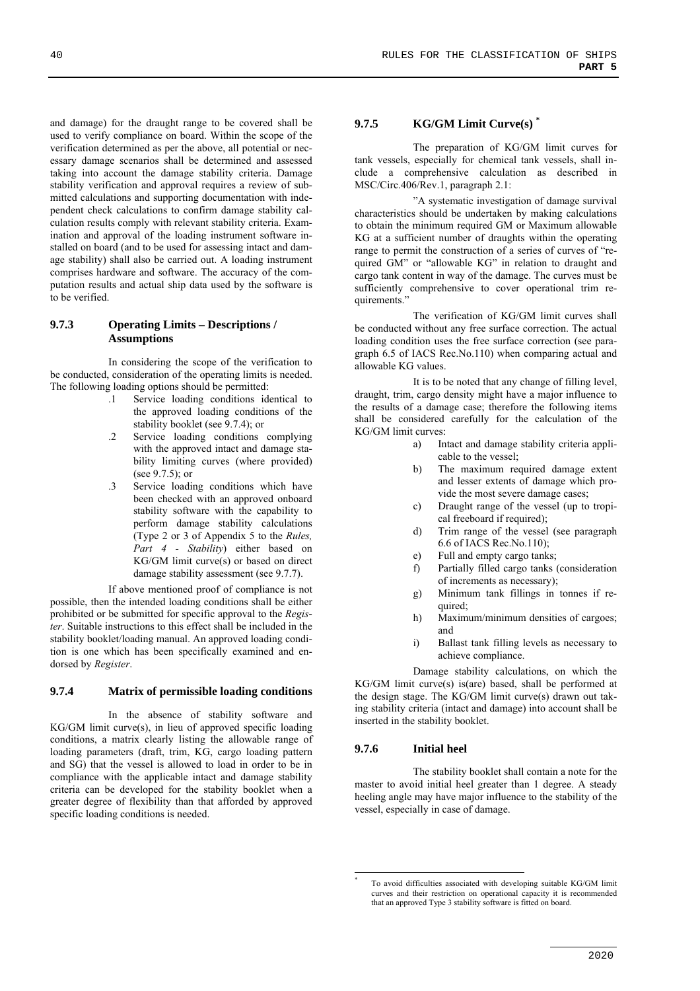and damage) for the draught range to be covered shall be used to verify compliance on board. Within the scope of the verification determined as per the above, all potential or necessary damage scenarios shall be determined and assessed taking into account the damage stability criteria. Damage stability verification and approval requires a review of submitted calculations and supporting documentation with independent check calculations to confirm damage stability calculation results comply with relevant stability criteria. Examination and approval of the loading instrument software installed on board (and to be used for assessing intact and damage stability) shall also be carried out. A loading instrument comprises hardware and software. The accuracy of the computation results and actual ship data used by the software is to be verified.

#### **9.7.3 Operating Limits – Descriptions / Assumptions**

In considering the scope of the verification to be conducted, consideration of the operating limits is needed. The following loading options should be permitted:

- .1 Service loading conditions identical to the approved loading conditions of the stability booklet (see 9.7.4); or
- .2 Service loading conditions complying with the approved intact and damage stability limiting curves (where provided) (see 9.7.5); or
- .3 Service loading conditions which have been checked with an approved onboard stability software with the capability to perform damage stability calculations (Type 2 or 3 of Appendix 5 to the *Rules, Part 4 - Stability*) either based on KG/GM limit curve(s) or based on direct damage stability assessment (see 9.7.7).

If above mentioned proof of compliance is not possible, then the intended loading conditions shall be either prohibited or be submitted for specific approval to the *Register*. Suitable instructions to this effect shall be included in the stability booklet/loading manual. An approved loading condition is one which has been specifically examined and endorsed by *Register*.

#### **9.7.4 Matrix of permissible loading conditions**

In the absence of stability software and KG/GM limit curve(s), in lieu of approved specific loading conditions, a matrix clearly listing the allowable range of loading parameters (draft, trim, KG, cargo loading pattern and SG) that the vessel is allowed to load in order to be in compliance with the applicable intact and damage stability criteria can be developed for the stability booklet when a greater degree of flexibility than that afforded by approved specific loading conditions is needed.

#### **9.7.5 KG/GM Limit Curve(s) \***

The preparation of KG/GM limit curves for tank vessels, especially for chemical tank vessels, shall include a comprehensive calculation as described in MSC/Circ.406/Rev.1, paragraph 2.1:

"A systematic investigation of damage survival characteristics should be undertaken by making calculations to obtain the minimum required GM or Maximum allowable KG at a sufficient number of draughts within the operating range to permit the construction of a series of curves of "required GM" or "allowable KG" in relation to draught and cargo tank content in way of the damage. The curves must be sufficiently comprehensive to cover operational trim requirements."

The verification of KG/GM limit curves shall be conducted without any free surface correction. The actual loading condition uses the free surface correction (see paragraph 6.5 of IACS Rec.No.110) when comparing actual and allowable KG values.

It is to be noted that any change of filling level, draught, trim, cargo density might have a major influence to the results of a damage case; therefore the following items shall be considered carefully for the calculation of the KG/GM limit curves:

- a) Intact and damage stability criteria applicable to the vessel;
- b) The maximum required damage extent and lesser extents of damage which provide the most severe damage cases;
- c) Draught range of the vessel (up to tropical freeboard if required);
- d) Trim range of the vessel (see paragraph 6.6 of IACS Rec.No.110);
- e) Full and empty cargo tanks;
- f) Partially filled cargo tanks (consideration of increments as necessary);
- g) Minimum tank fillings in tonnes if required;
- h) Maximum/minimum densities of cargoes; and
- i) Ballast tank filling levels as necessary to achieve compliance.

Damage stability calculations, on which the KG/GM limit curve(s) is(are) based, shall be performed at the design stage. The KG/GM limit curve(s) drawn out taking stability criteria (intact and damage) into account shall be inserted in the stability booklet.

#### **9.7.6 Initial heel**

l

The stability booklet shall contain a note for the master to avoid initial heel greater than 1 degree. A steady heeling angle may have major influence to the stability of the vessel, especially in case of damage.

To avoid difficulties associated with developing suitable KG/GM limit curves and their restriction on operational capacity it is recommended that an approved Type 3 stability software is fitted on board.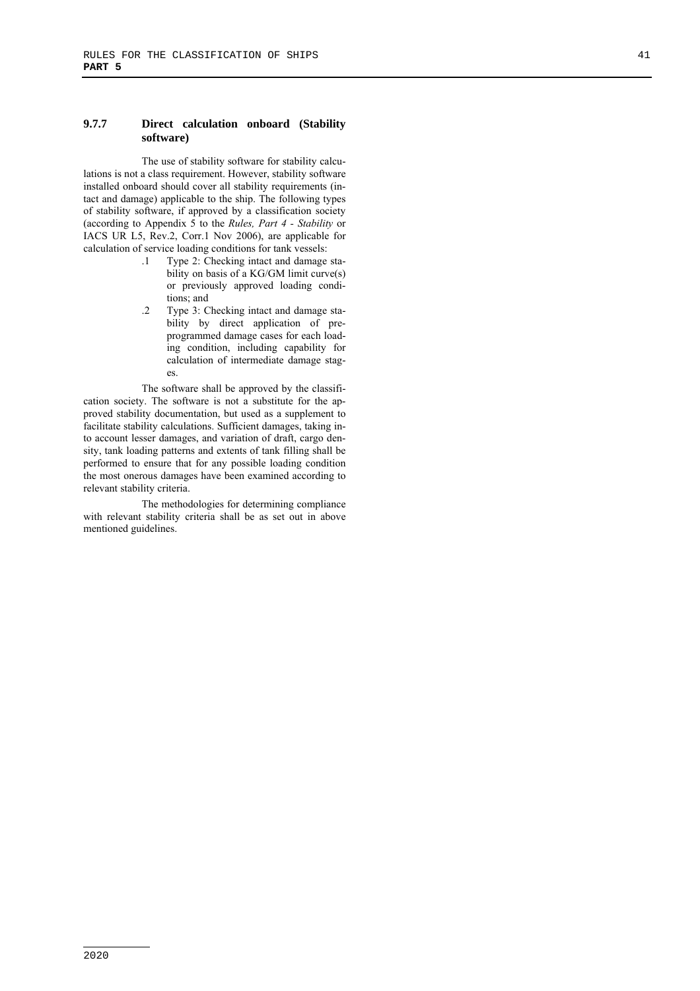#### **9.7.7 Direct calculation onboard (Stability software)**

The use of stability software for stability calculations is not a class requirement. However, stability software installed onboard should cover all stability requirements (intact and damage) applicable to the ship. The following types of stability software, if approved by a classification society (according to Appendix 5 to the *Rules, Part 4 - Stability* or IACS UR L5, Rev.2, Corr.1 Nov 2006), are applicable for calculation of service loading conditions for tank vessels:

- .1 Type 2: Checking intact and damage stability on basis of a KG/GM limit curve(s) or previously approved loading conditions; and
- .2 Type 3: Checking intact and damage stability by direct application of preprogrammed damage cases for each loading condition, including capability for calculation of intermediate damage stages.

The software shall be approved by the classification society. The software is not a substitute for the approved stability documentation, but used as a supplement to facilitate stability calculations. Sufficient damages, taking into account lesser damages, and variation of draft, cargo density, tank loading patterns and extents of tank filling shall be performed to ensure that for any possible loading condition the most onerous damages have been examined according to relevant stability criteria.

The methodologies for determining compliance with relevant stability criteria shall be as set out in above mentioned guidelines.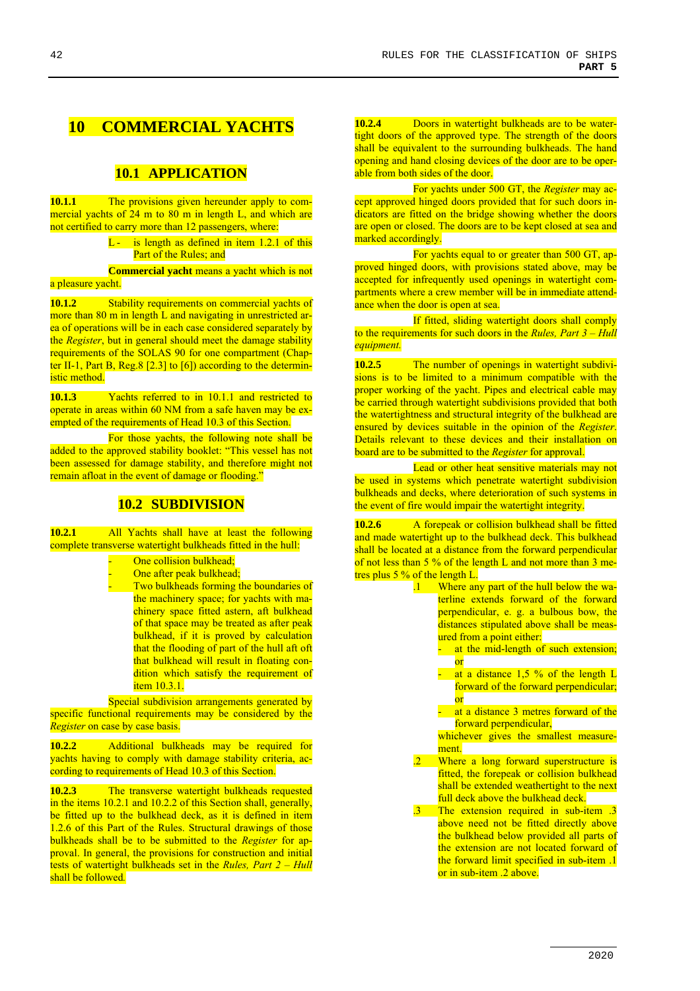## **10 COMMERCIAL YACHTS**

## **10.1 APPLICATION**

**10.1.1** The provisions given hereunder apply to commercial yachts of 24 m to 80 m in length L, and which are not certified to carry more than 12 passengers, where:

> $L$ - is length as defined in item 1.2.1 of this Part of the Rules; and

**Commercial yacht** means a yacht which is not a pleasure vacht.

**10.1.2** Stability requirements on commercial yachts of more than 80 m in length L and navigating in unrestricted area of operations will be in each case considered separately by the *Register*, but in general should meet the damage stability requirements of the SOLAS 90 for one compartment (Chapter II-1, Part B, Reg.8 [2.3] to [6]) according to the deterministic method.

**10.1.3** Yachts referred to in 10.1.1 and restricted to operate in areas within 60 NM from a safe haven may be exempted of the requirements of Head 10.3 of this Section.

For those yachts, the following note shall be added to the approved stability booklet: "This vessel has not been assessed for damage stability, and therefore might not remain afloat in the event of damage or flooding."

## **10.2 SUBDIVISION**

**10.2.1** All Yachts shall have at least the following complete transverse watertight bulkheads fitted in the hull:

One collision bulkhead;

One after peak bulkhead; Two bulkheads forming the boundaries of the machinery space; for yachts with machinery space fitted astern, aft bulkhead of that space may be treated as after peak bulkhead, if it is proved by calculation that the flooding of part of the hull aft oft that bulkhead will result in floating condition which satisfy the requirement of

Special subdivision arrangements generated by specific functional requirements may be considered by the *Register* on case by case basis.

item 10.3.1.

**10.2.2** Additional bulkheads may be required for yachts having to comply with damage stability criteria, according to requirements of Head 10.3 of this Section.

**10.2.3** The transverse watertight bulkheads requested in the items 10.2.1 and 10.2.2 of this Section shall, generally, be fitted up to the bulkhead deck, as it is defined in item 1.2.6 of this Part of the Rules. Structural drawings of those bulkheads shall be to be submitted to the *Register* for approval. In general, the provisions for construction and initial tests of watertight bulkheads set in the *Rules, Part 2 – Hull* shall be followed*.*

**10.2.4 Doors in watertight bulkheads are to be water**tight doors of the approved type. The strength of the doors shall be equivalent to the surrounding bulkheads. The hand opening and hand closing devices of the door are to be operable from both sides of the door.

For yachts under 500 GT, the *Register* may accept approved hinged doors provided that for such doors indicators are fitted on the bridge showing whether the doors are open or closed. The doors are to be kept closed at sea and marked accordingly.

For yachts equal to or greater than 500 GT, approved hinged doors, with provisions stated above, may be accepted for infrequently used openings in watertight compartments where a crew member will be in immediate attendance when the door is open at sea.

If fitted, sliding watertight doors shall comply to the requirements for such doors in the *Rules, Part 3 – Hull equipment.*

**10.2.5** The number of openings in watertight subdivisions is to be limited to a minimum compatible with the proper working of the yacht. Pipes and electrical cable may be carried through watertight subdivisions provided that both the watertightness and structural integrity of the bulkhead are ensured by devices suitable in the opinion of the *Register*. Details relevant to these devices and their installation on board are to be submitted to the *Register* for approval.

Lead or other heat sensitive materials may not be used in systems which penetrate watertight subdivision bulkheads and decks, where deterioration of such systems in the event of fire would impair the watertight integrity.

**10.2.6** A forepeak or collision bulkhead shall be fitted and made watertight up to the bulkhead deck. This bulkhead shall be located at a distance from the forward perpendicular of not less than 5 % of the length L and not more than 3 metres plus 5 % of the length L.

- $\frac{1}{1}$  Where any part of the hull below the waterline extends forward of the forward perpendicular, e. g. a bulbous bow, the distances stipulated above shall be measured from a point either:
	- at the mid-length of such extension; or
		- at a distance  $1.5 \%$  of the length L forward of the forward perpendicular; or
	- at a distance 3 metres forward of the forward perpendicular,

whichever gives the smallest measurement.

- Where a long forward superstructure is fitted, the forepeak or collision bulkhead shall be extended weathertight to the next full deck above the bulkhead deck.
- .3 The extension required in sub-item .3 above need not be fitted directly above the bulkhead below provided all parts of the extension are not located forward of the forward limit specified in sub-item .1 or in sub-item .2 above.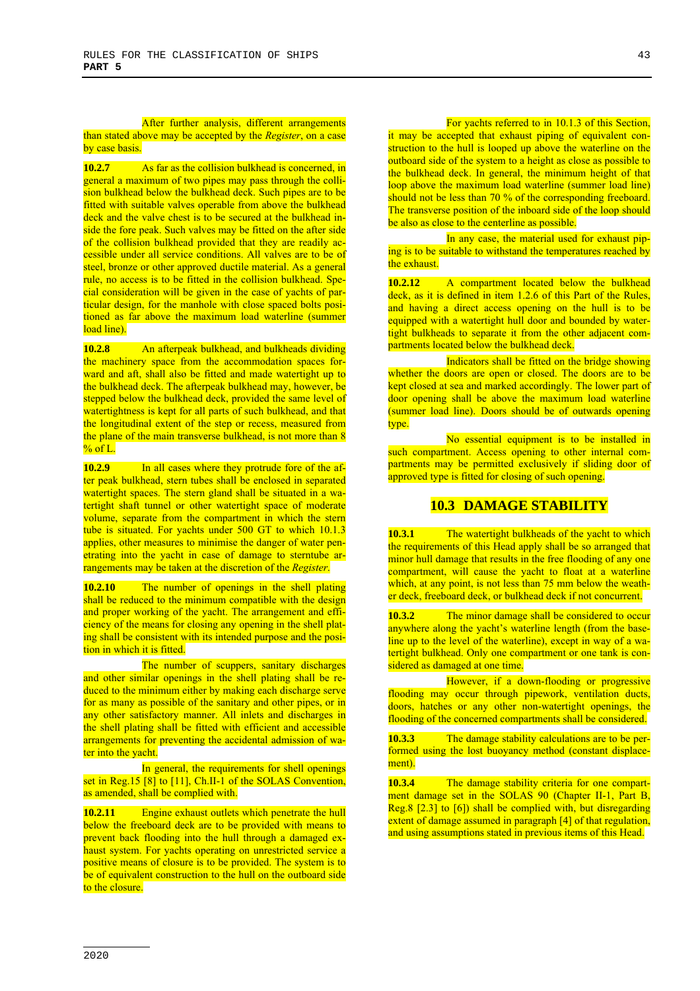After further analysis, different arrangements than stated above may be accepted by the *Register*, on a case by case basis.

**10.2.7** As far as the collision bulkhead is concerned, in general a maximum of two pipes may pass through the collision bulkhead below the bulkhead deck. Such pipes are to be fitted with suitable valves operable from above the bulkhead deck and the valve chest is to be secured at the bulkhead inside the fore peak. Such valves may be fitted on the after side of the collision bulkhead provided that they are readily accessible under all service conditions. All valves are to be of steel, bronze or other approved ductile material. As a general rule, no access is to be fitted in the collision bulkhead. Special consideration will be given in the case of yachts of particular design, for the manhole with close spaced bolts positioned as far above the maximum load waterline (summer load line).

**10.2.8 An afterpeak bulkhead, and bulkheads dividing** the machinery space from the accommodation spaces forward and aft, shall also be fitted and made watertight up to the bulkhead deck. The afterpeak bulkhead may, however, be stepped below the bulkhead deck, provided the same level of watertightness is kept for all parts of such bulkhead, and that the longitudinal extent of the step or recess, measured from the plane of the main transverse bulkhead, is not more than 8  $\%$  of L.

**10.2.9** In all cases where they protrude fore of the after peak bulkhead, stern tubes shall be enclosed in separated watertight spaces. The stern gland shall be situated in a watertight shaft tunnel or other watertight space of moderate volume, separate from the compartment in which the stern tube is situated. For yachts under 500 GT to which 10.1.3 applies, other measures to minimise the danger of water penetrating into the yacht in case of damage to sterntube arrangements may be taken at the discretion of the *Register*.

**10.2.10** The number of openings in the shell plating shall be reduced to the minimum compatible with the design and proper working of the yacht. The arrangement and efficiency of the means for closing any opening in the shell plating shall be consistent with its intended purpose and the position in which it is fitted.

The number of scuppers, sanitary discharges and other similar openings in the shell plating shall be reduced to the minimum either by making each discharge serve for as many as possible of the sanitary and other pipes, or in any other satisfactory manner. All inlets and discharges in the shell plating shall be fitted with efficient and accessible arrangements for preventing the accidental admission of water into the yacht.

In general, the requirements for shell openings set in Reg.15 [8] to [11], Ch.II-1 of the SOLAS Convention, as amended, shall be complied with.

**10.2.11** Engine exhaust outlets which penetrate the hull below the freeboard deck are to be provided with means to prevent back flooding into the hull through a damaged exhaust system. For vachts operating on unrestricted service a positive means of closure is to be provided. The system is to be of equivalent construction to the hull on the outboard side to the closure.

For yachts referred to in 10.1.3 of this Section, it may be accepted that exhaust piping of equivalent construction to the hull is looped up above the waterline on the outboard side of the system to a height as close as possible to the bulkhead deck. In general, the minimum height of that loop above the maximum load waterline (summer load line) should not be less than 70 % of the corresponding freeboard. The transverse position of the inboard side of the loop should be also as close to the centerline as possible.

In any case, the material used for exhaust piping is to be suitable to withstand the temperatures reached by the exhaust.

10.2.12 • A compartment located below the bulkhead deck, as it is defined in item 1.2.6 of this Part of the Rules, and having a direct access opening on the hull is to be equipped with a watertight hull door and bounded by watertight bulkheads to separate it from the other adjacent compartments located below the bulkhead deck.

Indicators shall be fitted on the bridge showing whether the doors are open or closed. The doors are to be kept closed at sea and marked accordingly. The lower part of door opening shall be above the maximum load waterline (summer load line). Doors should be of outwards opening type.

No essential equipment is to be installed in such compartment. Access opening to other internal compartments may be permitted exclusively if sliding door of approved type is fitted for closing of such opening.

#### **10.3 DAMAGE STABILITY**

**10.3.1** The watertight bulkheads of the yacht to which the requirements of this Head apply shall be so arranged that minor hull damage that results in the free flooding of any one compartment, will cause the yacht to float at a waterline which, at any point, is not less than 75 mm below the weather deck, freeboard deck, or bulkhead deck if not concurrent.

**10.3.2** The minor damage shall be considered to occur anywhere along the yacht's waterline length (from the baseline up to the level of the waterline), except in way of a watertight bulkhead. Only one compartment or one tank is considered as damaged at one time.

However, if a down-flooding or progressive flooding may occur through pipework, ventilation ducts, doors, hatches or any other non-watertight openings, the flooding of the concerned compartments shall be considered.

**10.3.3** The damage stability calculations are to be performed using the lost buoyancy method (constant displacement).

**10.3.4** The damage stability criteria for one compartment damage set in the SOLAS 90 (Chapter II-1, Part B, Reg.8 [2.3] to [6]) shall be complied with, but disregarding extent of damage assumed in paragraph [4] of that regulation, and using assumptions stated in previous items of this Head.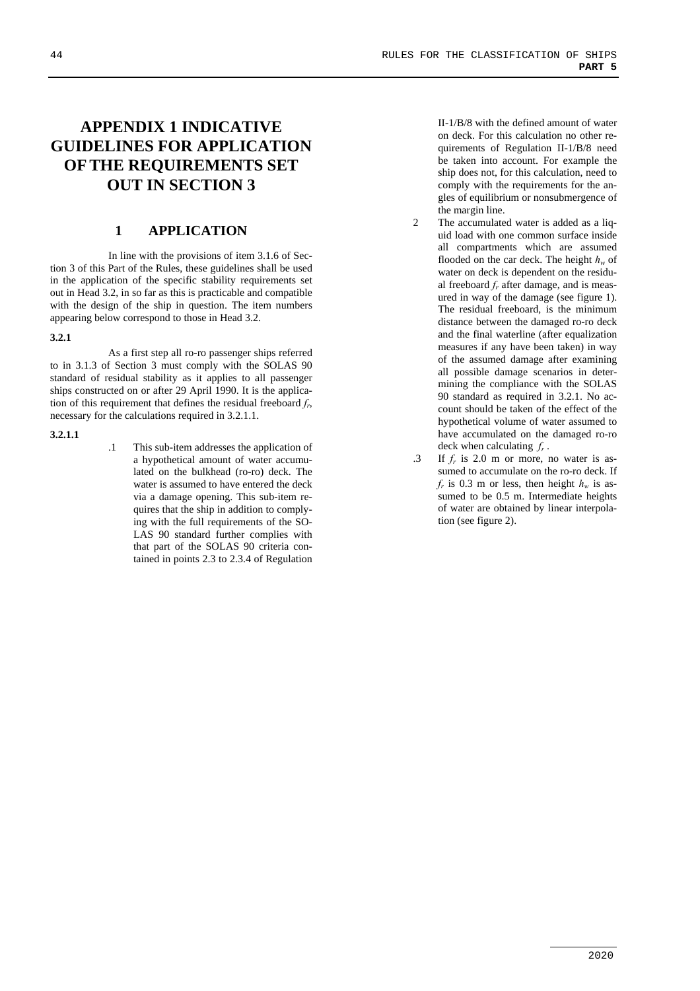## **APPENDIX 1 INDICATIVE GUIDELINES FOR APPLICATION OFTHE REQUIREMENTS SET OUT IN SECTION 3**

## **1 APPLICATION**

In line with the provisions of item 3.1.6 of Section 3 of this Part of the Rules, these guidelines shall be used in the application of the specific stability requirements set out in Head 3.2, in so far as this is practicable and compatible with the design of the ship in question. The item numbers appearing below correspond to those in Head 3.2.

#### **3.2.1**

As a first step all ro-ro passenger ships referred to in 3.1.3 of Section 3 must comply with the SOLAS 90 standard of residual stability as it applies to all passenger ships constructed on or after 29 April 1990. It is the application of this requirement that defines the residual freeboard *fr*, necessary for the calculations required in 3.2.1.1.

#### **3.2.1.1**

.1 This sub-item addresses the application of a hypothetical amount of water accumulated on the bulkhead (ro-ro) deck. The water is assumed to have entered the deck via a damage opening. This sub-item requires that the ship in addition to complying with the full requirements of the SO-LAS 90 standard further complies with that part of the SOLAS 90 criteria contained in points 2.3 to 2.3.4 of Regulation II-1/B/8 with the defined amount of water on deck. For this calculation no other requirements of Regulation II-1/B/8 need be taken into account. For example the ship does not, for this calculation, need to comply with the requirements for the angles of equilibrium or nonsubmergence of the margin line.

- 2 The accumulated water is added as a liquid load with one common surface inside all compartments which are assumed flooded on the car deck. The height  $h_w$  of water on deck is dependent on the residual freeboard *fr* after damage, and is measured in way of the damage (see figure 1). The residual freeboard, is the minimum distance between the damaged ro-ro deck and the final waterline (after equalization measures if any have been taken) in way of the assumed damage after examining all possible damage scenarios in determining the compliance with the SOLAS 90 standard as required in 3.2.1. No account should be taken of the effect of the hypothetical volume of water assumed to have accumulated on the damaged ro-ro deck when calculating *fr* .
- $\overline{3}$  If  $f_r$  is 2.0 m or more, no water is assumed to accumulate on the ro-ro deck. If  $f_r$  is 0.3 m or less, then height  $h_w$  is assumed to be 0.5 m. Intermediate heights of water are obtained by linear interpolation (see figure 2).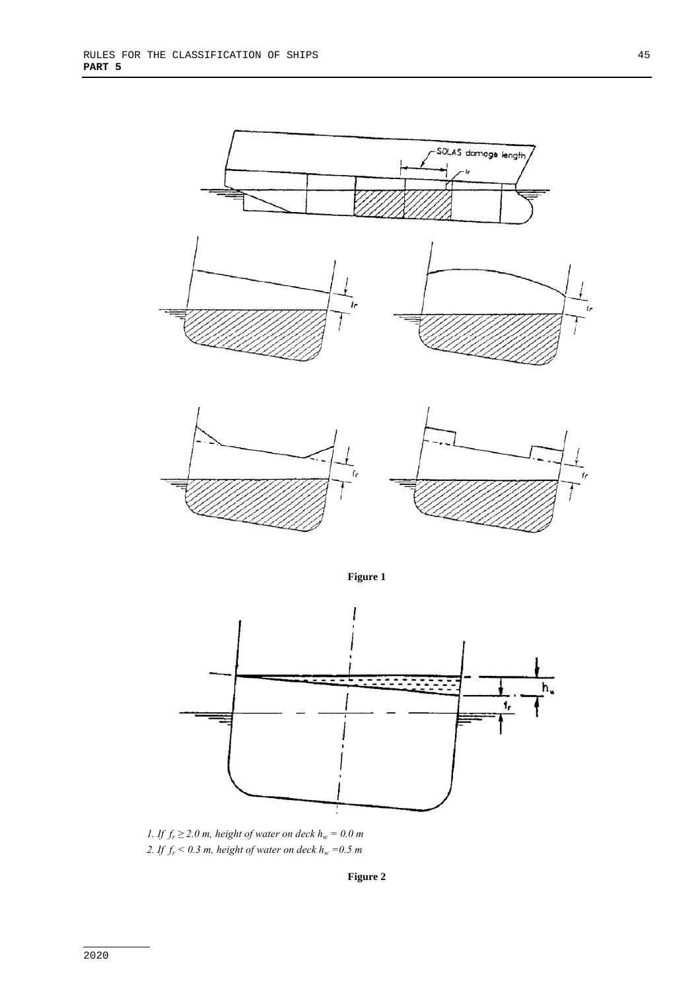





**Figure 1** 



*1. If*  $f_r \geq 2.0$  *m, height of water on deck*  $h_w = 0.0$  *m* 2. If  $f_r < 0.3$  m, height of water on deck  $h_w = 0.5$  m

**Figure 2**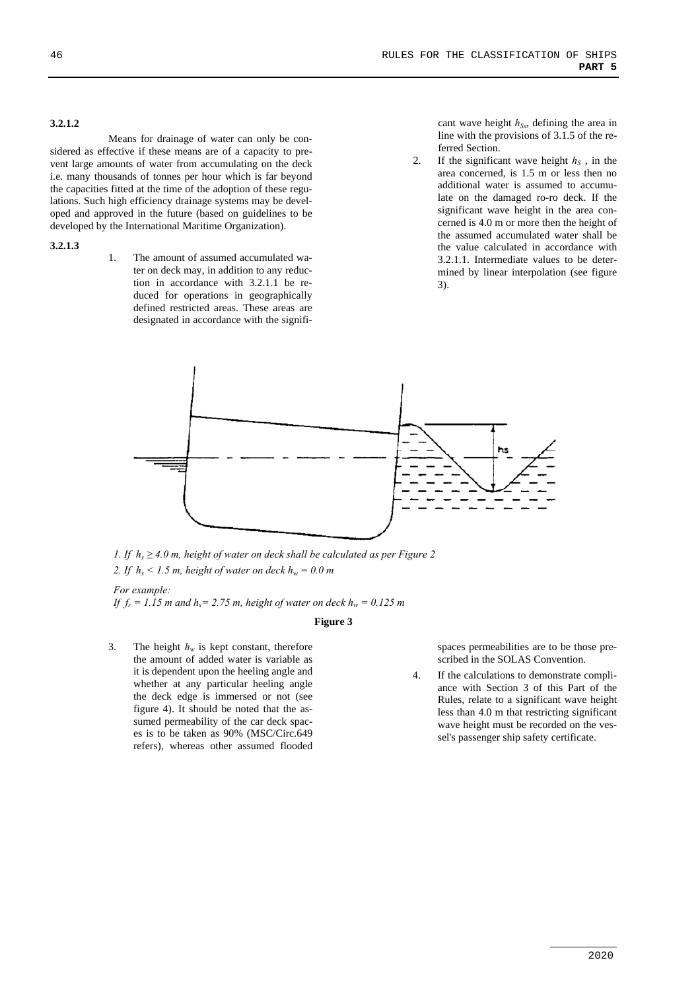#### **3.2.1.2**

Means for drainage of water can only be considered as effective if these means are of a capacity to prevent large amounts of water from accumulating on the deck i.e. many thousands of tonnes per hour which is far beyond the capacities fitted at the time of the adoption of these regulations. Such high efficiency drainage systems may be developed and approved in the future (based on guidelines to be developed by the International Maritime Organization).

#### **3.2.1.3**

1. The amount of assumed accumulated water on deck may, in addition to any reduction in accordance with 3.2.1.1 be reduced for operations in geographically defined restricted areas. These areas are designated in accordance with the significant wave height  $h_{S_s}$ , defining the area in line with the provisions of 3.1.5 of the referred Section.

2. If the significant wave height  $h<sub>S</sub>$ , in the area concerned, is 1.5 m or less then no additional water is assumed to accumulate on the damaged ro-ro deck. If the significant wave height in the area concerned is 4.0 m or more then the height of the assumed accumulated water shall be the value calculated in accordance with 3.2.1.1. Intermediate values to be determined by linear interpolation (see figure 3).



*1. If*  $h_s \geq 4.0$  *m, height of water on deck shall be calculated as per Figure 2* 2. If  $h_s < 1.5$  m, height of water on deck  $h_w = 0.0$  m

#### *For example:*

*If*  $f_r = 1.15$  *m and*  $h_s = 2.75$  *m, height of water on deck*  $h_w = 0.125$  *m* 

#### **Figure 3**

3. The height  $h_w$  is kept constant, therefore the amount of added water is variable as it is dependent upon the heeling angle and whether at any particular heeling angle the deck edge is immersed or not (see figure 4). It should be noted that the assumed permeability of the car deck spaces is to be taken as 90% (MSC/Circ.649 refers), whereas other assumed flooded

spaces permeabilities are to be those prescribed in the SOLAS Convention.

4. If the calculations to demonstrate compliance with Section 3 of this Part of the Rules, relate to a significant wave height less than 4.0 m that restricting significant wave height must be recorded on the vessel's passenger ship safety certificate.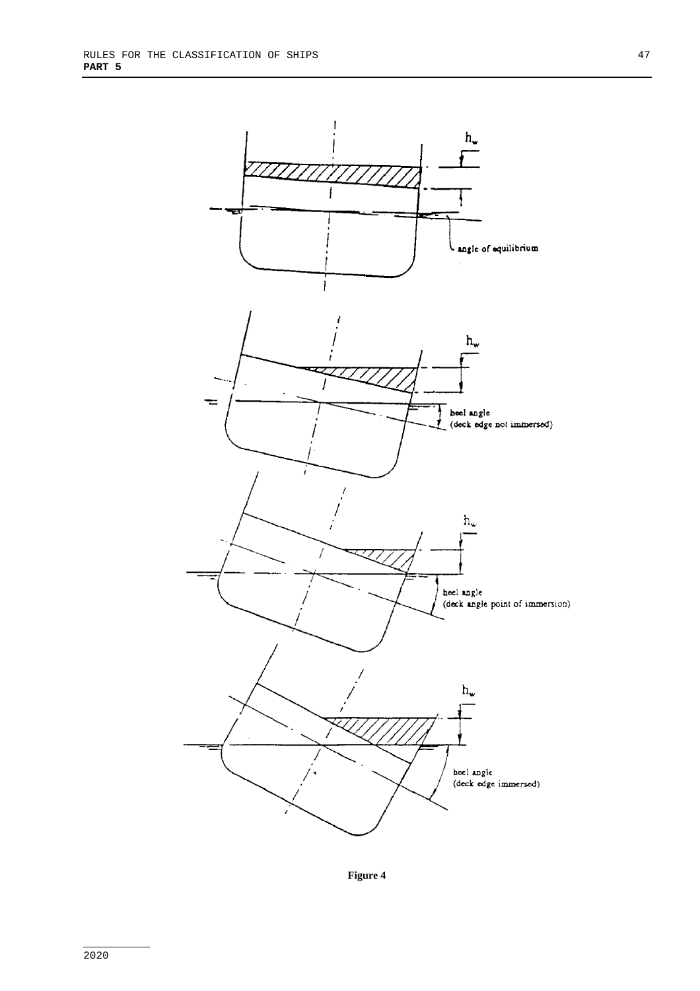

**Figure 4**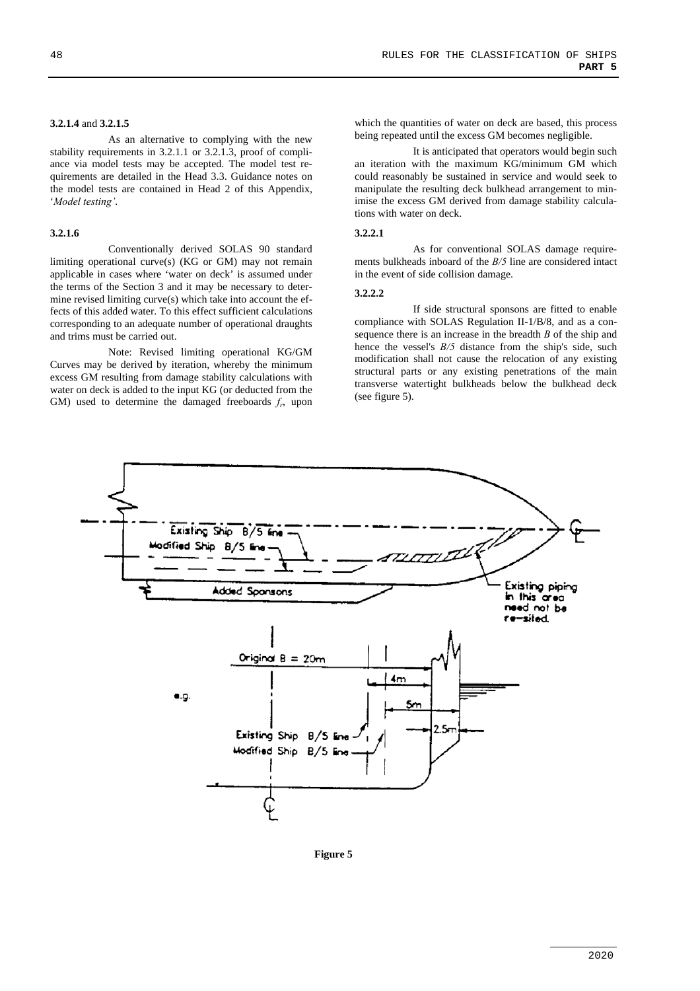#### **3.2.1.4** and **3.2.1.5**

As an alternative to complying with the new stability requirements in 3.2.1.1 or 3.2.1.3, proof of compliance via model tests may be accepted. The model test requirements are detailed in the Head 3.3. Guidance notes on the model tests are contained in Head 2 of this Appendix, '*Model testing'*.

#### **3.2.1.6**

Conventionally derived SOLAS 90 standard limiting operational curve(s) (KG or GM) may not remain applicable in cases where 'water on deck' is assumed under the terms of the Section 3 and it may be necessary to determine revised limiting curve(s) which take into account the effects of this added water. To this effect sufficient calculations corresponding to an adequate number of operational draughts and trims must be carried out.

Note: Revised limiting operational KG/GM Curves may be derived by iteration, whereby the minimum excess GM resulting from damage stability calculations with water on deck is added to the input KG (or deducted from the GM) used to determine the damaged freeboards *fr*, upon

which the quantities of water on deck are based, this process being repeated until the excess GM becomes negligible.

It is anticipated that operators would begin such an iteration with the maximum KG/minimum GM which could reasonably be sustained in service and would seek to manipulate the resulting deck bulkhead arrangement to minimise the excess GM derived from damage stability calculations with water on deck.

#### **3.2.2.1**

As for conventional SOLAS damage requirements bulkheads inboard of the *B/5* line are considered intact in the event of side collision damage.

#### **3.2.2.2**

If side structural sponsons are fitted to enable compliance with SOLAS Regulation II-1/B/8, and as a consequence there is an increase in the breadth *B* of the ship and hence the vessel's  $B/5$  distance from the ship's side, such modification shall not cause the relocation of any existing structural parts or any existing penetrations of the main transverse watertight bulkheads below the bulkhead deck (see figure 5).



**Figure 5**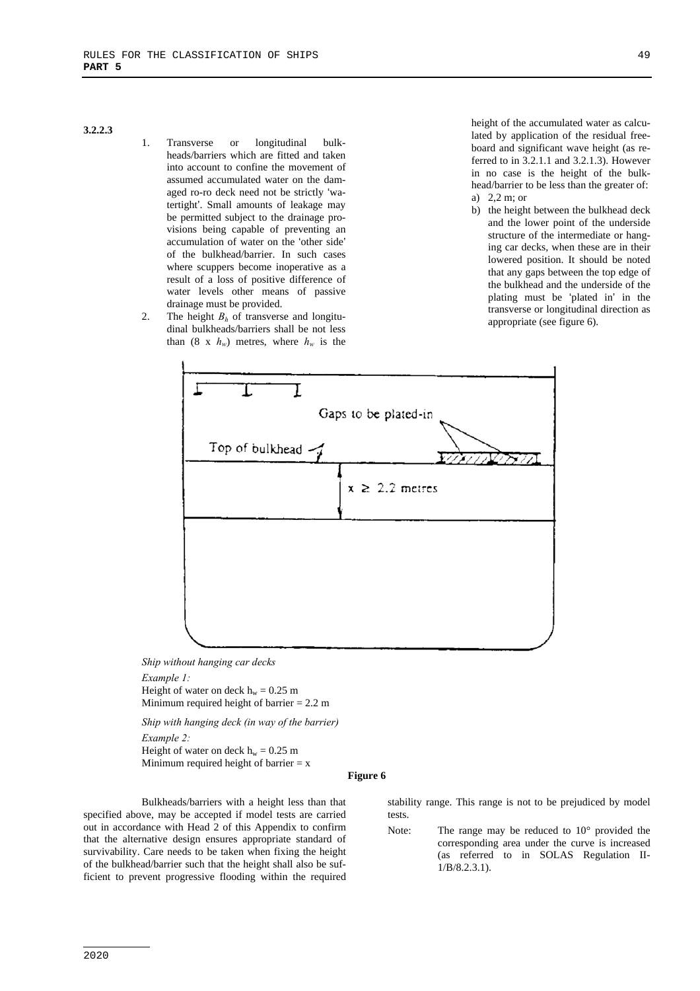**3.2.2.3** 

- 1. Transverse or longitudinal bulkheads/barriers which are fitted and taken into account to confine the movement of assumed accumulated water on the damaged ro-ro deck need not be strictly 'watertight'. Small amounts of leakage may be permitted subject to the drainage provisions being capable of preventing an accumulation of water on the 'other side' of the bulkhead/barrier. In such cases where scuppers become inoperative as a result of a loss of positive difference of water levels other means of passive drainage must be provided.
- 2. The height  $B_h$  of transverse and longitudinal bulkheads/barriers shall be not less than (8 x  $h_w$ ) metres, where  $h_w$  is the

height of the accumulated water as calculated by application of the residual freeboard and significant wave height (as referred to in 3.2.1.1 and 3.2.1.3). However in no case is the height of the bulkhead/barrier to be less than the greater of: a) 2,2 m; or

b) the height between the bulkhead deck and the lower point of the underside structure of the intermediate or hanging car decks, when these are in their lowered position. It should be noted that any gaps between the top edge of the bulkhead and the underside of the plating must be 'plated in' in the transverse or longitudinal direction as appropriate (see figure 6).



*Ship without hanging car decks Example 1:* 

Height of water on deck  $h_w = 0.25$  m Minimum required height of barrier  $= 2.2$  m

*Ship with hanging deck (in way of the barrier) Example 2:*  Height of water on deck  $h_w = 0.25$  m Minimum required height of barrier  $= x$ 

#### **Figure 6**

Bulkheads/barriers with a height less than that specified above, may be accepted if model tests are carried out in accordance with Head 2 of this Appendix to confirm that the alternative design ensures appropriate standard of survivability. Care needs to be taken when fixing the height of the bulkhead/barrier such that the height shall also be sufficient to prevent progressive flooding within the required

stability range. This range is not to be prejudiced by model tests.

Note: The range may be reduced to 10° provided the corresponding area under the curve is increased (as referred to in SOLAS Regulation II-1/B/8.2.3.1).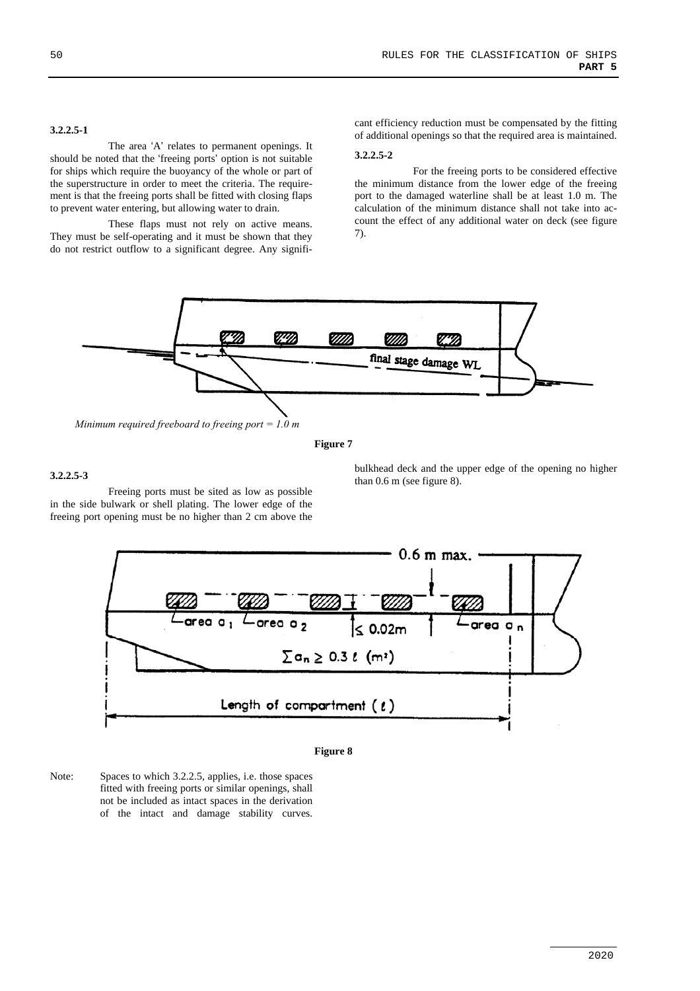#### **3.2.2.5-1**

The area 'A' relates to permanent openings. It should be noted that the 'freeing ports' option is not suitable for ships which require the buoyancy of the whole or part of the superstructure in order to meet the criteria. The requirement is that the freeing ports shall be fitted with closing flaps to prevent water entering, but allowing water to drain.

These flaps must not rely on active means. They must be self-operating and it must be shown that they do not restrict outflow to a significant degree. Any significant efficiency reduction must be compensated by the fitting of additional openings so that the required area is maintained.

#### **3.2.2.5-2**

For the freeing ports to be considered effective the minimum distance from the lower edge of the freeing port to the damaged waterline shall be at least 1.0 m. The calculation of the minimum distance shall not take into account the effect of any additional water on deck (see figure 7).



#### **Figure 7**

#### **3.2.2.5-3**

Freeing ports must be sited as low as possible in the side bulwark or shell plating. The lower edge of the freeing port opening must be no higher than 2 cm above the bulkhead deck and the upper edge of the opening no higher than 0.6 m (see figure 8).





Note: Spaces to which 3.2.2.5, applies, i.e. those spaces fitted with freeing ports or similar openings, shall not be included as intact spaces in the derivation of the intact and damage stability curves.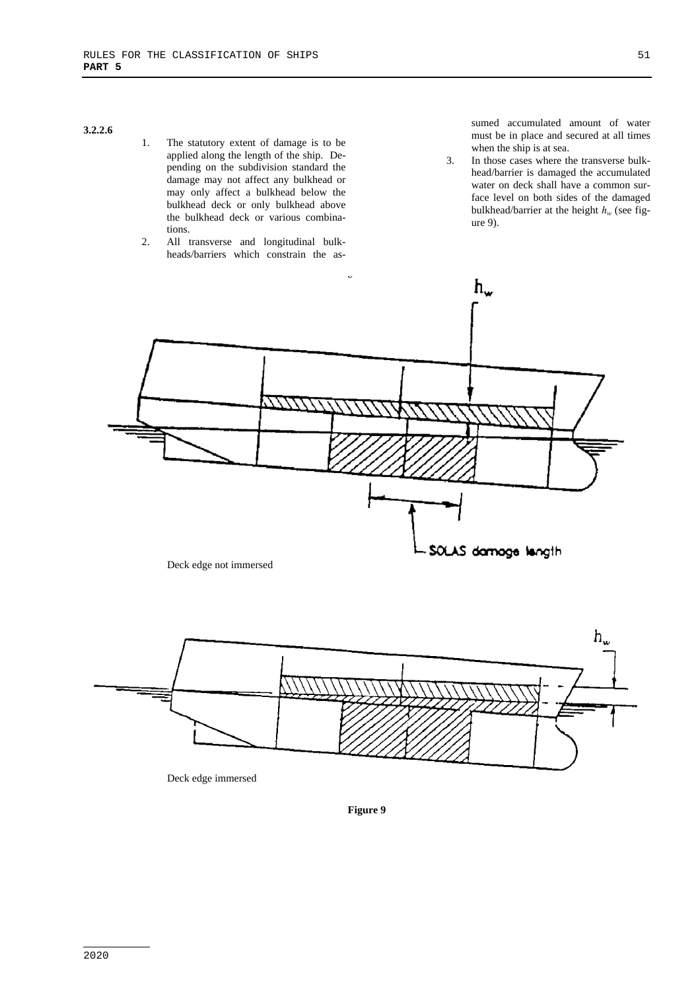#### **3.2.2.6**

- 1. The statutory extent of damage is to be applied along the length of the ship. Depending on the subdivision standard the damage may not affect any bulkhead or may only affect a bulkhead below the bulkhead deck or only bulkhead above the bulkhead deck or various combinations.
- 2. All transverse and longitudinal bulkheads/barriers which constrain the as-

sumed accumulated amount of water must be in place and secured at all times when the ship is at sea.

3. In those cases where the transverse bulkhead/barrier is damaged the accumulated water on deck shall have a common surface level on both sides of the damaged bulkhead/barrier at the height  $h_w$  (see figure 9).





Deck edge immersed

**Figure 9**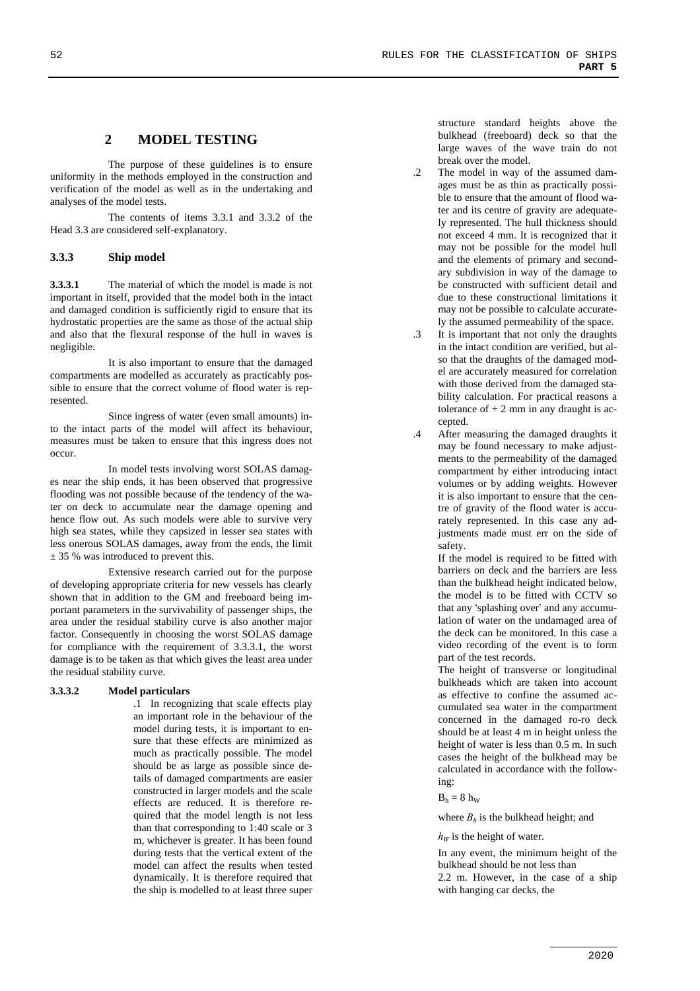### **2 MODEL TESTING**

The purpose of these guidelines is to ensure uniformity in the methods employed in the construction and verification of the model as well as in the undertaking and analyses of the model tests.

The contents of items 3.3.1 and 3.3.2 of the Head 3.3 are considered self-explanatory.

#### **3.3.3 Ship model**

**3.3.3.1** The material of which the model is made is not important in itself, provided that the model both in the intact and damaged condition is sufficiently rigid to ensure that its hydrostatic properties are the same as those of the actual ship and also that the flexural response of the hull in waves is negligible.

It is also important to ensure that the damaged compartments are modelled as accurately as practicably possible to ensure that the correct volume of flood water is represented.

Since ingress of water (even small amounts) into the intact parts of the model will affect its behaviour, measures must be taken to ensure that this ingress does not occur.

In model tests involving worst SOLAS damages near the ship ends, it has been observed that progressive flooding was not possible because of the tendency of the water on deck to accumulate near the damage opening and hence flow out. As such models were able to survive very high sea states, while they capsized in lesser sea states with less onerous SOLAS damages, away from the ends, the limit  $\pm$  35 % was introduced to prevent this.

Extensive research carried out for the purpose of developing appropriate criteria for new vessels has clearly shown that in addition to the GM and freeboard being important parameters in the survivability of passenger ships, the area under the residual stability curve is also another major factor. Consequently in choosing the worst SOLAS damage for compliance with the requirement of 3.3.3.1, the worst damage is to be taken as that which gives the least area under the residual stability curve.

#### **3.3.3.2 Model particulars**

.1 In recognizing that scale effects play an important role in the behaviour of the model during tests, it is important to ensure that these effects are minimized as much as practically possible. The model should be as large as possible since details of damaged compartments are easier constructed in larger models and the scale effects are reduced. It is therefore required that the model length is not less than that corresponding to 1:40 scale or 3 m, whichever is greater. It has been found during tests that the vertical extent of the model can affect the results when tested dynamically. It is therefore required that the ship is modelled to at least three super

structure standard heights above the bulkhead (freeboard) deck so that the large waves of the wave train do not break over the model.

- .2 The model in way of the assumed damages must be as thin as practically possible to ensure that the amount of flood water and its centre of gravity are adequately represented. The hull thickness should not exceed 4 mm. It is recognized that it may not be possible for the model hull and the elements of primary and secondary subdivision in way of the damage to be constructed with sufficient detail and due to these constructional limitations it may not be possible to calculate accurately the assumed permeability of the space.
- .3 It is important that not only the draughts in the intact condition are verified, but also that the draughts of the damaged model are accurately measured for correlation with those derived from the damaged stability calculation. For practical reasons a tolerance of  $+ 2$  mm in any draught is accepted.
- .4 After measuring the damaged draughts it may be found necessary to make adjustments to the permeability of the damaged compartment by either introducing intact volumes or by adding weights. However it is also important to ensure that the centre of gravity of the flood water is accurately represented. In this case any adjustments made must err on the side of safety.

If the model is required to be fitted with barriers on deck and the barriers are less than the bulkhead height indicated below, the model is to be fitted with CCTV so that any 'splashing over' and any accumulation of water on the undamaged area of the deck can be monitored. In this case a video recording of the event is to form part of the test records.

The height of transverse or longitudinal bulkheads which are taken into account as effective to confine the assumed accumulated sea water in the compartment concerned in the damaged ro-ro deck should be at least 4 m in height unless the height of water is less than 0.5 m. In such cases the height of the bulkhead may be calculated in accordance with the following:

 $B_h = 8 h_W$ 

where  $B_h$  is the bulkhead height; and

 $h_W$  is the height of water.

In any event, the minimum height of the bulkhead should be not less than

2.2 m. However, in the case of a ship with hanging car decks, the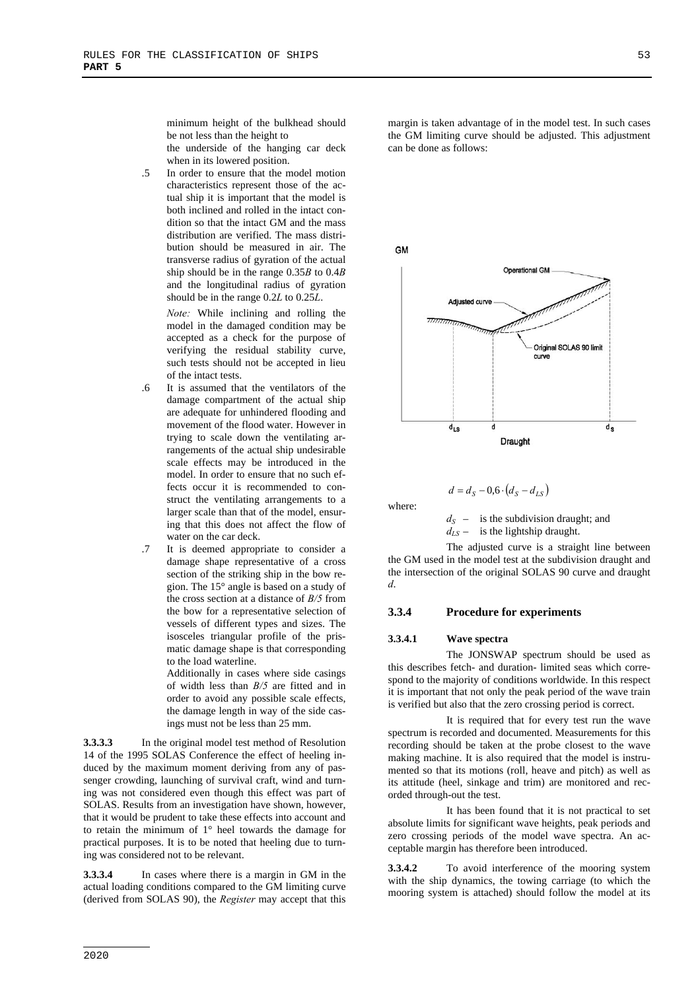minimum height of the bulkhead should be not less than the height to

the underside of the hanging car deck when in its lowered position.

.5 In order to ensure that the model motion characteristics represent those of the actual ship it is important that the model is both inclined and rolled in the intact condition so that the intact GM and the mass distribution are verified. The mass distribution should be measured in air. The transverse radius of gyration of the actual ship should be in the range 0.35*B* to 0.4*B* and the longitudinal radius of gyration should be in the range 0.2*L* to 0.25*L*.

> *Note:* While inclining and rolling the model in the damaged condition may be accepted as a check for the purpose of verifying the residual stability curve, such tests should not be accepted in lieu of the intact tests.

- .6 It is assumed that the ventilators of the damage compartment of the actual ship are adequate for unhindered flooding and movement of the flood water. However in trying to scale down the ventilating arrangements of the actual ship undesirable scale effects may be introduced in the model. In order to ensure that no such effects occur it is recommended to construct the ventilating arrangements to a larger scale than that of the model, ensuring that this does not affect the flow of water on the car deck.
- .7 It is deemed appropriate to consider a damage shape representative of a cross section of the striking ship in the bow region. The 15° angle is based on a study of the cross section at a distance of *B/5* from the bow for a representative selection of vessels of different types and sizes. The isosceles triangular profile of the prismatic damage shape is that corresponding to the load waterline.

Additionally in cases where side casings of width less than *B/5* are fitted and in order to avoid any possible scale effects, the damage length in way of the side casings must not be less than 25 mm.

**3.3.3.3** In the original model test method of Resolution 14 of the 1995 SOLAS Conference the effect of heeling induced by the maximum moment deriving from any of passenger crowding, launching of survival craft, wind and turning was not considered even though this effect was part of SOLAS. Results from an investigation have shown, however, that it would be prudent to take these effects into account and to retain the minimum of 1° heel towards the damage for practical purposes. It is to be noted that heeling due to turning was considered not to be relevant.

**3.3.3.4** In cases where there is a margin in GM in the actual loading conditions compared to the GM limiting curve (derived from SOLAS 90), the *Register* may accept that this

margin is taken advantage of in the model test. In such cases the GM limiting curve should be adjusted. This adjustment can be done as follows:

GM



$$
d = d_S - 0.6 \cdot \left( d_S - d_{LS} \right)
$$

where:

 $d<sub>S</sub>$  – is the subdivision draught; and  $d_{LS}$  – is the lightship draught.

The adjusted curve is a straight line between the GM used in the model test at the subdivision draught and the intersection of the original SOLAS 90 curve and draught *d*.

#### **3.3.4 Procedure for experiments**

#### **3.3.4.1 Wave spectra**

The JONSWAP spectrum should be used as this describes fetch- and duration- limited seas which correspond to the majority of conditions worldwide. In this respect it is important that not only the peak period of the wave train is verified but also that the zero crossing period is correct.

It is required that for every test run the wave spectrum is recorded and documented. Measurements for this recording should be taken at the probe closest to the wave making machine. It is also required that the model is instrumented so that its motions (roll, heave and pitch) as well as its attitude (heel, sinkage and trim) are monitored and recorded through-out the test.

It has been found that it is not practical to set absolute limits for significant wave heights, peak periods and zero crossing periods of the model wave spectra. An acceptable margin has therefore been introduced.

**3.3.4.2** To avoid interference of the mooring system with the ship dynamics, the towing carriage (to which the mooring system is attached) should follow the model at its